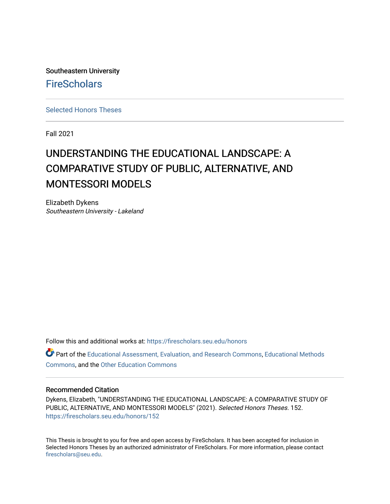Southeastern University **FireScholars** 

[Selected Honors Theses](https://firescholars.seu.edu/honors)

Fall 2021

# UNDERSTANDING THE EDUCATIONAL LANDSCAPE: A COMPARATIVE STUDY OF PUBLIC, ALTERNATIVE, AND MONTESSORI MODELS

Elizabeth Dykens Southeastern University - Lakeland

Follow this and additional works at: [https://firescholars.seu.edu/honors](https://firescholars.seu.edu/honors?utm_source=firescholars.seu.edu%2Fhonors%2F152&utm_medium=PDF&utm_campaign=PDFCoverPages)

Part of the [Educational Assessment, Evaluation, and Research Commons](http://network.bepress.com/hgg/discipline/796?utm_source=firescholars.seu.edu%2Fhonors%2F152&utm_medium=PDF&utm_campaign=PDFCoverPages), [Educational Methods](http://network.bepress.com/hgg/discipline/1227?utm_source=firescholars.seu.edu%2Fhonors%2F152&utm_medium=PDF&utm_campaign=PDFCoverPages)  [Commons](http://network.bepress.com/hgg/discipline/1227?utm_source=firescholars.seu.edu%2Fhonors%2F152&utm_medium=PDF&utm_campaign=PDFCoverPages), and the [Other Education Commons](http://network.bepress.com/hgg/discipline/811?utm_source=firescholars.seu.edu%2Fhonors%2F152&utm_medium=PDF&utm_campaign=PDFCoverPages) 

#### Recommended Citation

Dykens, Elizabeth, "UNDERSTANDING THE EDUCATIONAL LANDSCAPE: A COMPARATIVE STUDY OF PUBLIC, ALTERNATIVE, AND MONTESSORI MODELS" (2021). Selected Honors Theses. 152. [https://firescholars.seu.edu/honors/152](https://firescholars.seu.edu/honors/152?utm_source=firescholars.seu.edu%2Fhonors%2F152&utm_medium=PDF&utm_campaign=PDFCoverPages)

This Thesis is brought to you for free and open access by FireScholars. It has been accepted for inclusion in Selected Honors Theses by an authorized administrator of FireScholars. For more information, please contact [firescholars@seu.edu.](mailto:firescholars@seu.edu)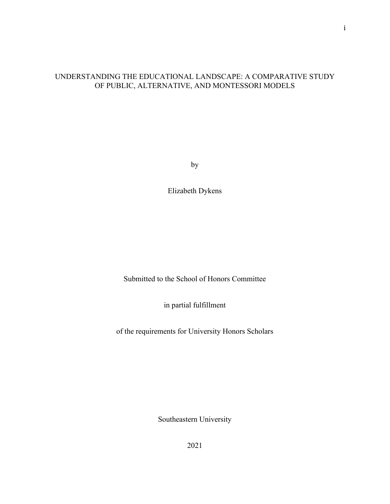# UNDERSTANDING THE EDUCATIONAL LANDSCAPE: A COMPARATIVE STUDY OF PUBLIC, ALTERNATIVE, AND MONTESSORI MODELS

by

Elizabeth Dykens

Submitted to the School of Honors Committee

in partial fulfillment

of the requirements for University Honors Scholars

Southeastern University

2021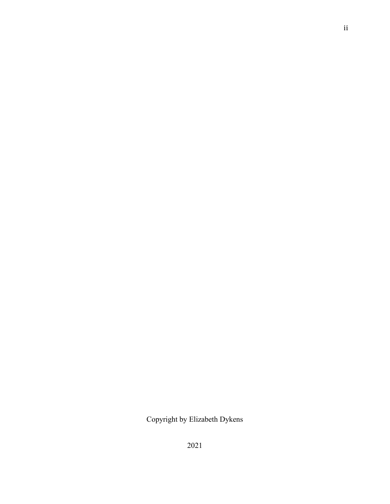Copyright by Elizabeth Dykens

ii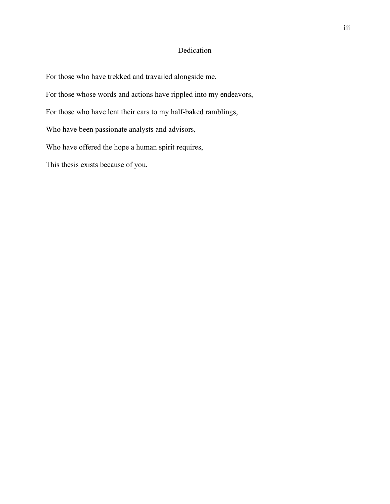# Dedication

For those who have trekked and travailed alongside me,

For those whose words and actions have rippled into my endeavors,

For those who have lent their ears to my half-baked ramblings,

Who have been passionate analysts and advisors,

Who have offered the hope a human spirit requires,

This thesis exists because of you.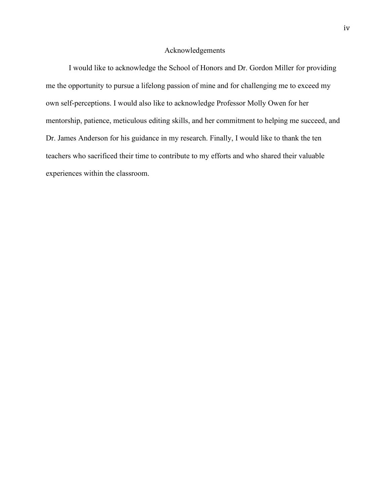#### Acknowledgements

I would like to acknowledge the School of Honors and Dr. Gordon Miller for providing me the opportunity to pursue a lifelong passion of mine and for challenging me to exceed my own self-perceptions. I would also like to acknowledge Professor Molly Owen for her mentorship, patience, meticulous editing skills, and her commitment to helping me succeed, and Dr. James Anderson for his guidance in my research. Finally, I would like to thank the ten teachers who sacrificed their time to contribute to my efforts and who shared their valuable experiences within the classroom.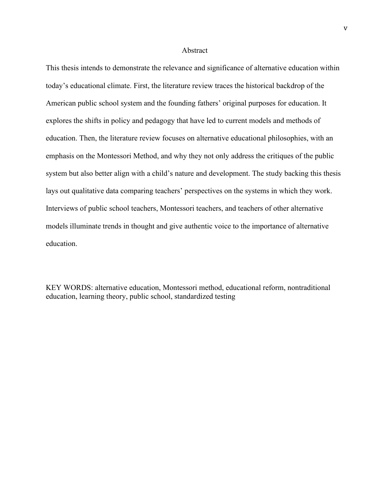#### Abstract

This thesis intends to demonstrate the relevance and significance of alternative education within today's educational climate. First, the literature review traces the historical backdrop of the American public school system and the founding fathers' original purposes for education. It explores the shifts in policy and pedagogy that have led to current models and methods of education. Then, the literature review focuses on alternative educational philosophies, with an emphasis on the Montessori Method, and why they not only address the critiques of the public system but also better align with a child's nature and development. The study backing this thesis lays out qualitative data comparing teachers' perspectives on the systems in which they work. Interviews of public school teachers, Montessori teachers, and teachers of other alternative models illuminate trends in thought and give authentic voice to the importance of alternative education.

KEY WORDS: alternative education, Montessori method, educational reform, nontraditional education, learning theory, public school, standardized testing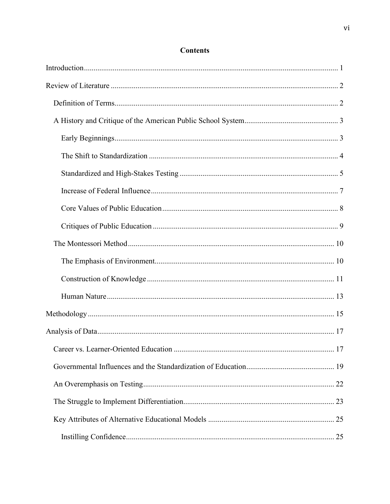# **Contents**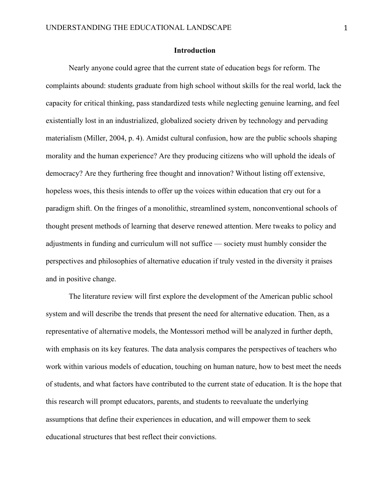#### **Introduction**

Nearly anyone could agree that the current state of education begs for reform. The complaints abound: students graduate from high school without skills for the real world, lack the capacity for critical thinking, pass standardized tests while neglecting genuine learning, and feel existentially lost in an industrialized, globalized society driven by technology and pervading materialism (Miller, 2004, p. 4). Amidst cultural confusion, how are the public schools shaping morality and the human experience? Are they producing citizens who will uphold the ideals of democracy? Are they furthering free thought and innovation? Without listing off extensive, hopeless woes, this thesis intends to offer up the voices within education that cry out for a paradigm shift. On the fringes of a monolithic, streamlined system, nonconventional schools of thought present methods of learning that deserve renewed attention. Mere tweaks to policy and adjustments in funding and curriculum will not suffice — society must humbly consider the perspectives and philosophies of alternative education if truly vested in the diversity it praises and in positive change.

The literature review will first explore the development of the American public school system and will describe the trends that present the need for alternative education. Then, as a representative of alternative models, the Montessori method will be analyzed in further depth, with emphasis on its key features. The data analysis compares the perspectives of teachers who work within various models of education, touching on human nature, how to best meet the needs of students, and what factors have contributed to the current state of education. It is the hope that this research will prompt educators, parents, and students to reevaluate the underlying assumptions that define their experiences in education, and will empower them to seek educational structures that best reflect their convictions.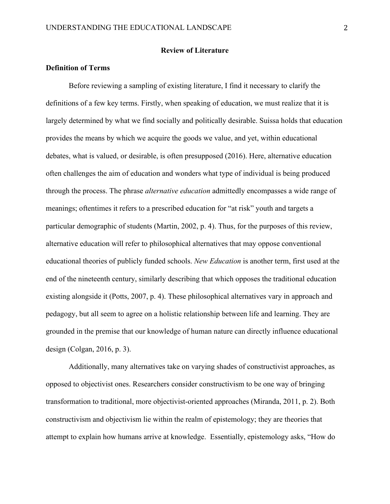#### **Review of Literature**

# **Definition of Terms**

Before reviewing a sampling of existing literature, I find it necessary to clarify the definitions of a few key terms. Firstly, when speaking of education, we must realize that it is largely determined by what we find socially and politically desirable. Suissa holds that education provides the means by which we acquire the goods we value, and yet, within educational debates, what is valued, or desirable, is often presupposed (2016). Here, alternative education often challenges the aim of education and wonders what type of individual is being produced through the process. The phrase *alternative education* admittedly encompasses a wide range of meanings; oftentimes it refers to a prescribed education for "at risk" youth and targets a particular demographic of students (Martin, 2002, p. 4). Thus, for the purposes of this review, alternative education will refer to philosophical alternatives that may oppose conventional educational theories of publicly funded schools. *New Education* is another term, first used at the end of the nineteenth century, similarly describing that which opposes the traditional education existing alongside it (Potts, 2007, p. 4). These philosophical alternatives vary in approach and pedagogy, but all seem to agree on a holistic relationship between life and learning. They are grounded in the premise that our knowledge of human nature can directly influence educational design (Colgan, 2016, p. 3).

Additionally, many alternatives take on varying shades of constructivist approaches, as opposed to objectivist ones. Researchers consider constructivism to be one way of bringing transformation to traditional, more objectivist-oriented approaches (Miranda, 2011, p. 2). Both constructivism and objectivism lie within the realm of epistemology; they are theories that attempt to explain how humans arrive at knowledge. Essentially, epistemology asks, "How do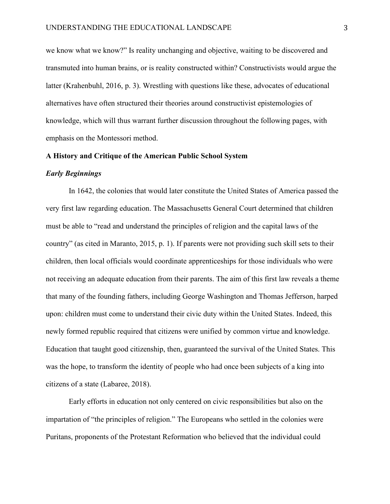we know what we know?" Is reality unchanging and objective, waiting to be discovered and transmuted into human brains, or is reality constructed within? Constructivists would argue the latter (Krahenbuhl, 2016, p. 3). Wrestling with questions like these, advocates of educational alternatives have often structured their theories around constructivist epistemologies of knowledge, which will thus warrant further discussion throughout the following pages, with emphasis on the Montessori method.

#### **A History and Critique of the American Public School System**

#### *Early Beginnings*

In 1642, the colonies that would later constitute the United States of America passed the very first law regarding education. The Massachusetts General Court determined that children must be able to "read and understand the principles of religion and the capital laws of the country" (as cited in Maranto, 2015, p. 1). If parents were not providing such skill sets to their children, then local officials would coordinate apprenticeships for those individuals who were not receiving an adequate education from their parents. The aim of this first law reveals a theme that many of the founding fathers, including George Washington and Thomas Jefferson, harped upon: children must come to understand their civic duty within the United States. Indeed, this newly formed republic required that citizens were unified by common virtue and knowledge. Education that taught good citizenship, then, guaranteed the survival of the United States. This was the hope, to transform the identity of people who had once been subjects of a king into citizens of a state (Labaree, 2018).

Early efforts in education not only centered on civic responsibilities but also on the impartation of "the principles of religion." The Europeans who settled in the colonies were Puritans, proponents of the Protestant Reformation who believed that the individual could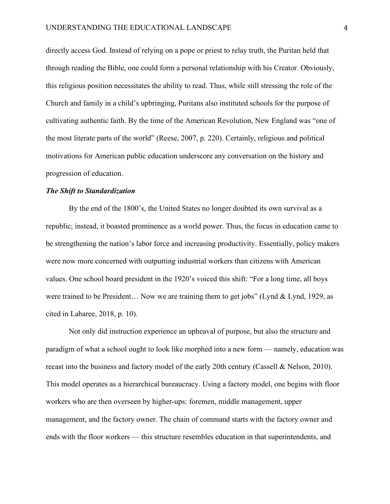directly access God. Instead of relying on a pope or priest to relay truth, the Puritan held that through reading the Bible, one could form a personal relationship with his Creator. Obviously, this religious position necessitates the ability to read. Thus, while still stressing the role of the Church and family in a child's upbringing, Puritans also instituted schools for the purpose of cultivating authentic faith. By the time of the American Revolution, New England was "one of the most literate parts of the world" (Reese, 2007, p. 220). Certainly, religious and political motivations for American public education underscore any conversation on the history and progression of education.

#### *The Shift to Standardization*

By the end of the 1800's, the United States no longer doubted its own survival as a republic; instead, it boasted prominence as a world power. Thus, the focus in education came to be strengthening the nation's labor force and increasing productivity. Essentially, policy makers were now more concerned with outputting industrial workers than citizens with American values. One school board president in the 1920's voiced this shift: "For a long time, all boys were trained to be President… Now we are training them to get jobs" (Lynd & Lynd, 1929, as cited in Labaree, 2018, p. 10).

Not only did instruction experience an upheaval of purpose, but also the structure and paradigm of what a school ought to look like morphed into a new form — namely, education was recast into the business and factory model of the early 20th century (Cassell & Nelson, 2010). This model operates as a hierarchical bureaucracy. Using a factory model, one begins with floor workers who are then overseen by higher-ups: foremen, middle management, upper management, and the factory owner. The chain of command starts with the factory owner and ends with the floor workers — this structure resembles education in that superintendents, and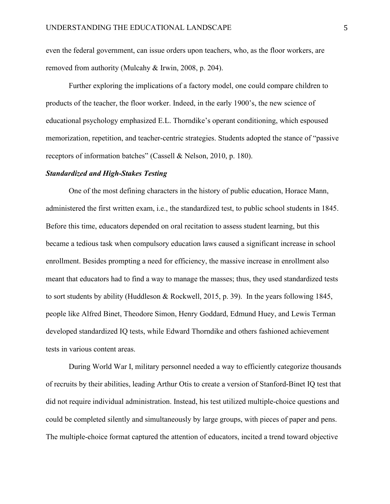even the federal government, can issue orders upon teachers, who, as the floor workers, are removed from authority (Mulcahy & Irwin, 2008, p. 204).

Further exploring the implications of a factory model, one could compare children to products of the teacher, the floor worker. Indeed, in the early 1900's, the new science of educational psychology emphasized E.L. Thorndike's operant conditioning, which espoused memorization, repetition, and teacher-centric strategies. Students adopted the stance of "passive receptors of information batches" (Cassell & Nelson, 2010, p. 180).

#### *Standardized and High-Stakes Testing*

One of the most defining characters in the history of public education, Horace Mann, administered the first written exam, i.e., the standardized test, to public school students in 1845. Before this time, educators depended on oral recitation to assess student learning, but this became a tedious task when compulsory education laws caused a significant increase in school enrollment. Besides prompting a need for efficiency, the massive increase in enrollment also meant that educators had to find a way to manage the masses; thus, they used standardized tests to sort students by ability (Huddleson & Rockwell, 2015, p. 39). In the years following 1845, people like Alfred Binet, Theodore Simon, Henry Goddard, Edmund Huey, and Lewis Terman developed standardized IQ tests, while Edward Thorndike and others fashioned achievement tests in various content areas.

During World War I, military personnel needed a way to efficiently categorize thousands of recruits by their abilities, leading Arthur Otis to create a version of Stanford-Binet IQ test that did not require individual administration. Instead, his test utilized multiple-choice questions and could be completed silently and simultaneously by large groups, with pieces of paper and pens. The multiple-choice format captured the attention of educators, incited a trend toward objective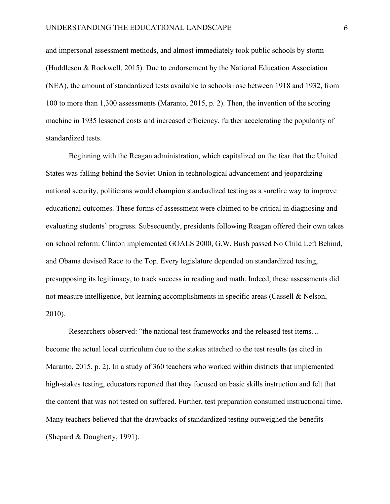and impersonal assessment methods, and almost immediately took public schools by storm (Huddleson & Rockwell, 2015). Due to endorsement by the National Education Association (NEA), the amount of standardized tests available to schools rose between 1918 and 1932, from 100 to more than 1,300 assessments (Maranto, 2015, p. 2). Then, the invention of the scoring machine in 1935 lessened costs and increased efficiency, further accelerating the popularity of standardized tests.

Beginning with the Reagan administration, which capitalized on the fear that the United States was falling behind the Soviet Union in technological advancement and jeopardizing national security, politicians would champion standardized testing as a surefire way to improve educational outcomes. These forms of assessment were claimed to be critical in diagnosing and evaluating students' progress. Subsequently, presidents following Reagan offered their own takes on school reform: Clinton implemented GOALS 2000, G.W. Bush passed No Child Left Behind, and Obama devised Race to the Top. Every legislature depended on standardized testing, presupposing its legitimacy, to track success in reading and math. Indeed, these assessments did not measure intelligence, but learning accomplishments in specific areas (Cassell & Nelson, 2010).

Researchers observed: "the national test frameworks and the released test items… become the actual local curriculum due to the stakes attached to the test results (as cited in Maranto, 2015, p. 2). In a study of 360 teachers who worked within districts that implemented high-stakes testing, educators reported that they focused on basic skills instruction and felt that the content that was not tested on suffered. Further, test preparation consumed instructional time. Many teachers believed that the drawbacks of standardized testing outweighed the benefits (Shepard & Dougherty, 1991).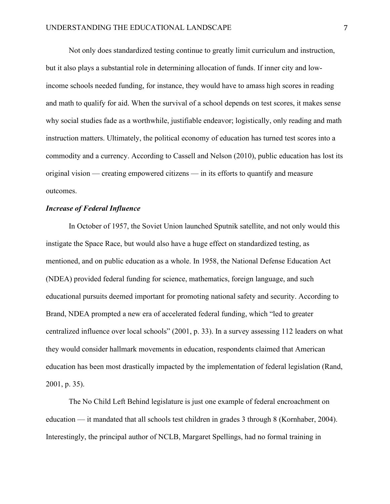Not only does standardized testing continue to greatly limit curriculum and instruction, but it also plays a substantial role in determining allocation of funds. If inner city and lowincome schools needed funding, for instance, they would have to amass high scores in reading and math to qualify for aid. When the survival of a school depends on test scores, it makes sense why social studies fade as a worthwhile, justifiable endeavor; logistically, only reading and math instruction matters. Ultimately, the political economy of education has turned test scores into a commodity and a currency. According to Cassell and Nelson (2010), public education has lost its original vision — creating empowered citizens — in its efforts to quantify and measure outcomes.

#### *Increase of Federal Influence*

In October of 1957, the Soviet Union launched Sputnik satellite, and not only would this instigate the Space Race, but would also have a huge effect on standardized testing, as mentioned, and on public education as a whole. In 1958, the National Defense Education Act (NDEA) provided federal funding for science, mathematics, foreign language, and such educational pursuits deemed important for promoting national safety and security. According to Brand, NDEA prompted a new era of accelerated federal funding, which "led to greater centralized influence over local schools" (2001, p. 33). In a survey assessing 112 leaders on what they would consider hallmark movements in education, respondents claimed that American education has been most drastically impacted by the implementation of federal legislation (Rand, 2001, p. 35).

The No Child Left Behind legislature is just one example of federal encroachment on education — it mandated that all schools test children in grades 3 through 8 (Kornhaber, 2004). Interestingly, the principal author of NCLB, Margaret Spellings, had no formal training in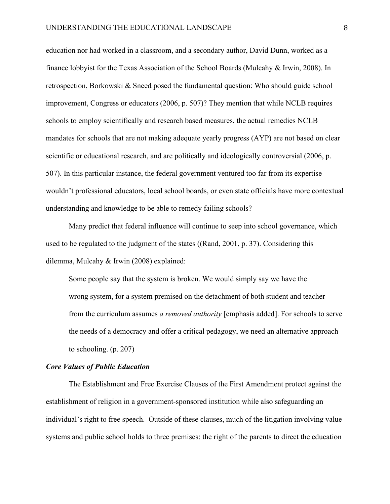education nor had worked in a classroom, and a secondary author, David Dunn, worked as a finance lobbyist for the Texas Association of the School Boards (Mulcahy & Irwin, 2008). In retrospection, Borkowski & Sneed posed the fundamental question: Who should guide school improvement, Congress or educators (2006, p. 507)? They mention that while NCLB requires schools to employ scientifically and research based measures, the actual remedies NCLB mandates for schools that are not making adequate yearly progress (AYP) are not based on clear scientific or educational research, and are politically and ideologically controversial (2006, p. 507). In this particular instance, the federal government ventured too far from its expertise wouldn't professional educators, local school boards, or even state officials have more contextual understanding and knowledge to be able to remedy failing schools?

Many predict that federal influence will continue to seep into school governance, which used to be regulated to the judgment of the states ((Rand, 2001, p. 37). Considering this dilemma, Mulcahy & Irwin (2008) explained:

Some people say that the system is broken. We would simply say we have the wrong system, for a system premised on the detachment of both student and teacher from the curriculum assumes *a removed authority* [emphasis added]. For schools to serve the needs of a democracy and offer a critical pedagogy, we need an alternative approach to schooling. (p. 207)

#### *Core Values of Public Education*

The Establishment and Free Exercise Clauses of the First Amendment protect against the establishment of religion in a government-sponsored institution while also safeguarding an individual's right to free speech. Outside of these clauses, much of the litigation involving value systems and public school holds to three premises: the right of the parents to direct the education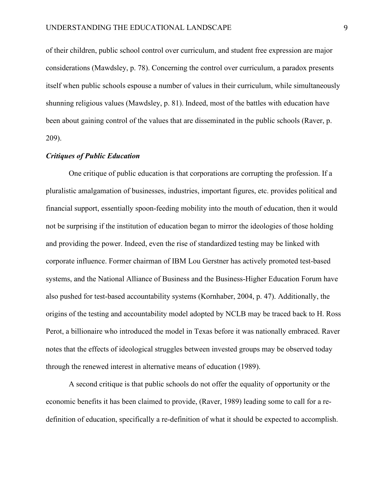of their children, public school control over curriculum, and student free expression are major considerations (Mawdsley, p. 78). Concerning the control over curriculum, a paradox presents itself when public schools espouse a number of values in their curriculum, while simultaneously shunning religious values (Mawdsley, p. 81). Indeed, most of the battles with education have been about gaining control of the values that are disseminated in the public schools (Raver, p. 209).

# *Critiques of Public Education*

One critique of public education is that corporations are corrupting the profession. If a pluralistic amalgamation of businesses, industries, important figures, etc. provides political and financial support, essentially spoon-feeding mobility into the mouth of education, then it would not be surprising if the institution of education began to mirror the ideologies of those holding and providing the power. Indeed, even the rise of standardized testing may be linked with corporate influence. Former chairman of IBM Lou Gerstner has actively promoted test-based systems, and the National Alliance of Business and the Business-Higher Education Forum have also pushed for test-based accountability systems (Kornhaber, 2004, p. 47). Additionally, the origins of the testing and accountability model adopted by NCLB may be traced back to H. Ross Perot, a billionaire who introduced the model in Texas before it was nationally embraced. Raver notes that the effects of ideological struggles between invested groups may be observed today through the renewed interest in alternative means of education (1989).

A second critique is that public schools do not offer the equality of opportunity or the economic benefits it has been claimed to provide, (Raver, 1989) leading some to call for a redefinition of education, specifically a re-definition of what it should be expected to accomplish.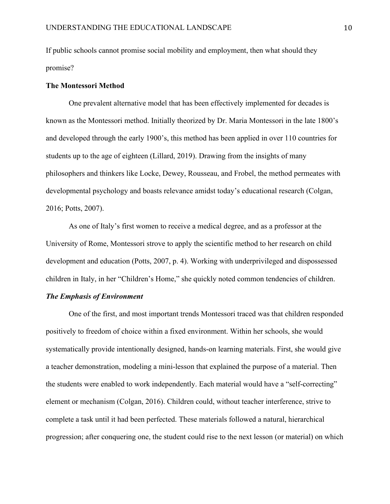If public schools cannot promise social mobility and employment, then what should they promise?

#### **The Montessori Method**

One prevalent alternative model that has been effectively implemented for decades is known as the Montessori method. Initially theorized by Dr. Maria Montessori in the late 1800's and developed through the early 1900's, this method has been applied in over 110 countries for students up to the age of eighteen (Lillard, 2019). Drawing from the insights of many philosophers and thinkers like Locke, Dewey, Rousseau, and Frobel, the method permeates with developmental psychology and boasts relevance amidst today's educational research (Colgan, 2016; Potts, 2007).

As one of Italy's first women to receive a medical degree, and as a professor at the University of Rome, Montessori strove to apply the scientific method to her research on child development and education (Potts, 2007, p. 4). Working with underprivileged and dispossessed children in Italy, in her "Children's Home," she quickly noted common tendencies of children.

#### *The Emphasis of Environment*

One of the first, and most important trends Montessori traced was that children responded positively to freedom of choice within a fixed environment. Within her schools, she would systematically provide intentionally designed, hands-on learning materials. First, she would give a teacher demonstration, modeling a mini-lesson that explained the purpose of a material. Then the students were enabled to work independently. Each material would have a "self-correcting" element or mechanism (Colgan, 2016). Children could, without teacher interference, strive to complete a task until it had been perfected. These materials followed a natural, hierarchical progression; after conquering one, the student could rise to the next lesson (or material) on which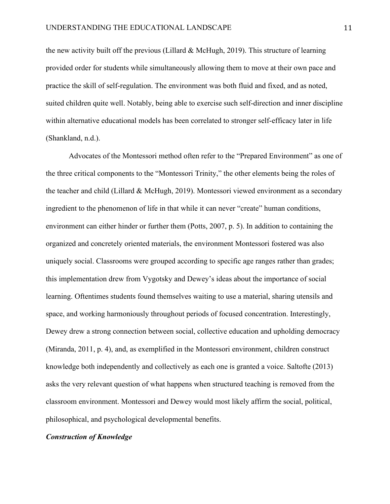the new activity built off the previous (Lillard & McHugh, 2019). This structure of learning provided order for students while simultaneously allowing them to move at their own pace and practice the skill of self-regulation. The environment was both fluid and fixed, and as noted, suited children quite well. Notably, being able to exercise such self-direction and inner discipline within alternative educational models has been correlated to stronger self-efficacy later in life (Shankland, n.d.).

Advocates of the Montessori method often refer to the "Prepared Environment" as one of the three critical components to the "Montessori Trinity," the other elements being the roles of the teacher and child (Lillard & McHugh, 2019). Montessori viewed environment as a secondary ingredient to the phenomenon of life in that while it can never "create" human conditions, environment can either hinder or further them (Potts, 2007, p. 5). In addition to containing the organized and concretely oriented materials, the environment Montessori fostered was also uniquely social. Classrooms were grouped according to specific age ranges rather than grades; this implementation drew from Vygotsky and Dewey's ideas about the importance of social learning. Oftentimes students found themselves waiting to use a material, sharing utensils and space, and working harmoniously throughout periods of focused concentration. Interestingly, Dewey drew a strong connection between social, collective education and upholding democracy (Miranda, 2011, p. 4), and, as exemplified in the Montessori environment, children construct knowledge both independently and collectively as each one is granted a voice. Saltofte (2013) asks the very relevant question of what happens when structured teaching is removed from the classroom environment. Montessori and Dewey would most likely affirm the social, political, philosophical, and psychological developmental benefits.

#### *Construction of Knowledge*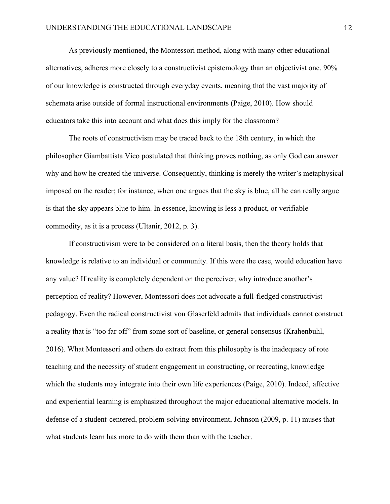As previously mentioned, the Montessori method, along with many other educational alternatives, adheres more closely to a constructivist epistemology than an objectivist one. 90% of our knowledge is constructed through everyday events, meaning that the vast majority of schemata arise outside of formal instructional environments (Paige, 2010). How should educators take this into account and what does this imply for the classroom?

The roots of constructivism may be traced back to the 18th century, in which the philosopher Giambattista Vico postulated that thinking proves nothing, as only God can answer why and how he created the universe. Consequently, thinking is merely the writer's metaphysical imposed on the reader; for instance, when one argues that the sky is blue, all he can really argue is that the sky appears blue to him. In essence, knowing is less a product, or verifiable commodity, as it is a process (Ultanir, 2012, p. 3).

If constructivism were to be considered on a literal basis, then the theory holds that knowledge is relative to an individual or community. If this were the case, would education have any value? If reality is completely dependent on the perceiver, why introduce another's perception of reality? However, Montessori does not advocate a full-fledged constructivist pedagogy. Even the radical constructivist von Glaserfeld admits that individuals cannot construct a reality that is "too far off" from some sort of baseline, or general consensus (Krahenbuhl, 2016). What Montessori and others do extract from this philosophy is the inadequacy of rote teaching and the necessity of student engagement in constructing, or recreating, knowledge which the students may integrate into their own life experiences (Paige, 2010). Indeed, affective and experiential learning is emphasized throughout the major educational alternative models. In defense of a student-centered, problem-solving environment, Johnson (2009, p. 11) muses that what students learn has more to do with them than with the teacher.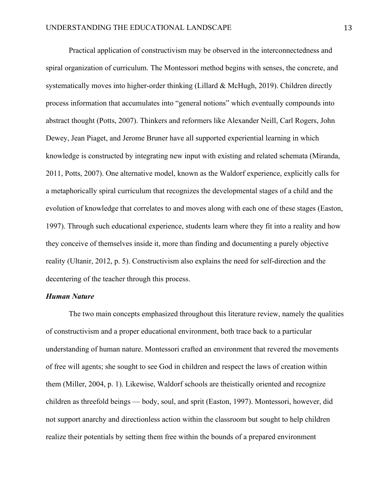Practical application of constructivism may be observed in the interconnectedness and spiral organization of curriculum. The Montessori method begins with senses, the concrete, and systematically moves into higher-order thinking (Lillard & McHugh, 2019). Children directly process information that accumulates into "general notions" which eventually compounds into abstract thought (Potts, 2007). Thinkers and reformers like Alexander Neill, Carl Rogers, John Dewey, Jean Piaget, and Jerome Bruner have all supported experiential learning in which knowledge is constructed by integrating new input with existing and related schemata (Miranda, 2011, Potts, 2007). One alternative model, known as the Waldorf experience, explicitly calls for a metaphorically spiral curriculum that recognizes the developmental stages of a child and the evolution of knowledge that correlates to and moves along with each one of these stages (Easton, 1997). Through such educational experience, students learn where they fit into a reality and how they conceive of themselves inside it, more than finding and documenting a purely objective reality (Ultanir, 2012, p. 5). Constructivism also explains the need for self-direction and the decentering of the teacher through this process.

#### *Human Nature*

The two main concepts emphasized throughout this literature review, namely the qualities of constructivism and a proper educational environment, both trace back to a particular understanding of human nature. Montessori crafted an environment that revered the movements of free will agents; she sought to see God in children and respect the laws of creation within them (Miller, 2004, p. 1). Likewise, Waldorf schools are theistically oriented and recognize children as threefold beings — body, soul, and sprit (Easton, 1997). Montessori, however, did not support anarchy and directionless action within the classroom but sought to help children realize their potentials by setting them free within the bounds of a prepared environment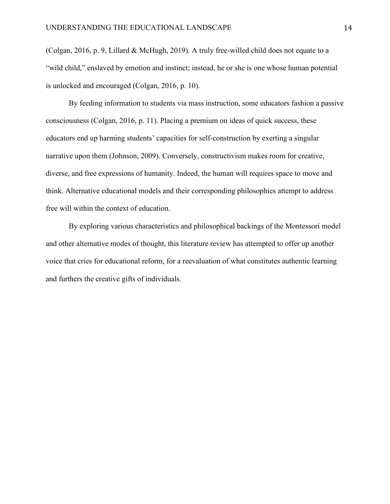(Colgan, 2016, p. 9, Lillard & McHugh, 2019). A truly free-willed child does not equate to a "wild child," enslaved by emotion and instinct; instead, he or she is one whose human potential is unlocked and encouraged (Colgan, 2016, p. 10).

By feeding information to students via mass instruction, some educators fashion a passive consciousness (Colgan, 2016, p. 11). Placing a premium on ideas of quick success, these educators end up harming students' capacities for self-construction by exerting a singular narrative upon them (Johnson, 2009). Conversely, constructivism makes room for creative, diverse, and free expressions of humanity. Indeed, the human will requires space to move and think. Alternative educational models and their corresponding philosophies attempt to address free will within the context of education.

By exploring various characteristics and philosophical backings of the Montessori model and other alternative modes of thought, this literature review has attempted to offer up another voice that cries for educational reform, for a reevaluation of what constitutes authentic learning and furthers the creative gifts of individuals.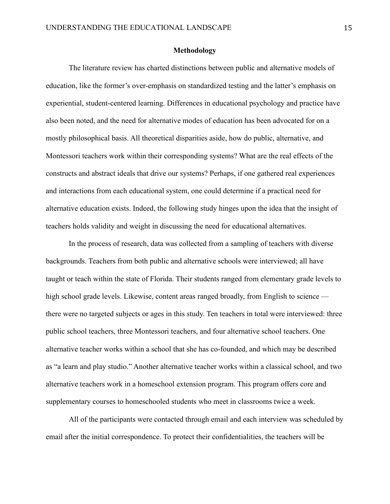#### **Methodology**

The literature review has charted distinctions between public and alternative models of education, like the former's over-emphasis on standardized testing and the latter's emphasis on experiential, student-centered learning. Differences in educational psychology and practice have also been noted, and the need for alternative modes of education has been advocated for on a mostly philosophical basis. All theoretical disparities aside, how do public, alternative, and Montessori teachers work within their corresponding systems? What are the real effects of the constructs and abstract ideals that drive our systems? Perhaps, if one gathered real experiences and interactions from each educational system, one could determine if a practical need for alternative education exists. Indeed, the following study hinges upon the idea that the insight of teachers holds validity and weight in discussing the need for educational alternatives.

In the process of research, data was collected from a sampling of teachers with diverse backgrounds. Teachers from both public and alternative schools were interviewed; all have taught or teach within the state of Florida. Their students ranged from elementary grade levels to high school grade levels. Likewise, content areas ranged broadly, from English to science there were no targeted subjects or ages in this study. Ten teachers in total were interviewed: three public school teachers, three Montessori teachers, and four alternative school teachers. One alternative teacher works within a school that she has co-founded, and which may be described as "a learn and play studio." Another alternative teacher works within a classical school, and two alternative teachers work in a homeschool extension program. This program offers core and supplementary courses to homeschooled students who meet in classrooms twice a week.

All of the participants were contacted through email and each interview was scheduled by email after the initial correspondence. To protect their confidentialities, the teachers will be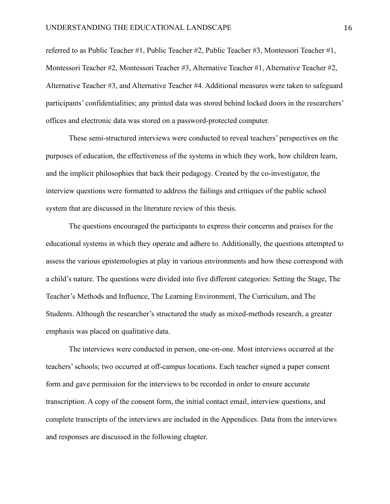referred to as Public Teacher #1, Public Teacher #2, Public Teacher #3, Montessori Teacher #1, Montessori Teacher #2, Montessori Teacher #3, Alternative Teacher #1, Alternative Teacher #2, Alternative Teacher #3, and Alternative Teacher #4. Additional measures were taken to safeguard participants' confidentialities; any printed data was stored behind locked doors in the researchers' offices and electronic data was stored on a password-protected computer.

These semi-structured interviews were conducted to reveal teachers' perspectives on the purposes of education, the effectiveness of the systems in which they work, how children learn, and the implicit philosophies that back their pedagogy. Created by the co-investigator, the interview questions were formatted to address the failings and critiques of the public school system that are discussed in the literature review of this thesis.

The questions encouraged the participants to express their concerns and praises for the educational systems in which they operate and adhere to. Additionally, the questions attempted to assess the various epistemologies at play in various environments and how these correspond with a child's nature. The questions were divided into five different categories: Setting the Stage, The Teacher's Methods and Influence, The Learning Environment, The Curriculum, and The Students. Although the researcher's structured the study as mixed-methods research, a greater emphasis was placed on qualitative data.

The interviews were conducted in person, one-on-one. Most interviews occurred at the teachers' schools; two occurred at off-campus locations. Each teacher signed a paper consent form and gave permission for the interviews to be recorded in order to ensure accurate transcription. A copy of the consent form, the initial contact email, interview questions, and complete transcripts of the interviews are included in the Appendices. Data from the interviews and responses are discussed in the following chapter.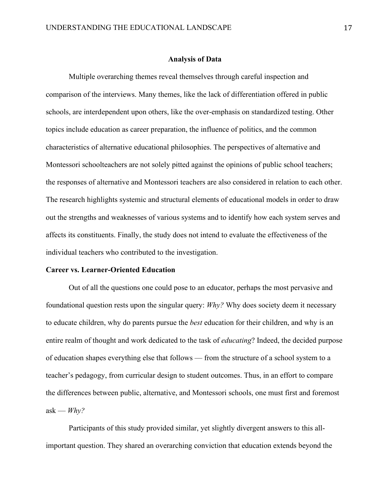#### **Analysis of Data**

Multiple overarching themes reveal themselves through careful inspection and comparison of the interviews. Many themes, like the lack of differentiation offered in public schools, are interdependent upon others, like the over-emphasis on standardized testing. Other topics include education as career preparation, the influence of politics, and the common characteristics of alternative educational philosophies. The perspectives of alternative and Montessori schoolteachers are not solely pitted against the opinions of public school teachers; the responses of alternative and Montessori teachers are also considered in relation to each other. The research highlights systemic and structural elements of educational models in order to draw out the strengths and weaknesses of various systems and to identify how each system serves and affects its constituents. Finally, the study does not intend to evaluate the effectiveness of the individual teachers who contributed to the investigation.

## **Career vs. Learner-Oriented Education**

Out of all the questions one could pose to an educator, perhaps the most pervasive and foundational question rests upon the singular query: *Why?* Why does society deem it necessary to educate children, why do parents pursue the *best* education for their children, and why is an entire realm of thought and work dedicated to the task of *educating*? Indeed, the decided purpose of education shapes everything else that follows — from the structure of a school system to a teacher's pedagogy, from curricular design to student outcomes. Thus, in an effort to compare the differences between public, alternative, and Montessori schools, one must first and foremost ask —  $Whv$ ?

Participants of this study provided similar, yet slightly divergent answers to this allimportant question. They shared an overarching conviction that education extends beyond the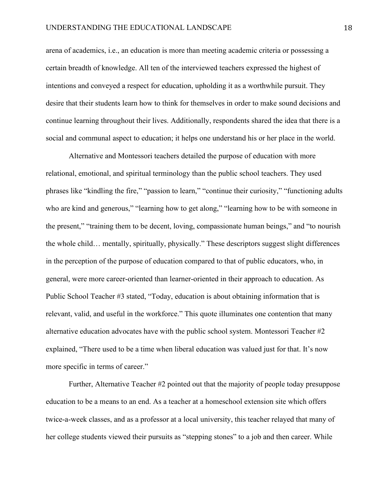arena of academics, i.e., an education is more than meeting academic criteria or possessing a certain breadth of knowledge. All ten of the interviewed teachers expressed the highest of intentions and conveyed a respect for education, upholding it as a worthwhile pursuit. They desire that their students learn how to think for themselves in order to make sound decisions and continue learning throughout their lives. Additionally, respondents shared the idea that there is a social and communal aspect to education; it helps one understand his or her place in the world.

Alternative and Montessori teachers detailed the purpose of education with more relational, emotional, and spiritual terminology than the public school teachers. They used phrases like "kindling the fire," "passion to learn," "continue their curiosity," "functioning adults who are kind and generous," "learning how to get along," "learning how to be with someone in the present," "training them to be decent, loving, compassionate human beings," and "to nourish the whole child… mentally, spiritually, physically." These descriptors suggest slight differences in the perception of the purpose of education compared to that of public educators, who, in general, were more career-oriented than learner-oriented in their approach to education. As Public School Teacher #3 stated, "Today, education is about obtaining information that is relevant, valid, and useful in the workforce." This quote illuminates one contention that many alternative education advocates have with the public school system. Montessori Teacher #2 explained, "There used to be a time when liberal education was valued just for that. It's now more specific in terms of career."

Further, Alternative Teacher #2 pointed out that the majority of people today presuppose education to be a means to an end. As a teacher at a homeschool extension site which offers twice-a-week classes, and as a professor at a local university, this teacher relayed that many of her college students viewed their pursuits as "stepping stones" to a job and then career. While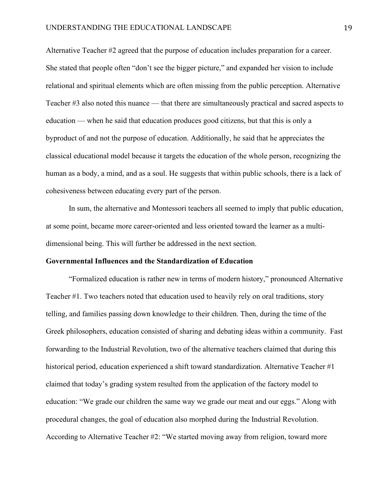Alternative Teacher #2 agreed that the purpose of education includes preparation for a career. She stated that people often "don't see the bigger picture," and expanded her vision to include relational and spiritual elements which are often missing from the public perception. Alternative Teacher #3 also noted this nuance — that there are simultaneously practical and sacred aspects to education — when he said that education produces good citizens, but that this is only a byproduct of and not the purpose of education. Additionally, he said that he appreciates the classical educational model because it targets the education of the whole person, recognizing the human as a body, a mind, and as a soul. He suggests that within public schools, there is a lack of cohesiveness between educating every part of the person.

In sum, the alternative and Montessori teachers all seemed to imply that public education, at some point, became more career-oriented and less oriented toward the learner as a multidimensional being. This will further be addressed in the next section.

#### **Governmental Influences and the Standardization of Education**

"Formalized education is rather new in terms of modern history," pronounced Alternative Teacher #1. Two teachers noted that education used to heavily rely on oral traditions, story telling, and families passing down knowledge to their children. Then, during the time of the Greek philosophers, education consisted of sharing and debating ideas within a community. Fast forwarding to the Industrial Revolution, two of the alternative teachers claimed that during this historical period, education experienced a shift toward standardization. Alternative Teacher #1 claimed that today's grading system resulted from the application of the factory model to education: "We grade our children the same way we grade our meat and our eggs." Along with procedural changes, the goal of education also morphed during the Industrial Revolution. According to Alternative Teacher #2: "We started moving away from religion, toward more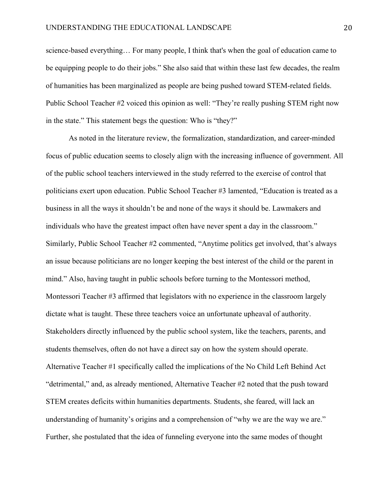science-based everything… For many people, I think that's when the goal of education came to be equipping people to do their jobs." She also said that within these last few decades, the realm of humanities has been marginalized as people are being pushed toward STEM-related fields. Public School Teacher #2 voiced this opinion as well: "They're really pushing STEM right now in the state." This statement begs the question: Who is "they?"

As noted in the literature review, the formalization, standardization, and career-minded focus of public education seems to closely align with the increasing influence of government. All of the public school teachers interviewed in the study referred to the exercise of control that politicians exert upon education. Public School Teacher #3 lamented, "Education is treated as a business in all the ways it shouldn't be and none of the ways it should be. Lawmakers and individuals who have the greatest impact often have never spent a day in the classroom." Similarly, Public School Teacher #2 commented, "Anytime politics get involved, that's always an issue because politicians are no longer keeping the best interest of the child or the parent in mind." Also, having taught in public schools before turning to the Montessori method, Montessori Teacher #3 affirmed that legislators with no experience in the classroom largely dictate what is taught. These three teachers voice an unfortunate upheaval of authority. Stakeholders directly influenced by the public school system, like the teachers, parents, and students themselves, often do not have a direct say on how the system should operate. Alternative Teacher #1 specifically called the implications of the No Child Left Behind Act "detrimental," and, as already mentioned, Alternative Teacher #2 noted that the push toward STEM creates deficits within humanities departments. Students, she feared, will lack an understanding of humanity's origins and a comprehension of "why we are the way we are." Further, she postulated that the idea of funneling everyone into the same modes of thought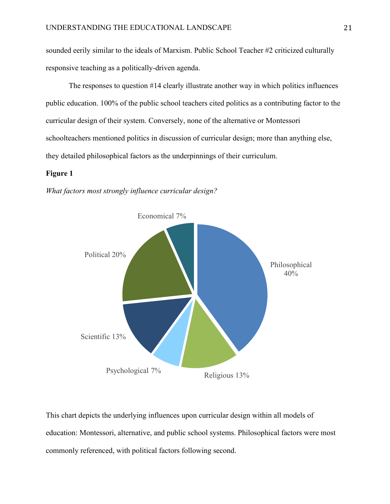sounded eerily similar to the ideals of Marxism. Public School Teacher #2 criticized culturally responsive teaching as a politically-driven agenda.

The responses to question #14 clearly illustrate another way in which politics influences public education. 100% of the public school teachers cited politics as a contributing factor to the curricular design of their system. Conversely, none of the alternative or Montessori schoolteachers mentioned politics in discussion of curricular design; more than anything else, they detailed philosophical factors as the underpinnings of their curriculum.

## **Figure 1**

*What factors most strongly influence curricular design?*



This chart depicts the underlying influences upon curricular design within all models of education: Montessori, alternative, and public school systems. Philosophical factors were most commonly referenced, with political factors following second.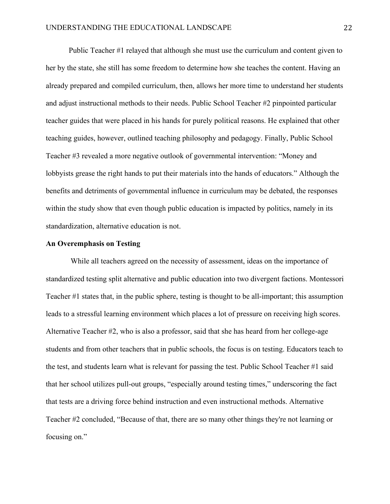Public Teacher #1 relayed that although she must use the curriculum and content given to her by the state, she still has some freedom to determine how she teaches the content. Having an already prepared and compiled curriculum, then, allows her more time to understand her students and adjust instructional methods to their needs. Public School Teacher #2 pinpointed particular teacher guides that were placed in his hands for purely political reasons. He explained that other teaching guides, however, outlined teaching philosophy and pedagogy. Finally, Public School Teacher #3 revealed a more negative outlook of governmental intervention: "Money and lobbyists grease the right hands to put their materials into the hands of educators." Although the benefits and detriments of governmental influence in curriculum may be debated, the responses within the study show that even though public education is impacted by politics, namely in its standardization, alternative education is not.

#### **An Overemphasis on Testing**

While all teachers agreed on the necessity of assessment, ideas on the importance of standardized testing split alternative and public education into two divergent factions. Montessori Teacher #1 states that, in the public sphere, testing is thought to be all-important; this assumption leads to a stressful learning environment which places a lot of pressure on receiving high scores. Alternative Teacher #2, who is also a professor, said that she has heard from her college-age students and from other teachers that in public schools, the focus is on testing. Educators teach to the test, and students learn what is relevant for passing the test. Public School Teacher #1 said that her school utilizes pull-out groups, "especially around testing times," underscoring the fact that tests are a driving force behind instruction and even instructional methods. Alternative Teacher #2 concluded, "Because of that, there are so many other things they're not learning or focusing on."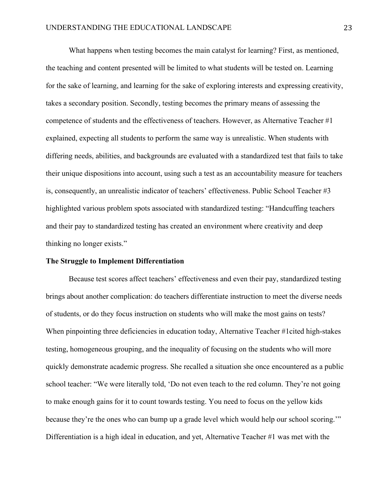What happens when testing becomes the main catalyst for learning? First, as mentioned, the teaching and content presented will be limited to what students will be tested on. Learning for the sake of learning, and learning for the sake of exploring interests and expressing creativity, takes a secondary position. Secondly, testing becomes the primary means of assessing the competence of students and the effectiveness of teachers. However, as Alternative Teacher #1 explained, expecting all students to perform the same way is unrealistic. When students with differing needs, abilities, and backgrounds are evaluated with a standardized test that fails to take their unique dispositions into account, using such a test as an accountability measure for teachers is, consequently, an unrealistic indicator of teachers' effectiveness. Public School Teacher #3 highlighted various problem spots associated with standardized testing: "Handcuffing teachers and their pay to standardized testing has created an environment where creativity and deep thinking no longer exists."

#### **The Struggle to Implement Differentiation**

Because test scores affect teachers' effectiveness and even their pay, standardized testing brings about another complication: do teachers differentiate instruction to meet the diverse needs of students, or do they focus instruction on students who will make the most gains on tests? When pinpointing three deficiencies in education today, Alternative Teacher #1cited high-stakes testing, homogeneous grouping, and the inequality of focusing on the students who will more quickly demonstrate academic progress. She recalled a situation she once encountered as a public school teacher: "We were literally told, 'Do not even teach to the red column. They're not going to make enough gains for it to count towards testing. You need to focus on the yellow kids because they're the ones who can bump up a grade level which would help our school scoring." Differentiation is a high ideal in education, and yet, Alternative Teacher #1 was met with the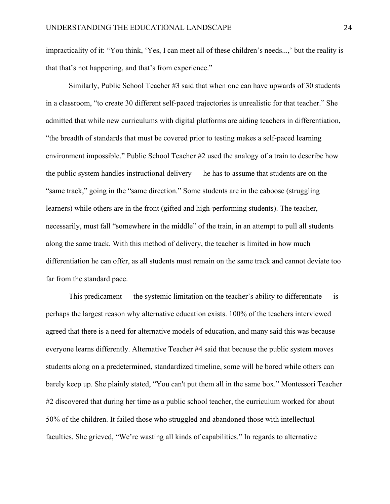impracticality of it: "You think, 'Yes, I can meet all of these children's needs...,' but the reality is that that's not happening, and that's from experience."

Similarly, Public School Teacher #3 said that when one can have upwards of 30 students in a classroom, "to create 30 different self-paced trajectories is unrealistic for that teacher." She admitted that while new curriculums with digital platforms are aiding teachers in differentiation, "the breadth of standards that must be covered prior to testing makes a self-paced learning environment impossible." Public School Teacher #2 used the analogy of a train to describe how the public system handles instructional delivery — he has to assume that students are on the "same track," going in the "same direction." Some students are in the caboose (struggling learners) while others are in the front (gifted and high-performing students). The teacher, necessarily, must fall "somewhere in the middle" of the train, in an attempt to pull all students along the same track. With this method of delivery, the teacher is limited in how much differentiation he can offer, as all students must remain on the same track and cannot deviate too far from the standard pace.

This predicament — the systemic limitation on the teacher's ability to differentiate — is perhaps the largest reason why alternative education exists. 100% of the teachers interviewed agreed that there is a need for alternative models of education, and many said this was because everyone learns differently. Alternative Teacher #4 said that because the public system moves students along on a predetermined, standardized timeline, some will be bored while others can barely keep up. She plainly stated, "You can't put them all in the same box." Montessori Teacher #2 discovered that during her time as a public school teacher, the curriculum worked for about 50% of the children. It failed those who struggled and abandoned those with intellectual faculties. She grieved, "We're wasting all kinds of capabilities." In regards to alternative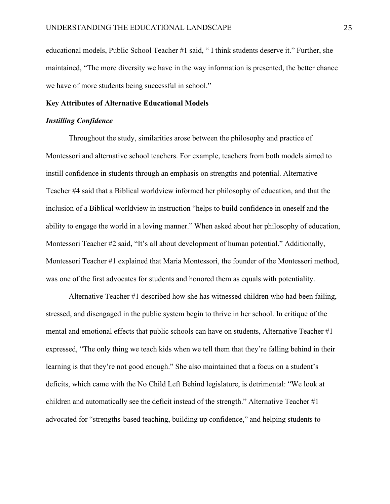educational models, Public School Teacher #1 said, " I think students deserve it." Further, she maintained, "The more diversity we have in the way information is presented, the better chance we have of more students being successful in school."

#### **Key Attributes of Alternative Educational Models**

#### *Instilling Confidence*

Throughout the study, similarities arose between the philosophy and practice of Montessori and alternative school teachers. For example, teachers from both models aimed to instill confidence in students through an emphasis on strengths and potential. Alternative Teacher #4 said that a Biblical worldview informed her philosophy of education, and that the inclusion of a Biblical worldview in instruction "helps to build confidence in oneself and the ability to engage the world in a loving manner." When asked about her philosophy of education, Montessori Teacher #2 said, "It's all about development of human potential." Additionally, Montessori Teacher #1 explained that Maria Montessori, the founder of the Montessori method, was one of the first advocates for students and honored them as equals with potentiality.

Alternative Teacher #1 described how she has witnessed children who had been failing, stressed, and disengaged in the public system begin to thrive in her school. In critique of the mental and emotional effects that public schools can have on students, Alternative Teacher #1 expressed, "The only thing we teach kids when we tell them that they're falling behind in their learning is that they're not good enough." She also maintained that a focus on a student's deficits, which came with the No Child Left Behind legislature, is detrimental: "We look at children and automatically see the deficit instead of the strength." Alternative Teacher #1 advocated for "strengths-based teaching, building up confidence," and helping students to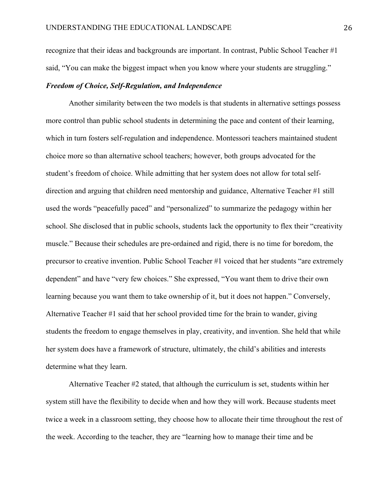recognize that their ideas and backgrounds are important. In contrast, Public School Teacher #1 said, "You can make the biggest impact when you know where your students are struggling."

# *Freedom of Choice, Self-Regulation, and Independence*

Another similarity between the two models is that students in alternative settings possess more control than public school students in determining the pace and content of their learning, which in turn fosters self-regulation and independence. Montessori teachers maintained student choice more so than alternative school teachers; however, both groups advocated for the student's freedom of choice. While admitting that her system does not allow for total selfdirection and arguing that children need mentorship and guidance, Alternative Teacher #1 still used the words "peacefully paced" and "personalized" to summarize the pedagogy within her school. She disclosed that in public schools, students lack the opportunity to flex their "creativity muscle." Because their schedules are pre-ordained and rigid, there is no time for boredom, the precursor to creative invention. Public School Teacher #1 voiced that her students "are extremely dependent" and have "very few choices." She expressed, "You want them to drive their own learning because you want them to take ownership of it, but it does not happen." Conversely, Alternative Teacher #1 said that her school provided time for the brain to wander, giving students the freedom to engage themselves in play, creativity, and invention. She held that while her system does have a framework of structure, ultimately, the child's abilities and interests determine what they learn.

Alternative Teacher #2 stated, that although the curriculum is set, students within her system still have the flexibility to decide when and how they will work. Because students meet twice a week in a classroom setting, they choose how to allocate their time throughout the rest of the week. According to the teacher, they are "learning how to manage their time and be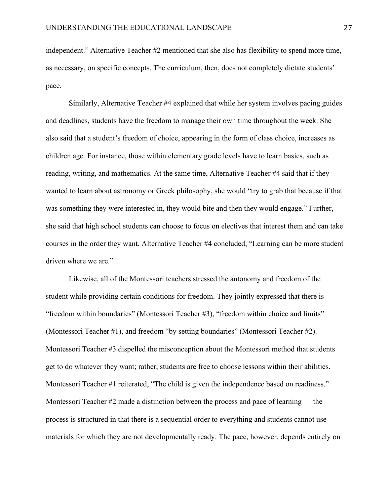independent." Alternative Teacher #2 mentioned that she also has flexibility to spend more time, as necessary, on specific concepts. The curriculum, then, does not completely dictate students' pace.

Similarly, Alternative Teacher #4 explained that while her system involves pacing guides and deadlines, students have the freedom to manage their own time throughout the week. She also said that a student's freedom of choice, appearing in the form of class choice, increases as children age. For instance, those within elementary grade levels have to learn basics, such as reading, writing, and mathematics. At the same time, Alternative Teacher #4 said that if they wanted to learn about astronomy or Greek philosophy, she would "try to grab that because if that was something they were interested in, they would bite and then they would engage." Further, she said that high school students can choose to focus on electives that interest them and can take courses in the order they want. Alternative Teacher #4 concluded, "Learning can be more student driven where we are."

Likewise, all of the Montessori teachers stressed the autonomy and freedom of the student while providing certain conditions for freedom. They jointly expressed that there is "freedom within boundaries" (Montessori Teacher #3), "freedom within choice and limits" (Montessori Teacher #1), and freedom "by setting boundaries" (Montessori Teacher #2). Montessori Teacher #3 dispelled the misconception about the Montessori method that students get to do whatever they want; rather, students are free to choose lessons within their abilities. Montessori Teacher #1 reiterated, "The child is given the independence based on readiness." Montessori Teacher #2 made a distinction between the process and pace of learning — the process is structured in that there is a sequential order to everything and students cannot use materials for which they are not developmentally ready. The pace, however, depends entirely on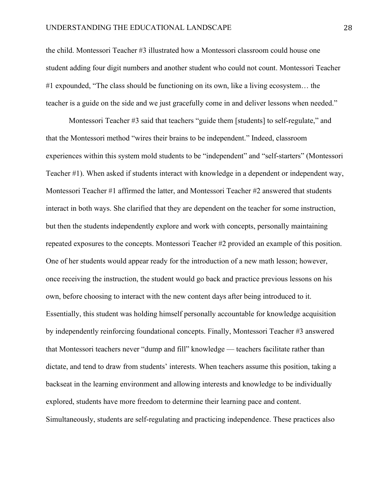the child. Montessori Teacher #3 illustrated how a Montessori classroom could house one student adding four digit numbers and another student who could not count. Montessori Teacher #1 expounded, "The class should be functioning on its own, like a living ecosystem… the teacher is a guide on the side and we just gracefully come in and deliver lessons when needed."

Montessori Teacher #3 said that teachers "guide them [students] to self-regulate," and that the Montessori method "wires their brains to be independent." Indeed, classroom experiences within this system mold students to be "independent" and "self-starters" (Montessori Teacher #1). When asked if students interact with knowledge in a dependent or independent way, Montessori Teacher #1 affirmed the latter, and Montessori Teacher #2 answered that students interact in both ways. She clarified that they are dependent on the teacher for some instruction, but then the students independently explore and work with concepts, personally maintaining repeated exposures to the concepts. Montessori Teacher #2 provided an example of this position. One of her students would appear ready for the introduction of a new math lesson; however, once receiving the instruction, the student would go back and practice previous lessons on his own, before choosing to interact with the new content days after being introduced to it. Essentially, this student was holding himself personally accountable for knowledge acquisition by independently reinforcing foundational concepts. Finally, Montessori Teacher #3 answered that Montessori teachers never "dump and fill" knowledge — teachers facilitate rather than dictate, and tend to draw from students' interests. When teachers assume this position, taking a backseat in the learning environment and allowing interests and knowledge to be individually explored, students have more freedom to determine their learning pace and content. Simultaneously, students are self-regulating and practicing independence. These practices also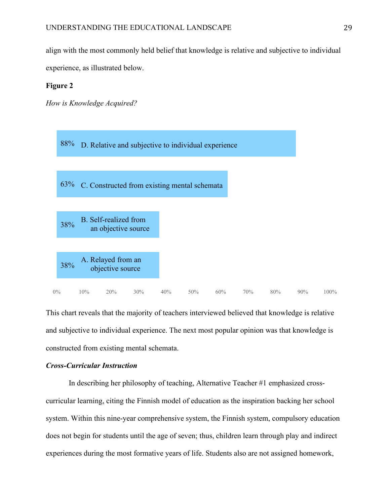align with the most commonly held belief that knowledge is relative and subjective to individual experience, as illustrated below.

#### **Figure 2**

*How is Knowledge Acquired?*



This chart reveals that the majority of teachers interviewed believed that knowledge is relative and subjective to individual experience. The next most popular opinion was that knowledge is constructed from existing mental schemata.

# *Cross-Curricular Instruction*

In describing her philosophy of teaching, Alternative Teacher #1 emphasized crosscurricular learning, citing the Finnish model of education as the inspiration backing her school system. Within this nine-year comprehensive system, the Finnish system, compulsory education does not begin for students until the age of seven; thus, children learn through play and indirect experiences during the most formative years of life. Students also are not assigned homework,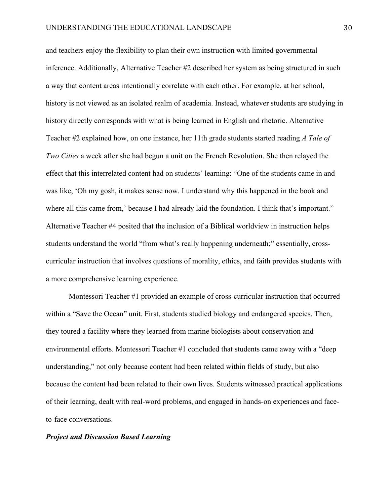and teachers enjoy the flexibility to plan their own instruction with limited governmental inference. Additionally, Alternative Teacher #2 described her system as being structured in such a way that content areas intentionally correlate with each other. For example, at her school, history is not viewed as an isolated realm of academia. Instead, whatever students are studying in history directly corresponds with what is being learned in English and rhetoric. Alternative Teacher #2 explained how, on one instance, her 11th grade students started reading *A Tale of Two Cities* a week after she had begun a unit on the French Revolution. She then relayed the effect that this interrelated content had on students' learning: "One of the students came in and was like, 'Oh my gosh, it makes sense now. I understand why this happened in the book and where all this came from,' because I had already laid the foundation. I think that's important." Alternative Teacher #4 posited that the inclusion of a Biblical worldview in instruction helps students understand the world "from what's really happening underneath;" essentially, crosscurricular instruction that involves questions of morality, ethics, and faith provides students with a more comprehensive learning experience.

Montessori Teacher #1 provided an example of cross-curricular instruction that occurred within a "Save the Ocean" unit. First, students studied biology and endangered species. Then, they toured a facility where they learned from marine biologists about conservation and environmental efforts. Montessori Teacher #1 concluded that students came away with a "deep understanding," not only because content had been related within fields of study, but also because the content had been related to their own lives. Students witnessed practical applications of their learning, dealt with real-word problems, and engaged in hands-on experiences and faceto-face conversations.

#### *Project and Discussion Based Learning*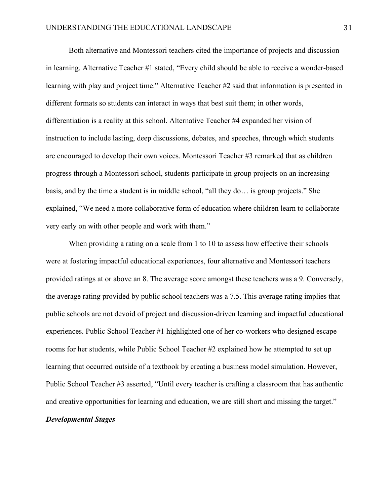Both alternative and Montessori teachers cited the importance of projects and discussion in learning. Alternative Teacher #1 stated, "Every child should be able to receive a wonder-based learning with play and project time." Alternative Teacher #2 said that information is presented in different formats so students can interact in ways that best suit them; in other words, differentiation is a reality at this school. Alternative Teacher #4 expanded her vision of instruction to include lasting, deep discussions, debates, and speeches, through which students are encouraged to develop their own voices. Montessori Teacher #3 remarked that as children progress through a Montessori school, students participate in group projects on an increasing basis, and by the time a student is in middle school, "all they do… is group projects." She explained, "We need a more collaborative form of education where children learn to collaborate very early on with other people and work with them."

When providing a rating on a scale from 1 to 10 to assess how effective their schools were at fostering impactful educational experiences, four alternative and Montessori teachers provided ratings at or above an 8. The average score amongst these teachers was a 9. Conversely, the average rating provided by public school teachers was a 7.5. This average rating implies that public schools are not devoid of project and discussion-driven learning and impactful educational experiences. Public School Teacher #1 highlighted one of her co-workers who designed escape rooms for her students, while Public School Teacher #2 explained how he attempted to set up learning that occurred outside of a textbook by creating a business model simulation. However, Public School Teacher #3 asserted, "Until every teacher is crafting a classroom that has authentic and creative opportunities for learning and education, we are still short and missing the target." *Developmental Stages*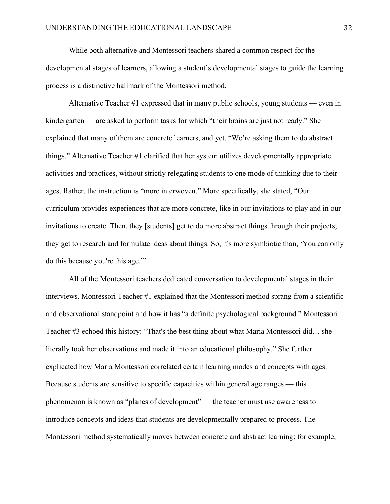While both alternative and Montessori teachers shared a common respect for the developmental stages of learners, allowing a student's developmental stages to guide the learning process is a distinctive hallmark of the Montessori method.

Alternative Teacher #1 expressed that in many public schools, young students — even in kindergarten — are asked to perform tasks for which "their brains are just not ready." She explained that many of them are concrete learners, and yet, "We're asking them to do abstract things." Alternative Teacher #1 clarified that her system utilizes developmentally appropriate activities and practices, without strictly relegating students to one mode of thinking due to their ages. Rather, the instruction is "more interwoven." More specifically, she stated, "Our curriculum provides experiences that are more concrete, like in our invitations to play and in our invitations to create. Then, they [students] get to do more abstract things through their projects; they get to research and formulate ideas about things. So, it's more symbiotic than, 'You can only do this because you're this age.'"

All of the Montessori teachers dedicated conversation to developmental stages in their interviews. Montessori Teacher #1 explained that the Montessori method sprang from a scientific and observational standpoint and how it has "a definite psychological background." Montessori Teacher #3 echoed this history: "That's the best thing about what Maria Montessori did… she literally took her observations and made it into an educational philosophy." She further explicated how Maria Montessori correlated certain learning modes and concepts with ages. Because students are sensitive to specific capacities within general age ranges — this phenomenon is known as "planes of development" — the teacher must use awareness to introduce concepts and ideas that students are developmentally prepared to process. The Montessori method systematically moves between concrete and abstract learning; for example,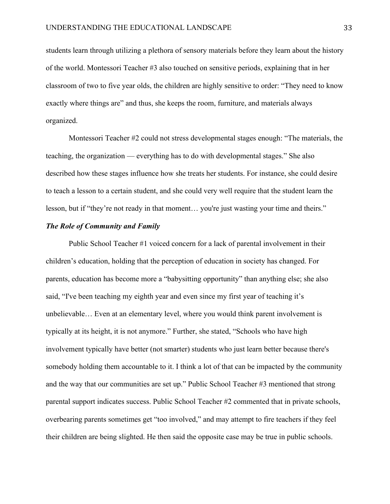students learn through utilizing a plethora of sensory materials before they learn about the history of the world. Montessori Teacher #3 also touched on sensitive periods, explaining that in her classroom of two to five year olds, the children are highly sensitive to order: "They need to know exactly where things are" and thus, she keeps the room, furniture, and materials always organized.

Montessori Teacher #2 could not stress developmental stages enough: "The materials, the teaching, the organization — everything has to do with developmental stages." She also described how these stages influence how she treats her students. For instance, she could desire to teach a lesson to a certain student, and she could very well require that the student learn the lesson, but if "they're not ready in that moment… you're just wasting your time and theirs."

#### *The Role of Community and Family*

Public School Teacher #1 voiced concern for a lack of parental involvement in their children's education, holding that the perception of education in society has changed. For parents, education has become more a "babysitting opportunity" than anything else; she also said, "I've been teaching my eighth year and even since my first year of teaching it's unbelievable… Even at an elementary level, where you would think parent involvement is typically at its height, it is not anymore." Further, she stated, "Schools who have high involvement typically have better (not smarter) students who just learn better because there's somebody holding them accountable to it. I think a lot of that can be impacted by the community and the way that our communities are set up." Public School Teacher #3 mentioned that strong parental support indicates success. Public School Teacher #2 commented that in private schools, overbearing parents sometimes get "too involved," and may attempt to fire teachers if they feel their children are being slighted. He then said the opposite case may be true in public schools.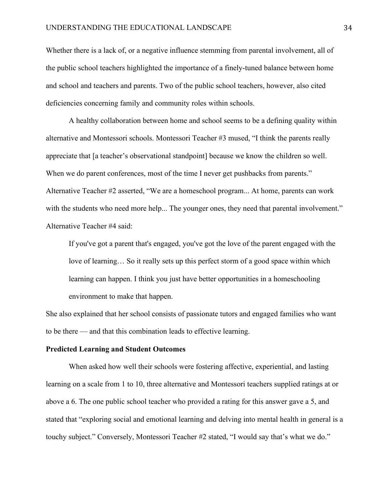Whether there is a lack of, or a negative influence stemming from parental involvement, all of the public school teachers highlighted the importance of a finely-tuned balance between home and school and teachers and parents. Two of the public school teachers, however, also cited deficiencies concerning family and community roles within schools.

A healthy collaboration between home and school seems to be a defining quality within alternative and Montessori schools. Montessori Teacher #3 mused, "I think the parents really appreciate that [a teacher's observational standpoint] because we know the children so well. When we do parent conferences, most of the time I never get pushbacks from parents." Alternative Teacher #2 asserted, "We are a homeschool program... At home, parents can work with the students who need more help... The younger ones, they need that parental involvement." Alternative Teacher #4 said:

If you've got a parent that's engaged, you've got the love of the parent engaged with the love of learning… So it really sets up this perfect storm of a good space within which learning can happen. I think you just have better opportunities in a homeschooling environment to make that happen.

She also explained that her school consists of passionate tutors and engaged families who want to be there — and that this combination leads to effective learning.

#### **Predicted Learning and Student Outcomes**

When asked how well their schools were fostering affective, experiential, and lasting learning on a scale from 1 to 10, three alternative and Montessori teachers supplied ratings at or above a 6. The one public school teacher who provided a rating for this answer gave a 5, and stated that "exploring social and emotional learning and delving into mental health in general is a touchy subject." Conversely, Montessori Teacher #2 stated, "I would say that's what we do."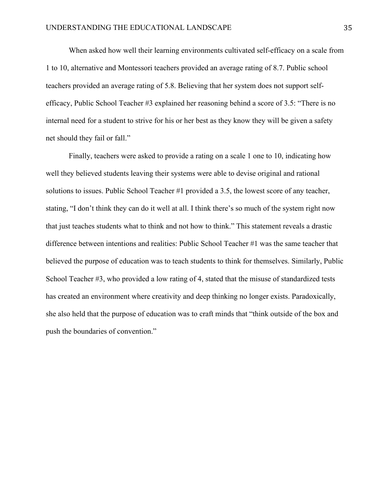When asked how well their learning environments cultivated self-efficacy on a scale from 1 to 10, alternative and Montessori teachers provided an average rating of 8.7. Public school teachers provided an average rating of 5.8. Believing that her system does not support selfefficacy, Public School Teacher #3 explained her reasoning behind a score of 3.5: "There is no internal need for a student to strive for his or her best as they know they will be given a safety net should they fail or fall."

Finally, teachers were asked to provide a rating on a scale 1 one to 10, indicating how well they believed students leaving their systems were able to devise original and rational solutions to issues. Public School Teacher #1 provided a 3.5, the lowest score of any teacher, stating, "I don't think they can do it well at all. I think there's so much of the system right now that just teaches students what to think and not how to think." This statement reveals a drastic difference between intentions and realities: Public School Teacher #1 was the same teacher that believed the purpose of education was to teach students to think for themselves. Similarly, Public School Teacher #3, who provided a low rating of 4, stated that the misuse of standardized tests has created an environment where creativity and deep thinking no longer exists. Paradoxically, she also held that the purpose of education was to craft minds that "think outside of the box and push the boundaries of convention."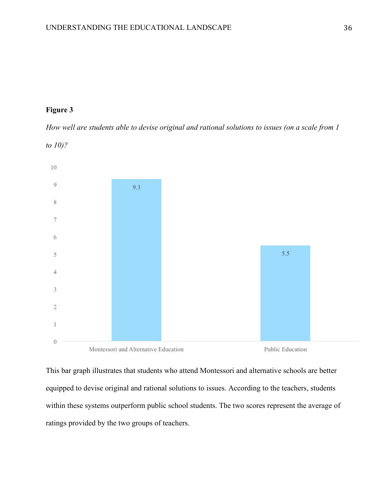# **Figure 3**

*to 10)?*

*How well are students able to devise original and rational solutions to issues (on a scale from 1* 



This bar graph illustrates that students who attend Montessori and alternative schools are better equipped to devise original and rational solutions to issues. According to the teachers, students within these systems outperform public school students. The two scores represent the average of ratings provided by the two groups of teachers.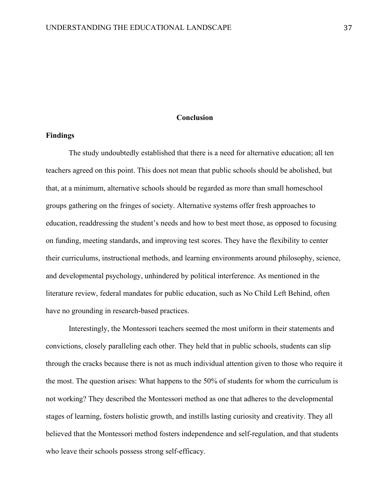#### **Conclusion**

#### **Findings**

The study undoubtedly established that there is a need for alternative education; all ten teachers agreed on this point. This does not mean that public schools should be abolished, but that, at a minimum, alternative schools should be regarded as more than small homeschool groups gathering on the fringes of society. Alternative systems offer fresh approaches to education, readdressing the student's needs and how to best meet those, as opposed to focusing on funding, meeting standards, and improving test scores. They have the flexibility to center their curriculums, instructional methods, and learning environments around philosophy, science, and developmental psychology, unhindered by political interference. As mentioned in the literature review, federal mandates for public education, such as No Child Left Behind, often have no grounding in research-based practices.

Interestingly, the Montessori teachers seemed the most uniform in their statements and convictions, closely paralleling each other. They held that in public schools, students can slip through the cracks because there is not as much individual attention given to those who require it the most. The question arises: What happens to the 50% of students for whom the curriculum is not working? They described the Montessori method as one that adheres to the developmental stages of learning, fosters holistic growth, and instills lasting curiosity and creativity. They all believed that the Montessori method fosters independence and self-regulation, and that students who leave their schools possess strong self-efficacy.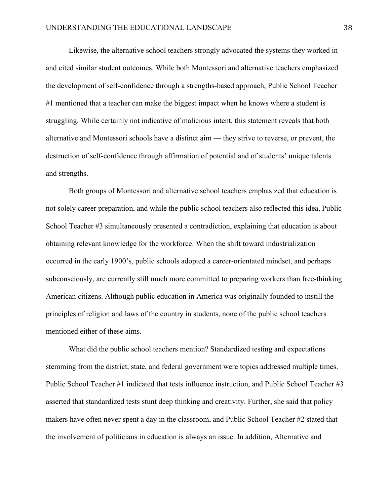Likewise, the alternative school teachers strongly advocated the systems they worked in and cited similar student outcomes. While both Montessori and alternative teachers emphasized the development of self-confidence through a strengths-based approach, Public School Teacher #1 mentioned that a teacher can make the biggest impact when he knows where a student is struggling. While certainly not indicative of malicious intent, this statement reveals that both alternative and Montessori schools have a distinct aim — they strive to reverse, or prevent, the destruction of self-confidence through affirmation of potential and of students' unique talents and strengths.

Both groups of Montessori and alternative school teachers emphasized that education is not solely career preparation, and while the public school teachers also reflected this idea, Public School Teacher #3 simultaneously presented a contradiction, explaining that education is about obtaining relevant knowledge for the workforce. When the shift toward industrialization occurred in the early 1900's, public schools adopted a career-orientated mindset, and perhaps subconsciously, are currently still much more committed to preparing workers than free-thinking American citizens. Although public education in America was originally founded to instill the principles of religion and laws of the country in students, none of the public school teachers mentioned either of these aims.

What did the public school teachers mention? Standardized testing and expectations stemming from the district, state, and federal government were topics addressed multiple times. Public School Teacher #1 indicated that tests influence instruction, and Public School Teacher #3 asserted that standardized tests stunt deep thinking and creativity. Further, she said that policy makers have often never spent a day in the classroom, and Public School Teacher #2 stated that the involvement of politicians in education is always an issue. In addition, Alternative and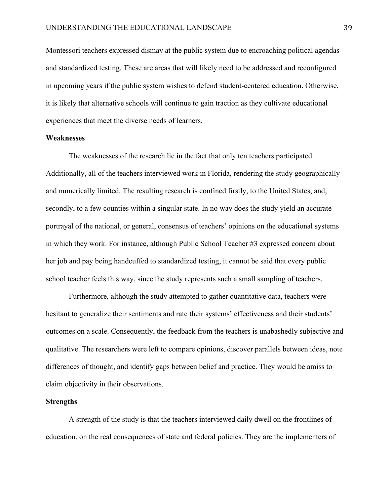Montessori teachers expressed dismay at the public system due to encroaching political agendas and standardized testing. These are areas that will likely need to be addressed and reconfigured in upcoming years if the public system wishes to defend student-centered education. Otherwise, it is likely that alternative schools will continue to gain traction as they cultivate educational experiences that meet the diverse needs of learners.

#### **Weaknesses**

The weaknesses of the research lie in the fact that only ten teachers participated. Additionally, all of the teachers interviewed work in Florida, rendering the study geographically and numerically limited. The resulting research is confined firstly, to the United States, and, secondly, to a few counties within a singular state. In no way does the study yield an accurate portrayal of the national, or general, consensus of teachers' opinions on the educational systems in which they work. For instance, although Public School Teacher #3 expressed concern about her job and pay being handcuffed to standardized testing, it cannot be said that every public school teacher feels this way, since the study represents such a small sampling of teachers.

Furthermore, although the study attempted to gather quantitative data, teachers were hesitant to generalize their sentiments and rate their systems' effectiveness and their students' outcomes on a scale. Consequently, the feedback from the teachers is unabashedly subjective and qualitative. The researchers were left to compare opinions, discover parallels between ideas, note differences of thought, and identify gaps between belief and practice. They would be amiss to claim objectivity in their observations.

## **Strengths**

A strength of the study is that the teachers interviewed daily dwell on the frontlines of education, on the real consequences of state and federal policies. They are the implementers of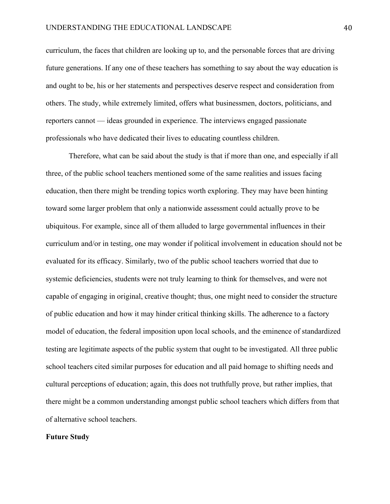curriculum, the faces that children are looking up to, and the personable forces that are driving future generations. If any one of these teachers has something to say about the way education is and ought to be, his or her statements and perspectives deserve respect and consideration from others. The study, while extremely limited, offers what businessmen, doctors, politicians, and reporters cannot — ideas grounded in experience. The interviews engaged passionate professionals who have dedicated their lives to educating countless children.

Therefore, what can be said about the study is that if more than one, and especially if all three, of the public school teachers mentioned some of the same realities and issues facing education, then there might be trending topics worth exploring. They may have been hinting toward some larger problem that only a nationwide assessment could actually prove to be ubiquitous. For example, since all of them alluded to large governmental influences in their curriculum and/or in testing, one may wonder if political involvement in education should not be evaluated for its efficacy. Similarly, two of the public school teachers worried that due to systemic deficiencies, students were not truly learning to think for themselves, and were not capable of engaging in original, creative thought; thus, one might need to consider the structure of public education and how it may hinder critical thinking skills. The adherence to a factory model of education, the federal imposition upon local schools, and the eminence of standardized testing are legitimate aspects of the public system that ought to be investigated. All three public school teachers cited similar purposes for education and all paid homage to shifting needs and cultural perceptions of education; again, this does not truthfully prove, but rather implies, that there might be a common understanding amongst public school teachers which differs from that of alternative school teachers.

#### **Future Study**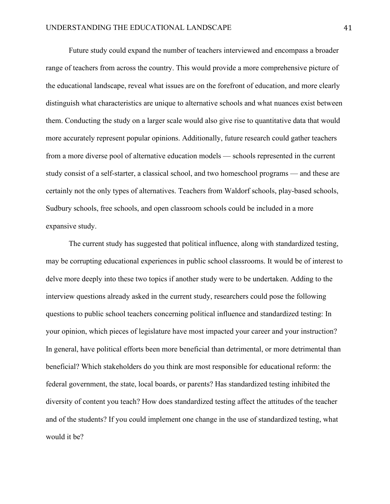Future study could expand the number of teachers interviewed and encompass a broader range of teachers from across the country. This would provide a more comprehensive picture of the educational landscape, reveal what issues are on the forefront of education, and more clearly distinguish what characteristics are unique to alternative schools and what nuances exist between them. Conducting the study on a larger scale would also give rise to quantitative data that would more accurately represent popular opinions. Additionally, future research could gather teachers from a more diverse pool of alternative education models — schools represented in the current study consist of a self-starter, a classical school, and two homeschool programs — and these are certainly not the only types of alternatives. Teachers from Waldorf schools, play-based schools, Sudbury schools, free schools, and open classroom schools could be included in a more expansive study.

The current study has suggested that political influence, along with standardized testing, may be corrupting educational experiences in public school classrooms. It would be of interest to delve more deeply into these two topics if another study were to be undertaken. Adding to the interview questions already asked in the current study, researchers could pose the following questions to public school teachers concerning political influence and standardized testing: In your opinion, which pieces of legislature have most impacted your career and your instruction? In general, have political efforts been more beneficial than detrimental, or more detrimental than beneficial? Which stakeholders do you think are most responsible for educational reform: the federal government, the state, local boards, or parents? Has standardized testing inhibited the diversity of content you teach? How does standardized testing affect the attitudes of the teacher and of the students? If you could implement one change in the use of standardized testing, what would it be?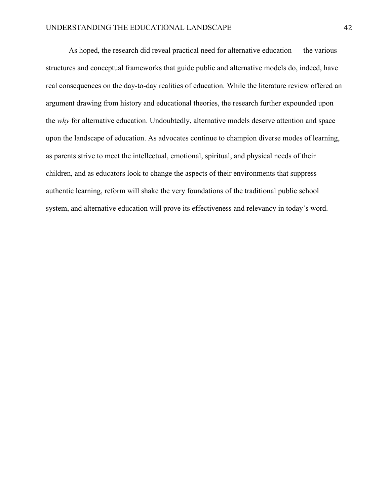As hoped, the research did reveal practical need for alternative education — the various structures and conceptual frameworks that guide public and alternative models do, indeed, have real consequences on the day-to-day realities of education. While the literature review offered an argument drawing from history and educational theories, the research further expounded upon the *why* for alternative education. Undoubtedly, alternative models deserve attention and space upon the landscape of education. As advocates continue to champion diverse modes of learning, as parents strive to meet the intellectual, emotional, spiritual, and physical needs of their children, and as educators look to change the aspects of their environments that suppress authentic learning, reform will shake the very foundations of the traditional public school system, and alternative education will prove its effectiveness and relevancy in today's word.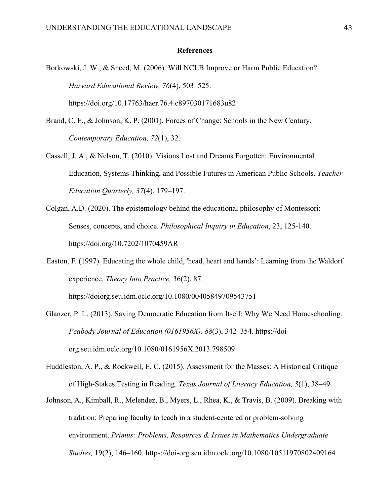#### **References**

- Borkowski, J. W., & Sneed, M. (2006). Will NCLB Improve or Harm Public Education? *Harvard Educational Review, 76*(4), 503–525. https://doi.org/10.17763/haer.76.4.c897030171683u82
- Brand, C. F., & Johnson, K. P. (2001). Forces of Change: Schools in the New Century. *Contemporary Education, 72*(1), 32.
- Cassell, J. A., & Nelson, T. (2010). Visions Lost and Dreams Forgotten: Environmental Education, Systems Thinking, and Possible Futures in American Public Schools. *Teacher Education Quarterly, 37*(4), 179–197.
- Colgan, A.D. (2020). The epistemology behind the educational philosophy of Montessori: Senses, concepts, and choice. *Philosophical Inquiry in Education*, 23, 125-140. <https://doi.org/10.7202/1070459AR>
- Easton, F. (1997). Educating the whole child, 'head, heart and hands': Learning from the Waldorf experience. *Theory Into Practice,* 36(2), 87.

<https://doiorg.seu.idm.oclc.org/10.1080/00405849709543751>

- Glanzer, P. L. (2013). Saving Democratic Education from Itself: Why We Need Homeschooling. *Peabody Journal of Education (0161956X), 88*(3), 342–354. [https://doi](https://doi-org.seu.idm.oclc.org/10.1080/0161956X.2013.798509)[org.seu.idm.oclc.org/10.1080/0161956X.2013.798509](https://doi-org.seu.idm.oclc.org/10.1080/0161956X.2013.798509)
- Huddleston, A. P., & Rockwell, E. C. (2015). Assessment for the Masses: A Historical Critique of High-Stakes Testing in Reading. *Texas Journal of Literacy Education, 3*(1), 38–49.
- Johnson, A., Kimball, R., Melendez, B., Myers, L., Rhea, K., & Travis, B. (2009). Breaking with tradition: Preparing faculty to teach in a student-centered or problem-solving environment. *Primus: Problems, Resources & Issues in Mathematics Undergraduate Studies,* 19(2), 146–160.<https://doi-org.seu.idm.oclc.org/10.1080/10511970802409164>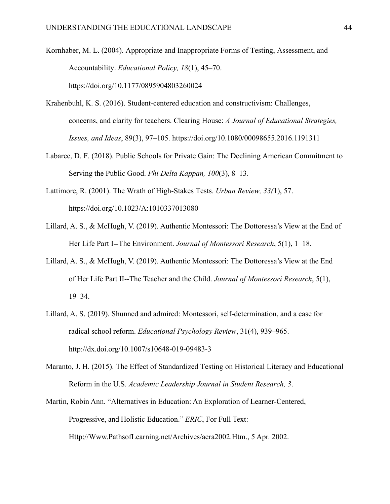Kornhaber, M. L. (2004). Appropriate and Inappropriate Forms of Testing, Assessment, and Accountability. *Educational Policy, 18*(1), 45–70. https://doi.org/10.1177/0895904803260024

- Krahenbuhl, K. S. (2016). Student-centered education and constructivism: Challenges, concerns, and clarity for teachers. Clearing House: *A Journal of Educational Strategies, Issues, and Ideas*, 89(3), 97–105.<https://doi.org/10.1080/00098655.2016.1191311>
- Labaree, D. F. (2018). Public Schools for Private Gain: The Declining American Commitment to Serving the Public Good. *Phi Delta Kappan, 100*(3), 8–13.
- Lattimore, R. (2001). The Wrath of High-Stakes Tests. *Urban Review, 33(*1), 57. <https://doi.org/10.1023/A:1010337013080>
- Lillard, A. S., & McHugh, V. (2019). Authentic Montessori: The Dottoressa's View at the End of Her Life Part I--The Environment. *Journal of Montessori Research*, 5(1), 1–18.
- Lillard, A. S., & McHugh, V. (2019). Authentic Montessori: The Dottoressa's View at the End of Her Life Part II--The Teacher and the Child. *Journal of Montessori Research*, 5(1), 19–34.
- Lillard, A. S. (2019). Shunned and admired: Montessori, self-determination, and a case for radical school reform. *Educational Psychology Review*, 31(4), 939–965. <http://dx.doi.org/10.1007/s10648-019-09483-3>
- Maranto, J. H. (2015). The Effect of Standardized Testing on Historical Literacy and Educational Reform in the U.S. *Academic Leadership Journal in Student Research, 3*.
- Martin, Robin Ann. "Alternatives in Education: An Exploration of Learner-Centered, Progressive, and Holistic Education." *ERIC*, For Full Text: Http://Www.PathsofLearning.net/Archives/aera2002.Htm., 5 Apr. 2002.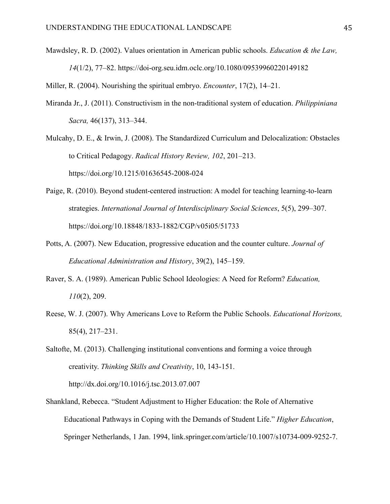Mawdsley, R. D. (2002). Values orientation in American public schools. *Education & the Law, 14*(1/2), 77–82.<https://doi-org.seu.idm.oclc.org/10.1080/09539960220149182>

Miller, R. (2004). Nourishing the spiritual embryo. *Encounter*, 17(2), 14–21.

- Miranda Jr., J. (2011). Constructivism in the non-traditional system of education. *Philippiniana Sacra,* 46(137), 313–344.
- Mulcahy, D. E., & Irwin, J. (2008). The Standardized Curriculum and Delocalization: Obstacles to Critical Pedagogy. *Radical History Review, 102*, 201–213. https://doi.org/10.1215/01636545-2008-024
- Paige, R. (2010). Beyond student-centered instruction: A model for teaching learning-to-learn strategies. *International Journal of Interdisciplinary Social Sciences*, 5(5), 299–307. https://doi.org/10.18848/1833-1882/CGP/v05i05/51733
- Potts, A. (2007). New Education, progressive education and the counter culture. *Journal of Educational Administration and History*, 39(2), 145–159.
- Raver, S. A. (1989). American Public School Ideologies: A Need for Reform? *Education, 110*(2), 209.
- Reese, W. J. (2007). Why Americans Love to Reform the Public Schools. *Educational Horizons,* 85(4), 217–231.
- Saltofte, M. (2013). Challenging institutional conventions and forming a voice through creativity. *Thinking Skills and Creativity*, 10, 143-151. http://dx.doi.org/10.1016/j.tsc.2013.07.007
- Shankland, Rebecca. "Student Adjustment to Higher Education: the Role of Alternative Educational Pathways in Coping with the Demands of Student Life." *Higher Education*, Springer Netherlands, 1 Jan. 1994, link.springer.com/article/10.1007/s10734-009-9252-7.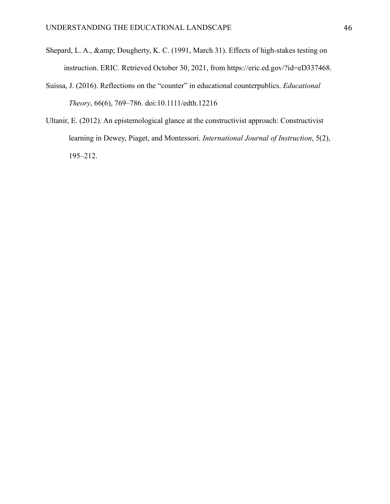- Shepard, L. A., & amp; Dougherty, K. C. (1991, March 31). Effects of high-stakes testing on instruction. ERIC. Retrieved October 30, 2021, from https://eric.ed.gov/?id=eD337468.
- Suissa, J. (2016). Reflections on the "counter" in educational counterpublics. *Educational Theory*, 66(6), 769–786. doi:10.1111/edth.12216
- Ultanir, E. (2012). An epistemological glance at the constructivist approach: Constructivist learning in Dewey, Piaget, and Montessori. *International Journal of Instruction*, 5(2), 195–212.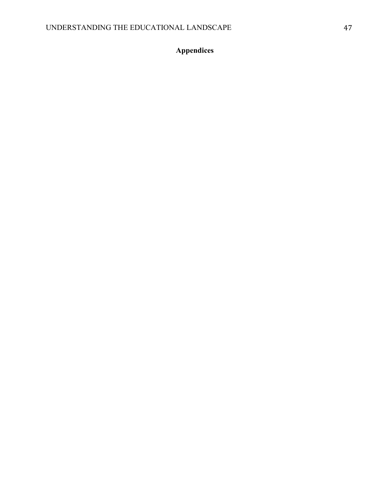# **Appendices**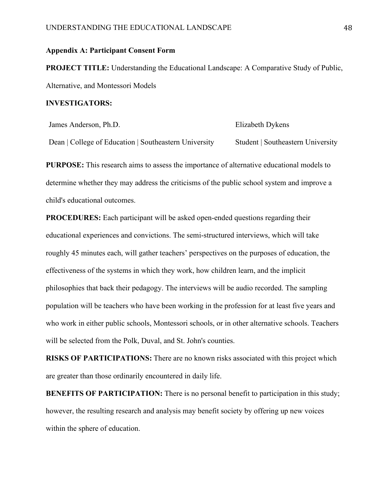## **Appendix A: Participant Consent Form**

**PROJECT TITLE:** Understanding the Educational Landscape: A Comparative Study of Public, Alternative, and Montessori Models

#### **INVESTIGATORS:**

| James Anderson, Ph.D.                                 | Elizabeth Dykens                  |  |
|-------------------------------------------------------|-----------------------------------|--|
| Dean   College of Education   Southeastern University | Student   Southeastern University |  |

**PURPOSE:** This research aims to assess the importance of alternative educational models to determine whether they may address the criticisms of the public school system and improve a child's educational outcomes.

**PROCEDURES:** Each participant will be asked open-ended questions regarding their educational experiences and convictions. The semi-structured interviews, which will take roughly 45 minutes each, will gather teachers' perspectives on the purposes of education, the effectiveness of the systems in which they work, how children learn, and the implicit philosophies that back their pedagogy. The interviews will be audio recorded. The sampling population will be teachers who have been working in the profession for at least five years and who work in either public schools, Montessori schools, or in other alternative schools. Teachers will be selected from the Polk, Duval, and St. John's counties.

**RISKS OF PARTICIPATIONS:** There are no known risks associated with this project which are greater than those ordinarily encountered in daily life.

**BENEFITS OF PARTICIPATION:** There is no personal benefit to participation in this study; however, the resulting research and analysis may benefit society by offering up new voices within the sphere of education.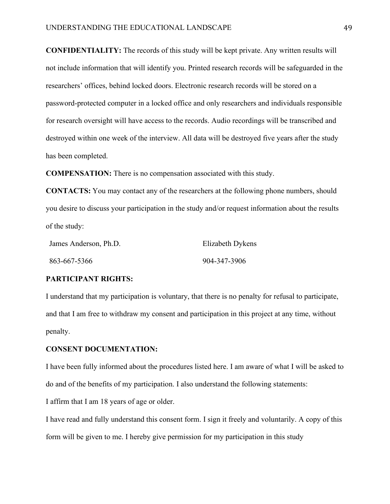**CONFIDENTIALITY:** The records of this study will be kept private. Any written results will not include information that will identify you. Printed research records will be safeguarded in the researchers' offices, behind locked doors. Electronic research records will be stored on a password-protected computer in a locked office and only researchers and individuals responsible for research oversight will have access to the records. Audio recordings will be transcribed and destroyed within one week of the interview. All data will be destroyed five years after the study has been completed.

**COMPENSATION:** There is no compensation associated with this study.

**CONTACTS:** You may contact any of the researchers at the following phone numbers, should you desire to discuss your participation in the study and/or request information about the results of the study:

| James Anderson, Ph.D. | Elizabeth Dykens |  |
|-----------------------|------------------|--|
| 863-667-5366          | 904-347-3906     |  |

## **PARTICIPANT RIGHTS:**

I understand that my participation is voluntary, that there is no penalty for refusal to participate, and that I am free to withdraw my consent and participation in this project at any time, without penalty.

## **CONSENT DOCUMENTATION:**

I have been fully informed about the procedures listed here. I am aware of what I will be asked to do and of the benefits of my participation. I also understand the following statements:

I affirm that I am 18 years of age or older.

I have read and fully understand this consent form. I sign it freely and voluntarily. A copy of this form will be given to me. I hereby give permission for my participation in this study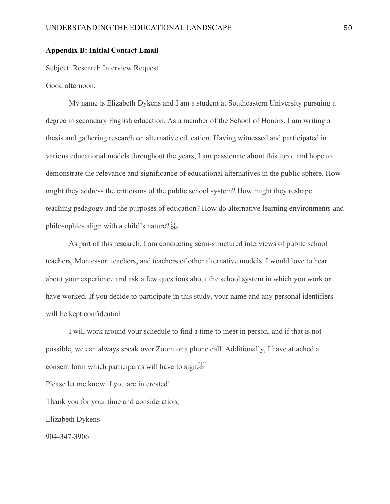## **Appendix B: Initial Contact Email**

Subject: Research Interview Request

Good afternoon,

My name is Elizabeth Dykens and I am a student at Southeastern University pursuing a degree in secondary English education. As a member of the School of Honors, I am writing a thesis and gathering research on alternative education. Having witnessed and participated in various educational models throughout the years, I am passionate about this topic and hope to demonstrate the relevance and significance of educational alternatives in the public sphere. How might they address the criticisms of the public school system? How might they reshape teaching pedagogy and the purposes of education? How do alternative learning environments and philosophies align with a child's nature?

As part of this research, I am conducting semi-structured interviews of public school teachers, Montessori teachers, and teachers of other alternative models. I would love to hear about your experience and ask a few questions about the school system in which you work or have worked. If you decide to participate in this study, your name and any personal identifiers will be kept confidential.

I will work around your schedule to find a time to meet in person, and if that is not possible, we can always speak over Zoom or a phone call. Additionally, I have attached a consent form which participants will have to sign.  $\frac{1}{2}$ 

Please let me know if you are interested!

Thank you for your time and consideration,

Elizabeth Dykens

904-347-3906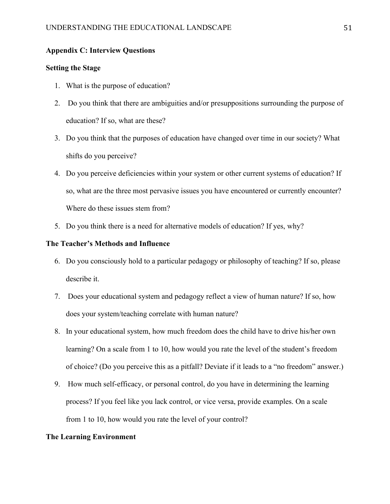## **Appendix C: Interview Questions**

## **Setting the Stage**

- 1. What is the purpose of education?
- 2. Do you think that there are ambiguities and/or presuppositions surrounding the purpose of education? If so, what are these?
- 3. Do you think that the purposes of education have changed over time in our society? What shifts do you perceive?
- 4. Do you perceive deficiencies within your system or other current systems of education? If so, what are the three most pervasive issues you have encountered or currently encounter? Where do these issues stem from?
- 5. Do you think there is a need for alternative models of education? If yes, why?

## **The Teacher's Methods and Influence**

- 6. Do you consciously hold to a particular pedagogy or philosophy of teaching? If so, please describe it.
- 7. Does your educational system and pedagogy reflect a view of human nature? If so, how does your system/teaching correlate with human nature?
- 8. In your educational system, how much freedom does the child have to drive his/her own learning? On a scale from 1 to 10, how would you rate the level of the student's freedom of choice? (Do you perceive this as a pitfall? Deviate if it leads to a "no freedom" answer.)
- 9. How much self-efficacy, or personal control, do you have in determining the learning process? If you feel like you lack control, or vice versa, provide examples. On a scale from 1 to 10, how would you rate the level of your control?

#### **The Learning Environment**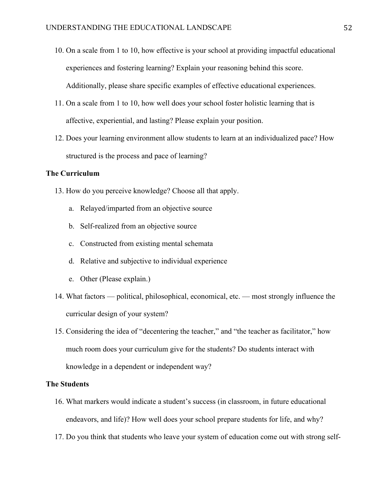- 10. On a scale from 1 to 10, how effective is your school at providing impactful educational experiences and fostering learning? Explain your reasoning behind this score. Additionally, please share specific examples of effective educational experiences.
- 11. On a scale from 1 to 10, how well does your school foster holistic learning that is affective, experiential, and lasting? Please explain your position.
- 12. Does your learning environment allow students to learn at an individualized pace? How structured is the process and pace of learning?

## **The Curriculum**

- 13. How do you perceive knowledge? Choose all that apply.
	- a. Relayed/imparted from an objective source
	- b. Self-realized from an objective source
	- c. Constructed from existing mental schemata
	- d. Relative and subjective to individual experience
	- e. Other (Please explain.)
- 14. What factors political, philosophical, economical, etc. most strongly influence the curricular design of your system?
- 15. Considering the idea of "decentering the teacher," and "the teacher as facilitator," how much room does your curriculum give for the students? Do students interact with knowledge in a dependent or independent way?

## **The Students**

- 16. What markers would indicate a student's success (in classroom, in future educational endeavors, and life)? How well does your school prepare students for life, and why?
- 17. Do you think that students who leave your system of education come out with strong self-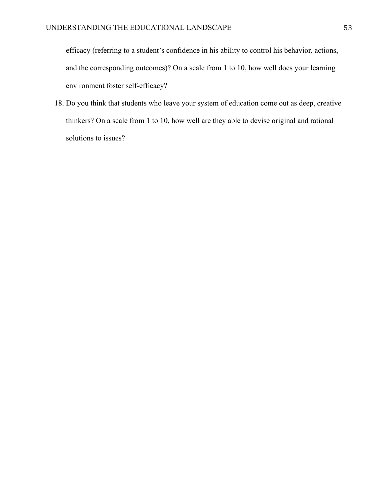efficacy (referring to a student's confidence in his ability to control his behavior, actions, and the corresponding outcomes)? On a scale from 1 to 10, how well does your learning environment foster self-efficacy?

18. Do you think that students who leave your system of education come out as deep, creative thinkers? On a scale from 1 to 10, how well are they able to devise original and rational solutions to issues?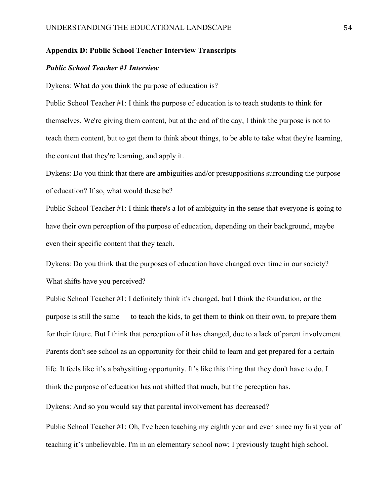# **Appendix D: Public School Teacher Interview Transcripts**

#### *Public School Teacher #1 Interview*

Dykens: What do you think the purpose of education is?

Public School Teacher #1: I think the purpose of education is to teach students to think for themselves. We're giving them content, but at the end of the day, I think the purpose is not to teach them content, but to get them to think about things, to be able to take what they're learning, the content that they're learning, and apply it.

Dykens: Do you think that there are ambiguities and/or presuppositions surrounding the purpose of education? If so, what would these be?

Public School Teacher #1: I think there's a lot of ambiguity in the sense that everyone is going to have their own perception of the purpose of education, depending on their background, maybe even their specific content that they teach.

Dykens: Do you think that the purposes of education have changed over time in our society? What shifts have you perceived?

Public School Teacher #1: I definitely think it's changed, but I think the foundation, or the purpose is still the same — to teach the kids, to get them to think on their own, to prepare them for their future. But I think that perception of it has changed, due to a lack of parent involvement. Parents don't see school as an opportunity for their child to learn and get prepared for a certain life. It feels like it's a babysitting opportunity. It's like this thing that they don't have to do. I think the purpose of education has not shifted that much, but the perception has.

Dykens: And so you would say that parental involvement has decreased?

Public School Teacher #1: Oh, I've been teaching my eighth year and even since my first year of teaching it's unbelievable. I'm in an elementary school now; I previously taught high school.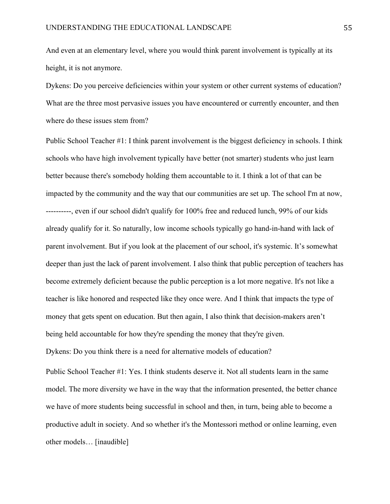And even at an elementary level, where you would think parent involvement is typically at its height, it is not anymore.

Dykens: Do you perceive deficiencies within your system or other current systems of education? What are the three most pervasive issues you have encountered or currently encounter, and then where do these issues stem from?

Public School Teacher #1: I think parent involvement is the biggest deficiency in schools. I think schools who have high involvement typically have better (not smarter) students who just learn better because there's somebody holding them accountable to it. I think a lot of that can be impacted by the community and the way that our communities are set up. The school I'm at now, ----------, even if our school didn't qualify for 100% free and reduced lunch, 99% of our kids already qualify for it. So naturally, low income schools typically go hand-in-hand with lack of parent involvement. But if you look at the placement of our school, it's systemic. It's somewhat deeper than just the lack of parent involvement. I also think that public perception of teachers has become extremely deficient because the public perception is a lot more negative. It's not like a teacher is like honored and respected like they once were. And I think that impacts the type of money that gets spent on education. But then again, I also think that decision-makers aren't being held accountable for how they're spending the money that they're given. Dykens: Do you think there is a need for alternative models of education?

Public School Teacher #1: Yes. I think students deserve it. Not all students learn in the same model. The more diversity we have in the way that the information presented, the better chance we have of more students being successful in school and then, in turn, being able to become a productive adult in society. And so whether it's the Montessori method or online learning, even other models… [inaudible]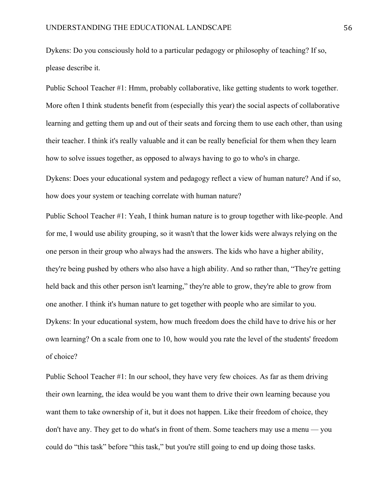Dykens: Do you consciously hold to a particular pedagogy or philosophy of teaching? If so, please describe it.

Public School Teacher #1: Hmm, probably collaborative, like getting students to work together. More often I think students benefit from (especially this year) the social aspects of collaborative learning and getting them up and out of their seats and forcing them to use each other, than using their teacher. I think it's really valuable and it can be really beneficial for them when they learn how to solve issues together, as opposed to always having to go to who's in charge.

Dykens: Does your educational system and pedagogy reflect a view of human nature? And if so, how does your system or teaching correlate with human nature?

Public School Teacher #1: Yeah, I think human nature is to group together with like-people. And for me, I would use ability grouping, so it wasn't that the lower kids were always relying on the one person in their group who always had the answers. The kids who have a higher ability, they're being pushed by others who also have a high ability. And so rather than, "They're getting held back and this other person isn't learning," they're able to grow, they're able to grow from one another. I think it's human nature to get together with people who are similar to you. Dykens: In your educational system, how much freedom does the child have to drive his or her own learning? On a scale from one to 10, how would you rate the level of the students' freedom of choice?

Public School Teacher #1: In our school, they have very few choices. As far as them driving their own learning, the idea would be you want them to drive their own learning because you want them to take ownership of it, but it does not happen. Like their freedom of choice, they don't have any. They get to do what's in front of them. Some teachers may use a menu — you could do "this task" before "this task," but you're still going to end up doing those tasks.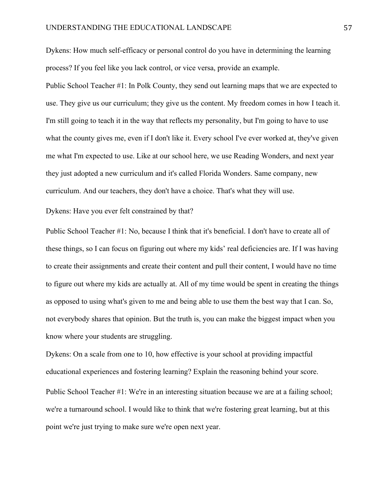Dykens: How much self-efficacy or personal control do you have in determining the learning process? If you feel like you lack control, or vice versa, provide an example.

Public School Teacher #1: In Polk County, they send out learning maps that we are expected to use. They give us our curriculum; they give us the content. My freedom comes in how I teach it. I'm still going to teach it in the way that reflects my personality, but I'm going to have to use what the county gives me, even if I don't like it. Every school I've ever worked at, they've given me what I'm expected to use. Like at our school here, we use Reading Wonders, and next year they just adopted a new curriculum and it's called Florida Wonders. Same company, new curriculum. And our teachers, they don't have a choice. That's what they will use.

Dykens: Have you ever felt constrained by that?

Public School Teacher #1: No, because I think that it's beneficial. I don't have to create all of these things, so I can focus on figuring out where my kids' real deficiencies are. If I was having to create their assignments and create their content and pull their content, I would have no time to figure out where my kids are actually at. All of my time would be spent in creating the things as opposed to using what's given to me and being able to use them the best way that I can. So, not everybody shares that opinion. But the truth is, you can make the biggest impact when you know where your students are struggling.

Dykens: On a scale from one to 10, how effective is your school at providing impactful educational experiences and fostering learning? Explain the reasoning behind your score. Public School Teacher #1: We're in an interesting situation because we are at a failing school; we're a turnaround school. I would like to think that we're fostering great learning, but at this point we're just trying to make sure we're open next year.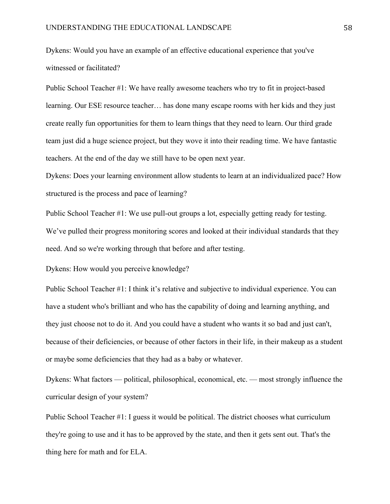Dykens: Would you have an example of an effective educational experience that you've witnessed or facilitated?

Public School Teacher #1: We have really awesome teachers who try to fit in project-based learning. Our ESE resource teacher… has done many escape rooms with her kids and they just create really fun opportunities for them to learn things that they need to learn. Our third grade team just did a huge science project, but they wove it into their reading time. We have fantastic teachers. At the end of the day we still have to be open next year.

Dykens: Does your learning environment allow students to learn at an individualized pace? How structured is the process and pace of learning?

Public School Teacher #1: We use pull-out groups a lot, especially getting ready for testing. We've pulled their progress monitoring scores and looked at their individual standards that they need. And so we're working through that before and after testing.

Dykens: How would you perceive knowledge?

Public School Teacher #1: I think it's relative and subjective to individual experience. You can have a student who's brilliant and who has the capability of doing and learning anything, and they just choose not to do it. And you could have a student who wants it so bad and just can't, because of their deficiencies, or because of other factors in their life, in their makeup as a student or maybe some deficiencies that they had as a baby or whatever.

Dykens: What factors — political, philosophical, economical, etc. — most strongly influence the curricular design of your system?

Public School Teacher #1: I guess it would be political. The district chooses what curriculum they're going to use and it has to be approved by the state, and then it gets sent out. That's the thing here for math and for ELA.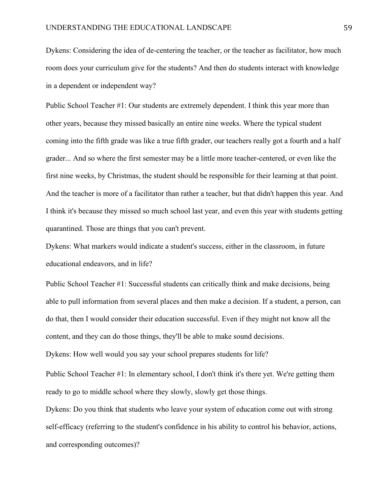Dykens: Considering the idea of de-centering the teacher, or the teacher as facilitator, how much room does your curriculum give for the students? And then do students interact with knowledge in a dependent or independent way?

Public School Teacher #1: Our students are extremely dependent. I think this year more than other years, because they missed basically an entire nine weeks. Where the typical student coming into the fifth grade was like a true fifth grader, our teachers really got a fourth and a half grader... And so where the first semester may be a little more teacher-centered, or even like the first nine weeks, by Christmas, the student should be responsible for their learning at that point. And the teacher is more of a facilitator than rather a teacher, but that didn't happen this year. And I think it's because they missed so much school last year, and even this year with students getting quarantined. Those are things that you can't prevent.

Dykens: What markers would indicate a student's success, either in the classroom, in future educational endeavors, and in life?

Public School Teacher #1: Successful students can critically think and make decisions, being able to pull information from several places and then make a decision. If a student, a person, can do that, then I would consider their education successful. Even if they might not know all the content, and they can do those things, they'll be able to make sound decisions.

Dykens: How well would you say your school prepares students for life?

Public School Teacher #1: In elementary school, I don't think it's there yet. We're getting them ready to go to middle school where they slowly, slowly get those things.

Dykens: Do you think that students who leave your system of education come out with strong self-efficacy (referring to the student's confidence in his ability to control his behavior, actions, and corresponding outcomes)?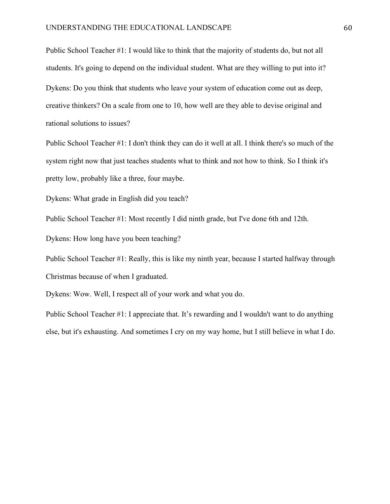Public School Teacher #1: I would like to think that the majority of students do, but not all students. It's going to depend on the individual student. What are they willing to put into it? Dykens: Do you think that students who leave your system of education come out as deep, creative thinkers? On a scale from one to 10, how well are they able to devise original and rational solutions to issues?

Public School Teacher #1: I don't think they can do it well at all. I think there's so much of the system right now that just teaches students what to think and not how to think. So I think it's pretty low, probably like a three, four maybe.

Dykens: What grade in English did you teach?

Public School Teacher #1: Most recently I did ninth grade, but I've done 6th and 12th.

Dykens: How long have you been teaching?

Public School Teacher #1: Really, this is like my ninth year, because I started halfway through Christmas because of when I graduated.

Dykens: Wow. Well, I respect all of your work and what you do.

Public School Teacher #1: I appreciate that. It's rewarding and I wouldn't want to do anything else, but it's exhausting. And sometimes I cry on my way home, but I still believe in what I do.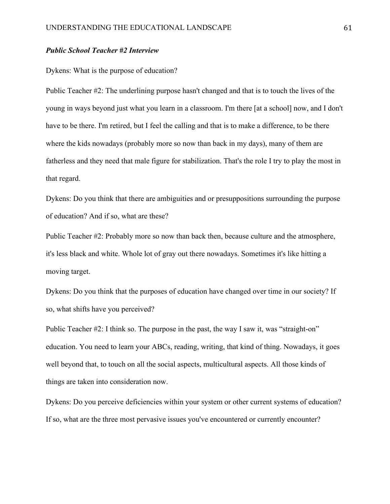#### *Public School Teacher #2 Interview*

#### Dykens: What is the purpose of education?

Public Teacher #2: The underlining purpose hasn't changed and that is to touch the lives of the young in ways beyond just what you learn in a classroom. I'm there [at a school] now, and I don't have to be there. I'm retired, but I feel the calling and that is to make a difference, to be there where the kids nowadays (probably more so now than back in my days), many of them are fatherless and they need that male figure for stabilization. That's the role I try to play the most in that regard.

Dykens: Do you think that there are ambiguities and or presuppositions surrounding the purpose of education? And if so, what are these?

Public Teacher #2: Probably more so now than back then, because culture and the atmosphere, it's less black and white. Whole lot of gray out there nowadays. Sometimes it's like hitting a moving target.

Dykens: Do you think that the purposes of education have changed over time in our society? If so, what shifts have you perceived?

Public Teacher #2: I think so. The purpose in the past, the way I saw it, was "straight-on" education. You need to learn your ABCs, reading, writing, that kind of thing. Nowadays, it goes well beyond that, to touch on all the social aspects, multicultural aspects. All those kinds of things are taken into consideration now.

Dykens: Do you perceive deficiencies within your system or other current systems of education? If so, what are the three most pervasive issues you've encountered or currently encounter?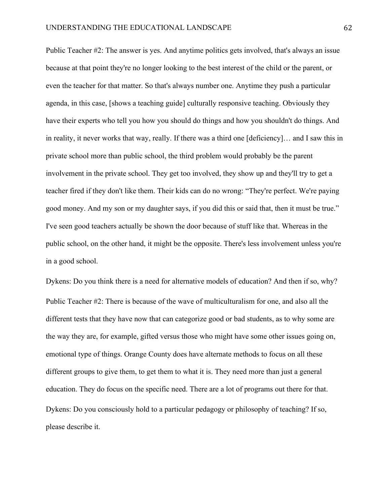Public Teacher #2: The answer is yes. And anytime politics gets involved, that's always an issue because at that point they're no longer looking to the best interest of the child or the parent, or even the teacher for that matter. So that's always number one. Anytime they push a particular agenda, in this case, [shows a teaching guide] culturally responsive teaching. Obviously they have their experts who tell you how you should do things and how you shouldn't do things. And in reality, it never works that way, really. If there was a third one [deficiency]… and I saw this in private school more than public school, the third problem would probably be the parent involvement in the private school. They get too involved, they show up and they'll try to get a teacher fired if they don't like them. Their kids can do no wrong: "They're perfect. We're paying good money. And my son or my daughter says, if you did this or said that, then it must be true." I've seen good teachers actually be shown the door because of stuff like that. Whereas in the public school, on the other hand, it might be the opposite. There's less involvement unless you're in a good school.

Dykens: Do you think there is a need for alternative models of education? And then if so, why? Public Teacher #2: There is because of the wave of multiculturalism for one, and also all the different tests that they have now that can categorize good or bad students, as to why some are the way they are, for example, gifted versus those who might have some other issues going on, emotional type of things. Orange County does have alternate methods to focus on all these different groups to give them, to get them to what it is. They need more than just a general education. They do focus on the specific need. There are a lot of programs out there for that. Dykens: Do you consciously hold to a particular pedagogy or philosophy of teaching? If so, please describe it.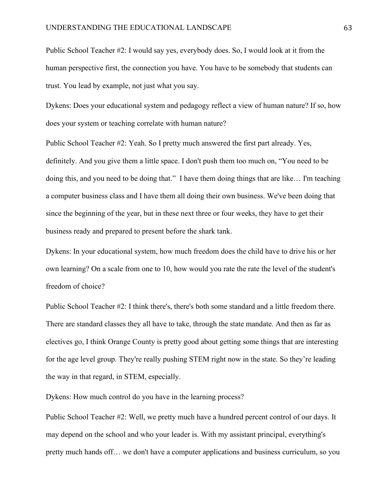Public School Teacher #2: I would say yes, everybody does. So, I would look at it from the human perspective first, the connection you have. You have to be somebody that students can trust. You lead by example, not just what you say.

Dykens: Does your educational system and pedagogy reflect a view of human nature? If so, how does your system or teaching correlate with human nature?

Public School Teacher #2: Yeah. So I pretty much answered the first part already. Yes, definitely. And you give them a little space. I don't push them too much on, "You need to be doing this, and you need to be doing that." I have them doing things that are like… I'm teaching a computer business class and I have them all doing their own business. We've been doing that since the beginning of the year, but in these next three or four weeks, they have to get their business ready and prepared to present before the shark tank.

Dykens: In your educational system, how much freedom does the child have to drive his or her own learning? On a scale from one to 10, how would you rate the rate the level of the student's freedom of choice?

Public School Teacher #2: I think there's, there's both some standard and a little freedom there. There are standard classes they all have to take, through the state mandate. And then as far as electives go, I think Orange County is pretty good about getting some things that are interesting for the age level group. They're really pushing STEM right now in the state. So they're leading the way in that regard, in STEM, especially.

Dykens: How much control do you have in the learning process?

Public School Teacher #2: Well, we pretty much have a hundred percent control of our days. It may depend on the school and who your leader is. With my assistant principal, everything's pretty much hands off… we don't have a computer applications and business curriculum, so you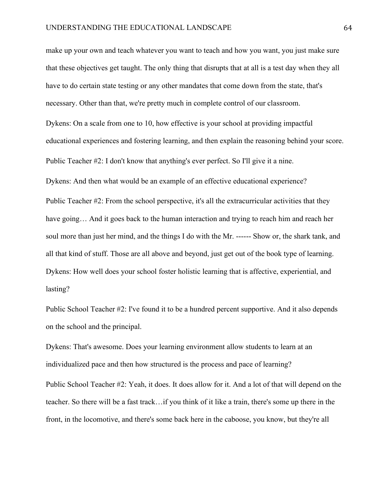make up your own and teach whatever you want to teach and how you want, you just make sure that these objectives get taught. The only thing that disrupts that at all is a test day when they all have to do certain state testing or any other mandates that come down from the state, that's necessary. Other than that, we're pretty much in complete control of our classroom. Dykens: On a scale from one to 10, how effective is your school at providing impactful educational experiences and fostering learning, and then explain the reasoning behind your score. Public Teacher #2: I don't know that anything's ever perfect. So I'll give it a nine. Dykens: And then what would be an example of an effective educational experience? Public Teacher #2: From the school perspective, it's all the extracurricular activities that they have going... And it goes back to the human interaction and trying to reach him and reach her soul more than just her mind, and the things I do with the Mr. ------ Show or, the shark tank, and all that kind of stuff. Those are all above and beyond, just get out of the book type of learning. Dykens: How well does your school foster holistic learning that is affective, experiential, and lasting?

Public School Teacher #2: I've found it to be a hundred percent supportive. And it also depends on the school and the principal.

Dykens: That's awesome. Does your learning environment allow students to learn at an individualized pace and then how structured is the process and pace of learning?

Public School Teacher #2: Yeah, it does. It does allow for it. And a lot of that will depend on the teacher. So there will be a fast track…if you think of it like a train, there's some up there in the front, in the locomotive, and there's some back here in the caboose, you know, but they're all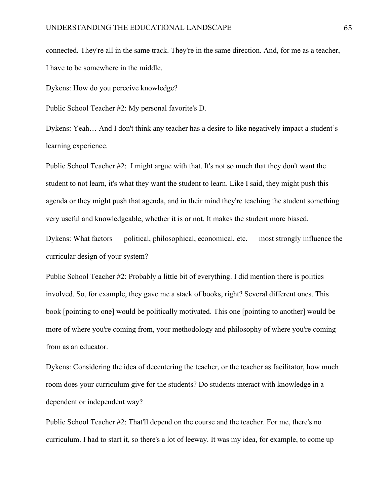connected. They're all in the same track. They're in the same direction. And, for me as a teacher, I have to be somewhere in the middle.

Dykens: How do you perceive knowledge?

Public School Teacher #2: My personal favorite's D.

Dykens: Yeah… And I don't think any teacher has a desire to like negatively impact a student's learning experience.

Public School Teacher #2: I might argue with that. It's not so much that they don't want the student to not learn, it's what they want the student to learn. Like I said, they might push this agenda or they might push that agenda, and in their mind they're teaching the student something very useful and knowledgeable, whether it is or not. It makes the student more biased.

Dykens: What factors — political, philosophical, economical, etc. — most strongly influence the curricular design of your system?

Public School Teacher #2: Probably a little bit of everything. I did mention there is politics involved. So, for example, they gave me a stack of books, right? Several different ones. This book [pointing to one] would be politically motivated. This one [pointing to another] would be more of where you're coming from, your methodology and philosophy of where you're coming from as an educator.

Dykens: Considering the idea of decentering the teacher, or the teacher as facilitator, how much room does your curriculum give for the students? Do students interact with knowledge in a dependent or independent way?

Public School Teacher #2: That'll depend on the course and the teacher. For me, there's no curriculum. I had to start it, so there's a lot of leeway. It was my idea, for example, to come up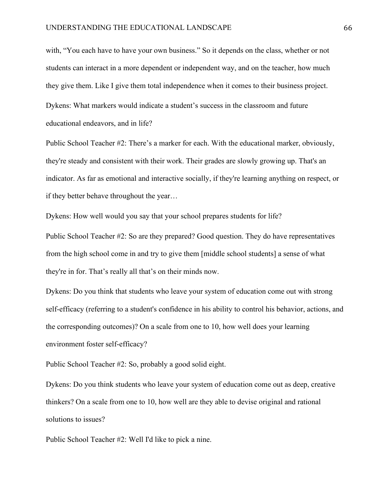with, "You each have to have your own business." So it depends on the class, whether or not students can interact in a more dependent or independent way, and on the teacher, how much they give them. Like I give them total independence when it comes to their business project. Dykens: What markers would indicate a student's success in the classroom and future educational endeavors, and in life?

Public School Teacher #2: There's a marker for each. With the educational marker, obviously, they're steady and consistent with their work. Their grades are slowly growing up. That's an indicator. As far as emotional and interactive socially, if they're learning anything on respect, or if they better behave throughout the year…

Dykens: How well would you say that your school prepares students for life?

Public School Teacher #2: So are they prepared? Good question. They do have representatives from the high school come in and try to give them [middle school students] a sense of what they're in for. That's really all that's on their minds now.

Dykens: Do you think that students who leave your system of education come out with strong self-efficacy (referring to a student's confidence in his ability to control his behavior, actions, and the corresponding outcomes)? On a scale from one to 10, how well does your learning environment foster self-efficacy?

Public School Teacher #2: So, probably a good solid eight.

Dykens: Do you think students who leave your system of education come out as deep, creative thinkers? On a scale from one to 10, how well are they able to devise original and rational solutions to issues?

Public School Teacher #2: Well I'd like to pick a nine.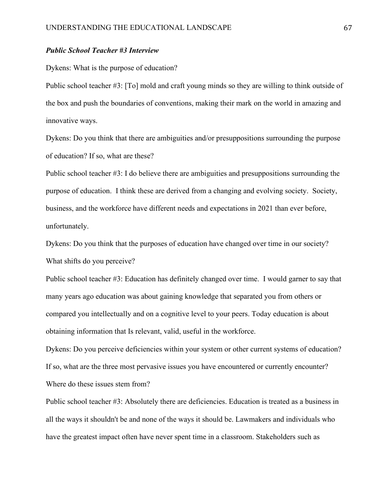## *Public School Teacher #3 Interview*

Dykens: What is the purpose of education?

Public school teacher #3: [To] mold and craft young minds so they are willing to think outside of the box and push the boundaries of conventions, making their mark on the world in amazing and innovative ways.

Dykens: Do you think that there are ambiguities and/or presuppositions surrounding the purpose of education? If so, what are these?

Public school teacher #3: I do believe there are ambiguities and presuppositions surrounding the purpose of education. I think these are derived from a changing and evolving society. Society, business, and the workforce have different needs and expectations in 2021 than ever before, unfortunately.

Dykens: Do you think that the purposes of education have changed over time in our society? What shifts do you perceive?

Public school teacher #3: Education has definitely changed over time. I would garner to say that many years ago education was about gaining knowledge that separated you from others or compared you intellectually and on a cognitive level to your peers. Today education is about obtaining information that Is relevant, valid, useful in the workforce.

Dykens: Do you perceive deficiencies within your system or other current systems of education? If so, what are the three most pervasive issues you have encountered or currently encounter? Where do these issues stem from?

Public school teacher #3: Absolutely there are deficiencies. Education is treated as a business in all the ways it shouldn't be and none of the ways it should be. Lawmakers and individuals who have the greatest impact often have never spent time in a classroom. Stakeholders such as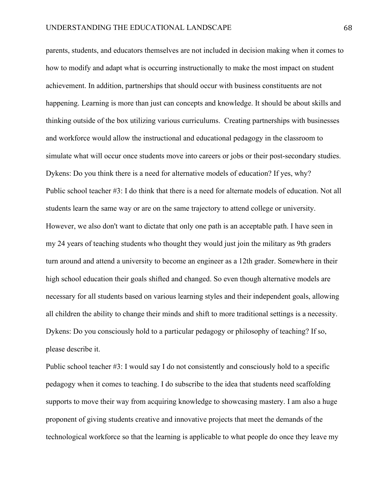parents, students, and educators themselves are not included in decision making when it comes to how to modify and adapt what is occurring instructionally to make the most impact on student achievement. In addition, partnerships that should occur with business constituents are not happening. Learning is more than just can concepts and knowledge. It should be about skills and thinking outside of the box utilizing various curriculums. Creating partnerships with businesses and workforce would allow the instructional and educational pedagogy in the classroom to simulate what will occur once students move into careers or jobs or their post-secondary studies. Dykens: Do you think there is a need for alternative models of education? If yes, why? Public school teacher #3: I do think that there is a need for alternate models of education. Not all students learn the same way or are on the same trajectory to attend college or university. However, we also don't want to dictate that only one path is an acceptable path. I have seen in my 24 years of teaching students who thought they would just join the military as 9th graders turn around and attend a university to become an engineer as a 12th grader. Somewhere in their high school education their goals shifted and changed. So even though alternative models are necessary for all students based on various learning styles and their independent goals, allowing all children the ability to change their minds and shift to more traditional settings is a necessity. Dykens: Do you consciously hold to a particular pedagogy or philosophy of teaching? If so, please describe it.

Public school teacher #3: I would say I do not consistently and consciously hold to a specific pedagogy when it comes to teaching. I do subscribe to the idea that students need scaffolding supports to move their way from acquiring knowledge to showcasing mastery. I am also a huge proponent of giving students creative and innovative projects that meet the demands of the technological workforce so that the learning is applicable to what people do once they leave my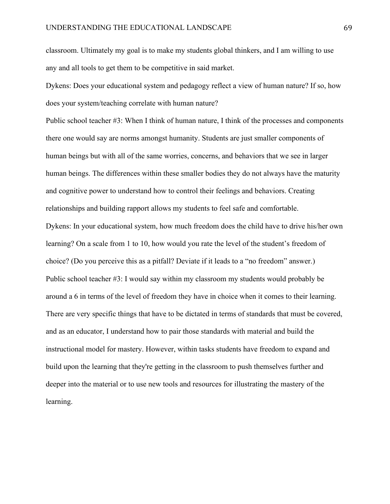classroom. Ultimately my goal is to make my students global thinkers, and I am willing to use any and all tools to get them to be competitive in said market.

Dykens: Does your educational system and pedagogy reflect a view of human nature? If so, how does your system/teaching correlate with human nature?

Public school teacher #3: When I think of human nature, I think of the processes and components there one would say are norms amongst humanity. Students are just smaller components of human beings but with all of the same worries, concerns, and behaviors that we see in larger human beings. The differences within these smaller bodies they do not always have the maturity and cognitive power to understand how to control their feelings and behaviors. Creating relationships and building rapport allows my students to feel safe and comfortable. Dykens: In your educational system, how much freedom does the child have to drive his/her own learning? On a scale from 1 to 10, how would you rate the level of the student's freedom of choice? (Do you perceive this as a pitfall? Deviate if it leads to a "no freedom" answer.) Public school teacher #3: I would say within my classroom my students would probably be around a 6 in terms of the level of freedom they have in choice when it comes to their learning. There are very specific things that have to be dictated in terms of standards that must be covered, and as an educator, I understand how to pair those standards with material and build the instructional model for mastery. However, within tasks students have freedom to expand and build upon the learning that they're getting in the classroom to push themselves further and deeper into the material or to use new tools and resources for illustrating the mastery of the learning.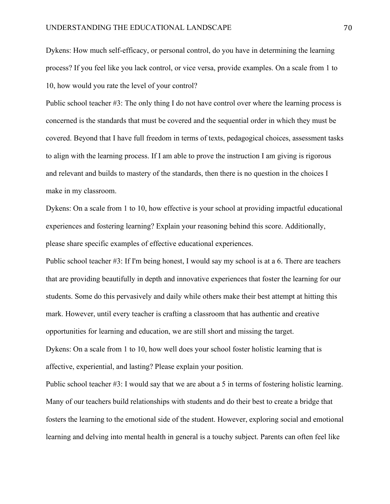Dykens: How much self-efficacy, or personal control, do you have in determining the learning process? If you feel like you lack control, or vice versa, provide examples. On a scale from 1 to 10, how would you rate the level of your control?

Public school teacher #3: The only thing I do not have control over where the learning process is concerned is the standards that must be covered and the sequential order in which they must be covered. Beyond that I have full freedom in terms of texts, pedagogical choices, assessment tasks to align with the learning process. If I am able to prove the instruction I am giving is rigorous and relevant and builds to mastery of the standards, then there is no question in the choices I make in my classroom.

Dykens: On a scale from 1 to 10, how effective is your school at providing impactful educational experiences and fostering learning? Explain your reasoning behind this score. Additionally, please share specific examples of effective educational experiences.

Public school teacher #3: If I'm being honest, I would say my school is at a 6. There are teachers that are providing beautifully in depth and innovative experiences that foster the learning for our students. Some do this pervasively and daily while others make their best attempt at hitting this mark. However, until every teacher is crafting a classroom that has authentic and creative opportunities for learning and education, we are still short and missing the target. Dykens: On a scale from 1 to 10, how well does your school foster holistic learning that is affective, experiential, and lasting? Please explain your position.

Public school teacher #3: I would say that we are about a 5 in terms of fostering holistic learning. Many of our teachers build relationships with students and do their best to create a bridge that fosters the learning to the emotional side of the student. However, exploring social and emotional learning and delving into mental health in general is a touchy subject. Parents can often feel like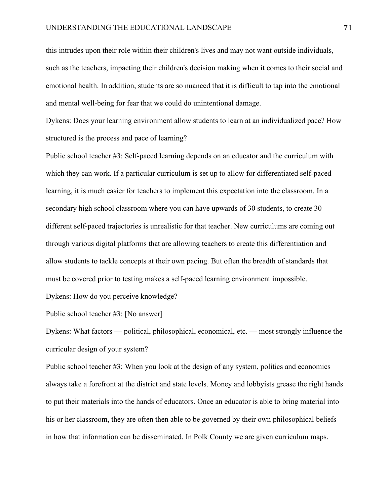this intrudes upon their role within their children's lives and may not want outside individuals, such as the teachers, impacting their children's decision making when it comes to their social and emotional health. In addition, students are so nuanced that it is difficult to tap into the emotional and mental well-being for fear that we could do unintentional damage.

Dykens: Does your learning environment allow students to learn at an individualized pace? How structured is the process and pace of learning?

Public school teacher #3: Self-paced learning depends on an educator and the curriculum with which they can work. If a particular curriculum is set up to allow for differentiated self-paced learning, it is much easier for teachers to implement this expectation into the classroom. In a secondary high school classroom where you can have upwards of 30 students, to create 30 different self-paced trajectories is unrealistic for that teacher. New curriculums are coming out through various digital platforms that are allowing teachers to create this differentiation and allow students to tackle concepts at their own pacing. But often the breadth of standards that must be covered prior to testing makes a self-paced learning environment impossible.

Dykens: How do you perceive knowledge?

Public school teacher #3: [No answer]

Dykens: What factors — political, philosophical, economical, etc. — most strongly influence the curricular design of your system?

Public school teacher #3: When you look at the design of any system, politics and economics always take a forefront at the district and state levels. Money and lobbyists grease the right hands to put their materials into the hands of educators. Once an educator is able to bring material into his or her classroom, they are often then able to be governed by their own philosophical beliefs in how that information can be disseminated. In Polk County we are given curriculum maps.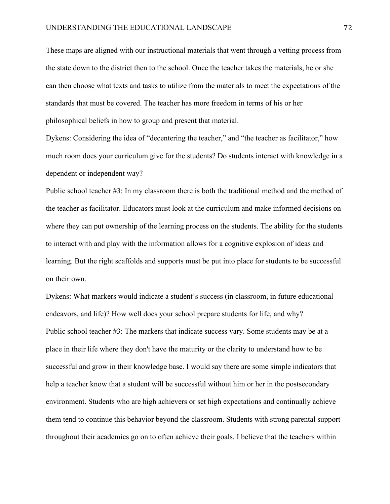These maps are aligned with our instructional materials that went through a vetting process from the state down to the district then to the school. Once the teacher takes the materials, he or she can then choose what texts and tasks to utilize from the materials to meet the expectations of the standards that must be covered. The teacher has more freedom in terms of his or her philosophical beliefs in how to group and present that material.

Dykens: Considering the idea of "decentering the teacher," and "the teacher as facilitator," how much room does your curriculum give for the students? Do students interact with knowledge in a dependent or independent way?

Public school teacher #3: In my classroom there is both the traditional method and the method of the teacher as facilitator. Educators must look at the curriculum and make informed decisions on where they can put ownership of the learning process on the students. The ability for the students to interact with and play with the information allows for a cognitive explosion of ideas and learning. But the right scaffolds and supports must be put into place for students to be successful on their own.

Dykens: What markers would indicate a student's success (in classroom, in future educational endeavors, and life)? How well does your school prepare students for life, and why? Public school teacher #3: The markers that indicate success vary. Some students may be at a place in their life where they don't have the maturity or the clarity to understand how to be successful and grow in their knowledge base. I would say there are some simple indicators that help a teacher know that a student will be successful without him or her in the postsecondary environment. Students who are high achievers or set high expectations and continually achieve them tend to continue this behavior beyond the classroom. Students with strong parental support throughout their academics go on to often achieve their goals. I believe that the teachers within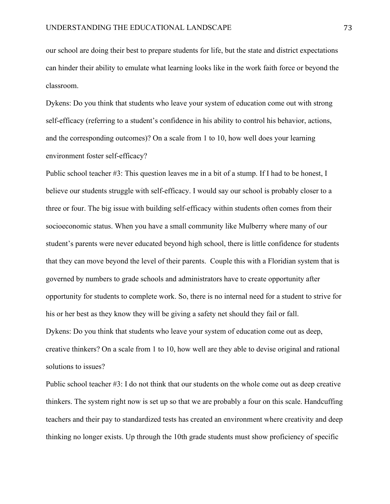our school are doing their best to prepare students for life, but the state and district expectations can hinder their ability to emulate what learning looks like in the work faith force or beyond the classroom.

Dykens: Do you think that students who leave your system of education come out with strong self-efficacy (referring to a student's confidence in his ability to control his behavior, actions, and the corresponding outcomes)? On a scale from 1 to 10, how well does your learning environment foster self-efficacy?

Public school teacher #3: This question leaves me in a bit of a stump. If I had to be honest, I believe our students struggle with self-efficacy. I would say our school is probably closer to a three or four. The big issue with building self-efficacy within students often comes from their socioeconomic status. When you have a small community like Mulberry where many of our student's parents were never educated beyond high school, there is little confidence for students that they can move beyond the level of their parents. Couple this with a Floridian system that is governed by numbers to grade schools and administrators have to create opportunity after opportunity for students to complete work. So, there is no internal need for a student to strive for his or her best as they know they will be giving a safety net should they fail or fall. Dykens: Do you think that students who leave your system of education come out as deep, creative thinkers? On a scale from 1 to 10, how well are they able to devise original and rational solutions to issues?

Public school teacher #3: I do not think that our students on the whole come out as deep creative thinkers. The system right now is set up so that we are probably a four on this scale. Handcuffing teachers and their pay to standardized tests has created an environment where creativity and deep thinking no longer exists. Up through the 10th grade students must show proficiency of specific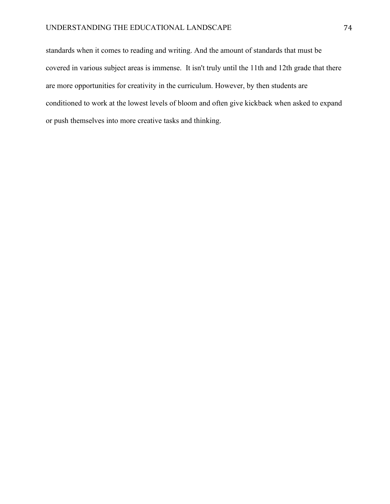standards when it comes to reading and writing. And the amount of standards that must be covered in various subject areas is immense. It isn't truly until the 11th and 12th grade that there are more opportunities for creativity in the curriculum. However, by then students are conditioned to work at the lowest levels of bloom and often give kickback when asked to expand or push themselves into more creative tasks and thinking.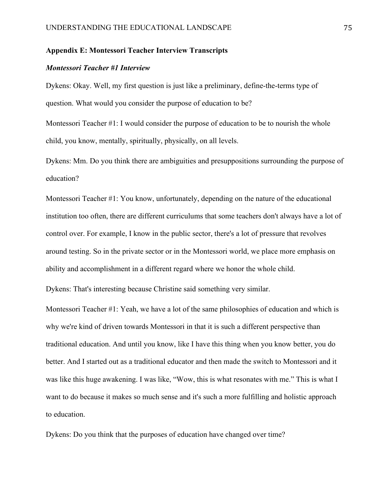# **Appendix E: Montessori Teacher Interview Transcripts**

#### *Montessori Teacher #1 Interview*

Dykens: Okay. Well, my first question is just like a preliminary, define-the-terms type of question. What would you consider the purpose of education to be?

Montessori Teacher #1: I would consider the purpose of education to be to nourish the whole child, you know, mentally, spiritually, physically, on all levels.

Dykens: Mm. Do you think there are ambiguities and presuppositions surrounding the purpose of education?

Montessori Teacher #1: You know, unfortunately, depending on the nature of the educational institution too often, there are different curriculums that some teachers don't always have a lot of control over. For example, I know in the public sector, there's a lot of pressure that revolves around testing. So in the private sector or in the Montessori world, we place more emphasis on ability and accomplishment in a different regard where we honor the whole child.

Dykens: That's interesting because Christine said something very similar.

Montessori Teacher #1: Yeah, we have a lot of the same philosophies of education and which is why we're kind of driven towards Montessori in that it is such a different perspective than traditional education. And until you know, like I have this thing when you know better, you do better. And I started out as a traditional educator and then made the switch to Montessori and it was like this huge awakening. I was like, "Wow, this is what resonates with me." This is what I want to do because it makes so much sense and it's such a more fulfilling and holistic approach to education.

Dykens: Do you think that the purposes of education have changed over time?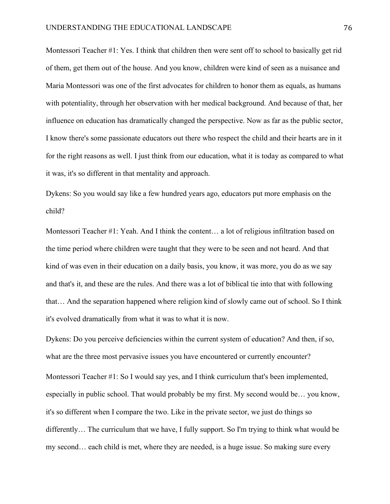Montessori Teacher #1: Yes. I think that children then were sent off to school to basically get rid of them, get them out of the house. And you know, children were kind of seen as a nuisance and Maria Montessori was one of the first advocates for children to honor them as equals, as humans with potentiality, through her observation with her medical background. And because of that, her influence on education has dramatically changed the perspective. Now as far as the public sector, I know there's some passionate educators out there who respect the child and their hearts are in it for the right reasons as well. I just think from our education, what it is today as compared to what it was, it's so different in that mentality and approach.

Dykens: So you would say like a few hundred years ago, educators put more emphasis on the child?

Montessori Teacher #1: Yeah. And I think the content… a lot of religious infiltration based on the time period where children were taught that they were to be seen and not heard. And that kind of was even in their education on a daily basis, you know, it was more, you do as we say and that's it, and these are the rules. And there was a lot of biblical tie into that with following that… And the separation happened where religion kind of slowly came out of school. So I think it's evolved dramatically from what it was to what it is now.

Dykens: Do you perceive deficiencies within the current system of education? And then, if so, what are the three most pervasive issues you have encountered or currently encounter? Montessori Teacher #1: So I would say yes, and I think curriculum that's been implemented, especially in public school. That would probably be my first. My second would be… you know, it's so different when I compare the two. Like in the private sector, we just do things so differently… The curriculum that we have, I fully support. So I'm trying to think what would be my second… each child is met, where they are needed, is a huge issue. So making sure every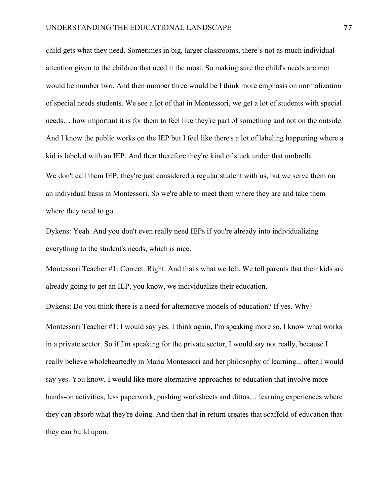child gets what they need. Sometimes in big, larger classrooms, there's not as much individual attention given to the children that need it the most. So making sure the child's needs are met would be number two. And then number three would be I think more emphasis on normalization of special needs students. We see a lot of that in Montessori, we get a lot of students with special needs… how important it is for them to feel like they're part of something and not on the outside. And I know the public works on the IEP but I feel like there's a lot of labeling happening where a kid is labeled with an IEP. And then therefore they're kind of stuck under that umbrella. We don't call them IEP; they're just considered a regular student with us, but we serve them on an individual basis in Montessori. So we're able to meet them where they are and take them

where they need to go.

Dykens: Yeah. And you don't even really need IEPs if you're already into individualizing everything to the student's needs, which is nice.

Montessori Teacher #1: Correct. Right. And that's what we felt. We tell parents that their kids are already going to get an IEP, you know, we individualize their education.

Dykens: Do you think there is a need for alternative models of education? If yes. Why? Montessori Teacher #1: I would say yes. I think again, I'm speaking more so, I know what works in a private sector. So if I'm speaking for the private sector, I would say not really, because I really believe wholeheartedly in Maria Montessori and her philosophy of learning... after I would say yes. You know, I would like more alternative approaches to education that involve more hands-on activities, less paperwork, pushing worksheets and dittos... learning experiences where they can absorb what they're doing. And then that in return creates that scaffold of education that they can build upon.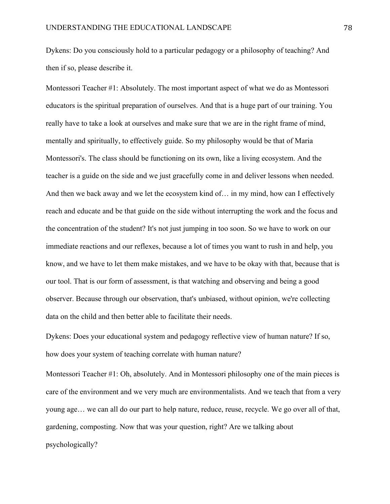Dykens: Do you consciously hold to a particular pedagogy or a philosophy of teaching? And then if so, please describe it.

Montessori Teacher #1: Absolutely. The most important aspect of what we do as Montessori educators is the spiritual preparation of ourselves. And that is a huge part of our training. You really have to take a look at ourselves and make sure that we are in the right frame of mind, mentally and spiritually, to effectively guide. So my philosophy would be that of Maria Montessori's. The class should be functioning on its own, like a living ecosystem. And the teacher is a guide on the side and we just gracefully come in and deliver lessons when needed. And then we back away and we let the ecosystem kind of… in my mind, how can I effectively reach and educate and be that guide on the side without interrupting the work and the focus and the concentration of the student? It's not just jumping in too soon. So we have to work on our immediate reactions and our reflexes, because a lot of times you want to rush in and help, you know, and we have to let them make mistakes, and we have to be okay with that, because that is our tool. That is our form of assessment, is that watching and observing and being a good observer. Because through our observation, that's unbiased, without opinion, we're collecting data on the child and then better able to facilitate their needs.

Dykens: Does your educational system and pedagogy reflective view of human nature? If so, how does your system of teaching correlate with human nature?

Montessori Teacher #1: Oh, absolutely. And in Montessori philosophy one of the main pieces is care of the environment and we very much are environmentalists. And we teach that from a very young age… we can all do our part to help nature, reduce, reuse, recycle. We go over all of that, gardening, composting. Now that was your question, right? Are we talking about psychologically?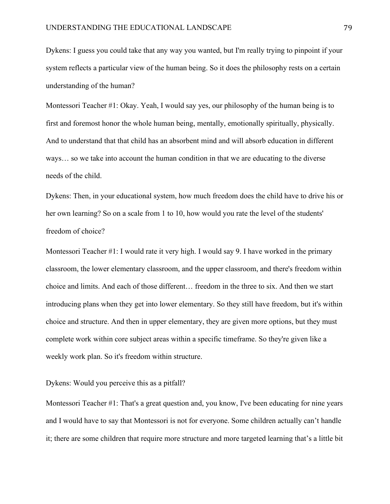Dykens: I guess you could take that any way you wanted, but I'm really trying to pinpoint if your system reflects a particular view of the human being. So it does the philosophy rests on a certain understanding of the human?

Montessori Teacher #1: Okay. Yeah, I would say yes, our philosophy of the human being is to first and foremost honor the whole human being, mentally, emotionally spiritually, physically. And to understand that that child has an absorbent mind and will absorb education in different ways… so we take into account the human condition in that we are educating to the diverse needs of the child.

Dykens: Then, in your educational system, how much freedom does the child have to drive his or her own learning? So on a scale from 1 to 10, how would you rate the level of the students' freedom of choice?

Montessori Teacher #1: I would rate it very high. I would say 9. I have worked in the primary classroom, the lower elementary classroom, and the upper classroom, and there's freedom within choice and limits. And each of those different… freedom in the three to six. And then we start introducing plans when they get into lower elementary. So they still have freedom, but it's within choice and structure. And then in upper elementary, they are given more options, but they must complete work within core subject areas within a specific timeframe. So they're given like a weekly work plan. So it's freedom within structure.

### Dykens: Would you perceive this as a pitfall?

Montessori Teacher #1: That's a great question and, you know, I've been educating for nine years and I would have to say that Montessori is not for everyone. Some children actually can't handle it; there are some children that require more structure and more targeted learning that's a little bit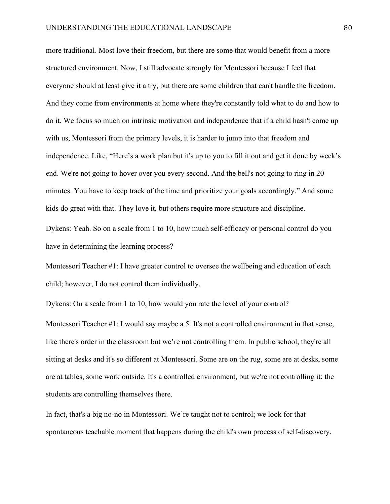more traditional. Most love their freedom, but there are some that would benefit from a more structured environment. Now, I still advocate strongly for Montessori because I feel that everyone should at least give it a try, but there are some children that can't handle the freedom. And they come from environments at home where they're constantly told what to do and how to do it. We focus so much on intrinsic motivation and independence that if a child hasn't come up with us, Montessori from the primary levels, it is harder to jump into that freedom and independence. Like, "Here's a work plan but it's up to you to fill it out and get it done by week's end. We're not going to hover over you every second. And the bell's not going to ring in 20 minutes. You have to keep track of the time and prioritize your goals accordingly." And some kids do great with that. They love it, but others require more structure and discipline.

Dykens: Yeah. So on a scale from 1 to 10, how much self-efficacy or personal control do you have in determining the learning process?

Montessori Teacher #1: I have greater control to oversee the wellbeing and education of each child; however, I do not control them individually.

Dykens: On a scale from 1 to 10, how would you rate the level of your control?

Montessori Teacher #1: I would say maybe a 5. It's not a controlled environment in that sense, like there's order in the classroom but we're not controlling them. In public school, they're all sitting at desks and it's so different at Montessori. Some are on the rug, some are at desks, some are at tables, some work outside. It's a controlled environment, but we're not controlling it; the students are controlling themselves there.

In fact, that's a big no-no in Montessori. We're taught not to control; we look for that spontaneous teachable moment that happens during the child's own process of self-discovery.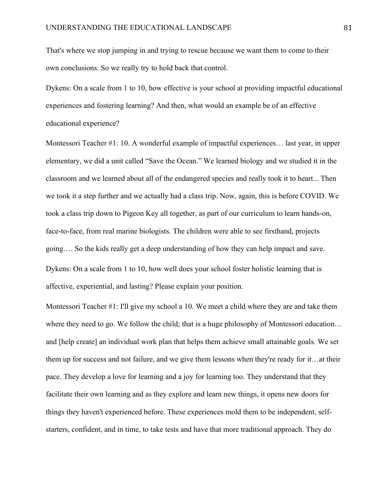That's where we stop jumping in and trying to rescue because we want them to come to their own conclusions. So we really try to hold back that control.

Dykens: On a scale from 1 to 10, how effective is your school at providing impactful educational experiences and fostering learning? And then, what would an example be of an effective educational experience?

Montessori Teacher #1: 10. A wonderful example of impactful experiences… last year, in upper elementary, we did a unit called "Save the Ocean." We learned biology and we studied it in the classroom and we learned about all of the endangered species and really took it to heart... Then we took it a step further and we actually had a class trip. Now, again, this is before COVID. We took a class trip down to Pigeon Key all together, as part of our curriculum to learn hands-on, face-to-face, from real marine biologists. The children were able to see firsthand, projects going…. So the kids really get a deep understanding of how they can help impact and save. Dykens: On a scale from 1 to 10, how well does your school foster holistic learning that is affective, experiential, and lasting? Please explain your position.

Montessori Teacher #1: I'll give my school a 10. We meet a child where they are and take them where they need to go. We follow the child; that is a huge philosophy of Montessori education... and [help create] an individual work plan that helps them achieve small attainable goals. We set them up for success and not failure, and we give them lessons when they're ready for it…at their pace. They develop a love for learning and a joy for learning too. They understand that they facilitate their own learning and as they explore and learn new things, it opens new doors for things they haven't experienced before. These experiences mold them to be independent, selfstarters, confident, and in time, to take tests and have that more traditional approach. They do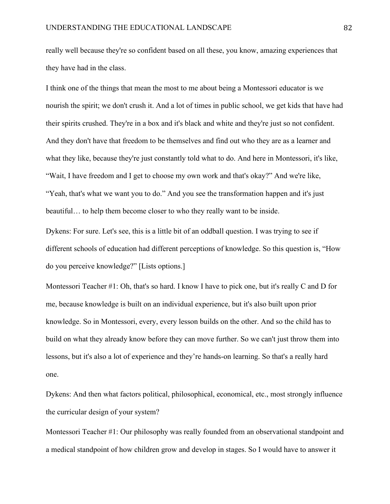really well because they're so confident based on all these, you know, amazing experiences that they have had in the class.

I think one of the things that mean the most to me about being a Montessori educator is we nourish the spirit; we don't crush it. And a lot of times in public school, we get kids that have had their spirits crushed. They're in a box and it's black and white and they're just so not confident. And they don't have that freedom to be themselves and find out who they are as a learner and what they like, because they're just constantly told what to do. And here in Montessori, it's like, "Wait, I have freedom and I get to choose my own work and that's okay?" And we're like, "Yeah, that's what we want you to do." And you see the transformation happen and it's just beautiful… to help them become closer to who they really want to be inside.

Dykens: For sure. Let's see, this is a little bit of an oddball question. I was trying to see if different schools of education had different perceptions of knowledge. So this question is, "How do you perceive knowledge?" [Lists options.]

Montessori Teacher #1: Oh, that's so hard. I know I have to pick one, but it's really C and D for me, because knowledge is built on an individual experience, but it's also built upon prior knowledge. So in Montessori, every, every lesson builds on the other. And so the child has to build on what they already know before they can move further. So we can't just throw them into lessons, but it's also a lot of experience and they're hands-on learning. So that's a really hard one.

Dykens: And then what factors political, philosophical, economical, etc., most strongly influence the curricular design of your system?

Montessori Teacher #1: Our philosophy was really founded from an observational standpoint and a medical standpoint of how children grow and develop in stages. So I would have to answer it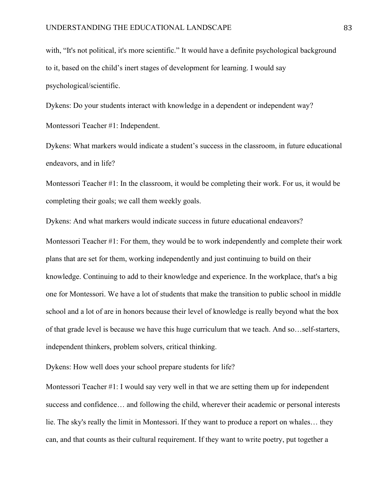with, "It's not political, it's more scientific." It would have a definite psychological background to it, based on the child's inert stages of development for learning. I would say psychological/scientific.

Dykens: Do your students interact with knowledge in a dependent or independent way? Montessori Teacher #1: Independent.

Dykens: What markers would indicate a student's success in the classroom, in future educational endeavors, and in life?

Montessori Teacher #1: In the classroom, it would be completing their work. For us, it would be completing their goals; we call them weekly goals.

Dykens: And what markers would indicate success in future educational endeavors?

Montessori Teacher #1: For them, they would be to work independently and complete their work plans that are set for them, working independently and just continuing to build on their knowledge. Continuing to add to their knowledge and experience. In the workplace, that's a big one for Montessori. We have a lot of students that make the transition to public school in middle school and a lot of are in honors because their level of knowledge is really beyond what the box of that grade level is because we have this huge curriculum that we teach. And so…self-starters, independent thinkers, problem solvers, critical thinking.

Dykens: How well does your school prepare students for life?

Montessori Teacher #1: I would say very well in that we are setting them up for independent success and confidence… and following the child, wherever their academic or personal interests lie. The sky's really the limit in Montessori. If they want to produce a report on whales… they can, and that counts as their cultural requirement. If they want to write poetry, put together a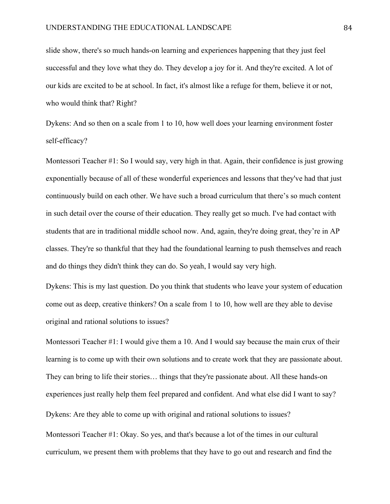slide show, there's so much hands-on learning and experiences happening that they just feel successful and they love what they do. They develop a joy for it. And they're excited. A lot of our kids are excited to be at school. In fact, it's almost like a refuge for them, believe it or not, who would think that? Right?

Dykens: And so then on a scale from 1 to 10, how well does your learning environment foster self-efficacy?

Montessori Teacher #1: So I would say, very high in that. Again, their confidence is just growing exponentially because of all of these wonderful experiences and lessons that they've had that just continuously build on each other. We have such a broad curriculum that there's so much content in such detail over the course of their education. They really get so much. I've had contact with students that are in traditional middle school now. And, again, they're doing great, they're in AP classes. They're so thankful that they had the foundational learning to push themselves and reach and do things they didn't think they can do. So yeah, I would say very high.

Dykens: This is my last question. Do you think that students who leave your system of education come out as deep, creative thinkers? On a scale from 1 to 10, how well are they able to devise original and rational solutions to issues?

Montessori Teacher #1: I would give them a 10. And I would say because the main crux of their learning is to come up with their own solutions and to create work that they are passionate about. They can bring to life their stories… things that they're passionate about. All these hands-on experiences just really help them feel prepared and confident. And what else did I want to say? Dykens: Are they able to come up with original and rational solutions to issues?

Montessori Teacher #1: Okay. So yes, and that's because a lot of the times in our cultural curriculum, we present them with problems that they have to go out and research and find the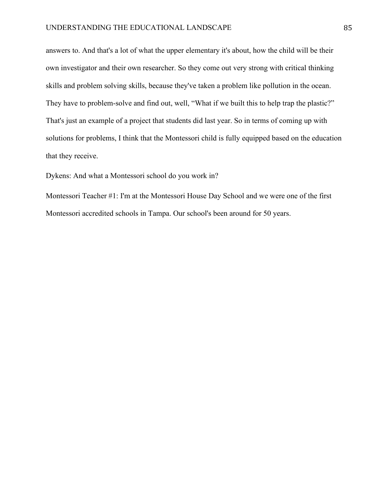answers to. And that's a lot of what the upper elementary it's about, how the child will be their own investigator and their own researcher. So they come out very strong with critical thinking skills and problem solving skills, because they've taken a problem like pollution in the ocean. They have to problem-solve and find out, well, "What if we built this to help trap the plastic?" That's just an example of a project that students did last year. So in terms of coming up with solutions for problems, I think that the Montessori child is fully equipped based on the education that they receive.

Dykens: And what a Montessori school do you work in?

Montessori Teacher #1: I'm at the Montessori House Day School and we were one of the first Montessori accredited schools in Tampa. Our school's been around for 50 years.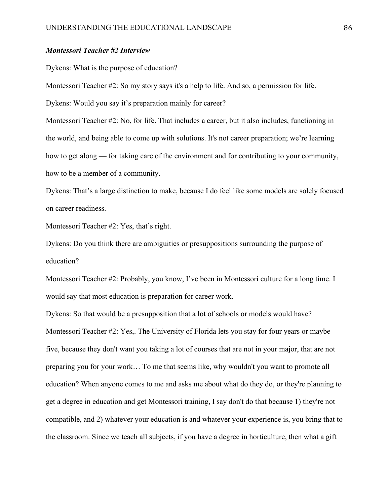# *Montessori Teacher #2 Interview*

Dykens: What is the purpose of education?

Montessori Teacher #2: So my story says it's a help to life. And so, a permission for life.

Dykens: Would you say it's preparation mainly for career?

Montessori Teacher #2: No, for life. That includes a career, but it also includes, functioning in the world, and being able to come up with solutions. It's not career preparation; we're learning how to get along — for taking care of the environment and for contributing to your community, how to be a member of a community.

Dykens: That's a large distinction to make, because I do feel like some models are solely focused on career readiness.

Montessori Teacher #2: Yes, that's right.

Dykens: Do you think there are ambiguities or presuppositions surrounding the purpose of education?

Montessori Teacher #2: Probably, you know, I've been in Montessori culture for a long time. I would say that most education is preparation for career work.

Dykens: So that would be a presupposition that a lot of schools or models would have? Montessori Teacher #2: Yes,. The University of Florida lets you stay for four years or maybe five, because they don't want you taking a lot of courses that are not in your major, that are not preparing you for your work… To me that seems like, why wouldn't you want to promote all education? When anyone comes to me and asks me about what do they do, or they're planning to get a degree in education and get Montessori training, I say don't do that because 1) they're not compatible, and 2) whatever your education is and whatever your experience is, you bring that to the classroom. Since we teach all subjects, if you have a degree in horticulture, then what a gift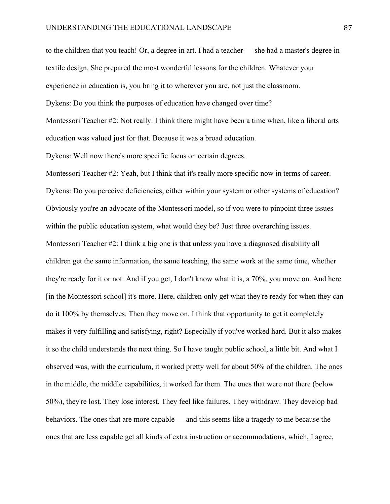to the children that you teach! Or, a degree in art. I had a teacher — she had a master's degree in textile design. She prepared the most wonderful lessons for the children. Whatever your experience in education is, you bring it to wherever you are, not just the classroom. Dykens: Do you think the purposes of education have changed over time? Montessori Teacher #2: Not really. I think there might have been a time when, like a liberal arts education was valued just for that. Because it was a broad education.

Dykens: Well now there's more specific focus on certain degrees.

Montessori Teacher #2: Yeah, but I think that it's really more specific now in terms of career. Dykens: Do you perceive deficiencies, either within your system or other systems of education? Obviously you're an advocate of the Montessori model, so if you were to pinpoint three issues within the public education system, what would they be? Just three overarching issues. Montessori Teacher #2: I think a big one is that unless you have a diagnosed disability all children get the same information, the same teaching, the same work at the same time, whether they're ready for it or not. And if you get, I don't know what it is, a 70%, you move on. And here [in the Montessori school] it's more. Here, children only get what they're ready for when they can do it 100% by themselves. Then they move on. I think that opportunity to get it completely makes it very fulfilling and satisfying, right? Especially if you've worked hard. But it also makes it so the child understands the next thing. So I have taught public school, a little bit. And what I observed was, with the curriculum, it worked pretty well for about 50% of the children. The ones in the middle, the middle capabilities, it worked for them. The ones that were not there (below 50%), they're lost. They lose interest. They feel like failures. They withdraw. They develop bad behaviors. The ones that are more capable — and this seems like a tragedy to me because the ones that are less capable get all kinds of extra instruction or accommodations, which, I agree,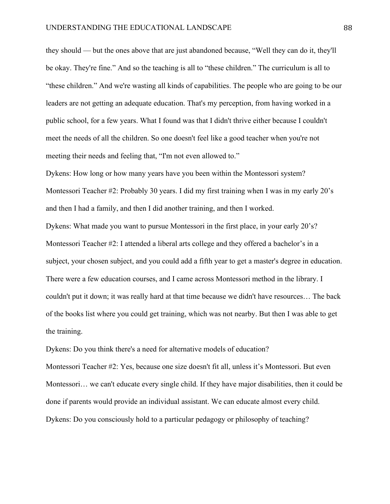they should — but the ones above that are just abandoned because, "Well they can do it, they'll be okay. They're fine." And so the teaching is all to "these children." The curriculum is all to "these children." And we're wasting all kinds of capabilities. The people who are going to be our leaders are not getting an adequate education. That's my perception, from having worked in a public school, for a few years. What I found was that I didn't thrive either because I couldn't meet the needs of all the children. So one doesn't feel like a good teacher when you're not meeting their needs and feeling that, "I'm not even allowed to."

Dykens: How long or how many years have you been within the Montessori system? Montessori Teacher #2: Probably 30 years. I did my first training when I was in my early 20's and then I had a family, and then I did another training, and then I worked.

Dykens: What made you want to pursue Montessori in the first place, in your early 20's? Montessori Teacher #2: I attended a liberal arts college and they offered a bachelor's in a subject, your chosen subject, and you could add a fifth year to get a master's degree in education. There were a few education courses, and I came across Montessori method in the library. I couldn't put it down; it was really hard at that time because we didn't have resources… The back of the books list where you could get training, which was not nearby. But then I was able to get the training.

Dykens: Do you think there's a need for alternative models of education?

Montessori Teacher #2: Yes, because one size doesn't fit all, unless it's Montessori. But even Montessori… we can't educate every single child. If they have major disabilities, then it could be done if parents would provide an individual assistant. We can educate almost every child. Dykens: Do you consciously hold to a particular pedagogy or philosophy of teaching?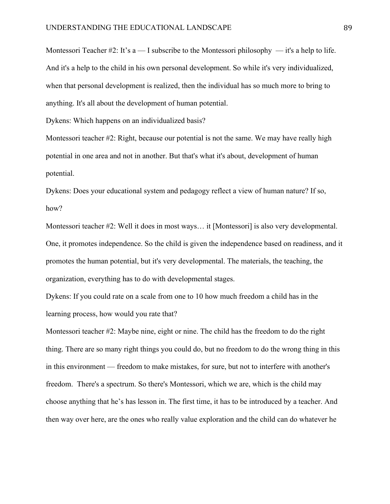Montessori Teacher #2: It's  $a - I$  subscribe to the Montessori philosophy  $-$  it's a help to life. And it's a help to the child in his own personal development. So while it's very individualized, when that personal development is realized, then the individual has so much more to bring to anything. It's all about the development of human potential.

Dykens: Which happens on an individualized basis?

Montessori teacher #2: Right, because our potential is not the same. We may have really high potential in one area and not in another. But that's what it's about, development of human potential.

Dykens: Does your educational system and pedagogy reflect a view of human nature? If so, how?

Montessori teacher #2: Well it does in most ways… it [Montessori] is also very developmental. One, it promotes independence. So the child is given the independence based on readiness, and it promotes the human potential, but it's very developmental. The materials, the teaching, the organization, everything has to do with developmental stages.

Dykens: If you could rate on a scale from one to 10 how much freedom a child has in the learning process, how would you rate that?

Montessori teacher #2: Maybe nine, eight or nine. The child has the freedom to do the right thing. There are so many right things you could do, but no freedom to do the wrong thing in this in this environment — freedom to make mistakes, for sure, but not to interfere with another's freedom. There's a spectrum. So there's Montessori, which we are, which is the child may choose anything that he's has lesson in. The first time, it has to be introduced by a teacher. And then way over here, are the ones who really value exploration and the child can do whatever he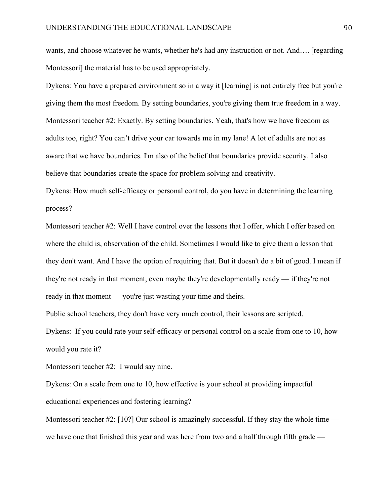wants, and choose whatever he wants, whether he's had any instruction or not. And…. [regarding Montessori] the material has to be used appropriately.

Dykens: You have a prepared environment so in a way it [learning] is not entirely free but you're giving them the most freedom. By setting boundaries, you're giving them true freedom in a way. Montessori teacher #2: Exactly. By setting boundaries. Yeah, that's how we have freedom as adults too, right? You can't drive your car towards me in my lane! A lot of adults are not as aware that we have boundaries. I'm also of the belief that boundaries provide security. I also believe that boundaries create the space for problem solving and creativity.

Dykens: How much self-efficacy or personal control, do you have in determining the learning process?

Montessori teacher #2: Well I have control over the lessons that I offer, which I offer based on where the child is, observation of the child. Sometimes I would like to give them a lesson that they don't want. And I have the option of requiring that. But it doesn't do a bit of good. I mean if they're not ready in that moment, even maybe they're developmentally ready — if they're not ready in that moment — you're just wasting your time and theirs.

Public school teachers, they don't have very much control, their lessons are scripted.

Dykens: If you could rate your self-efficacy or personal control on a scale from one to 10, how would you rate it?

Montessori teacher #2: I would say nine.

Dykens: On a scale from one to 10, how effective is your school at providing impactful educational experiences and fostering learning?

Montessori teacher  $\#2$ : [10?] Our school is amazingly successful. If they stay the whole time we have one that finished this year and was here from two and a half through fifth grade —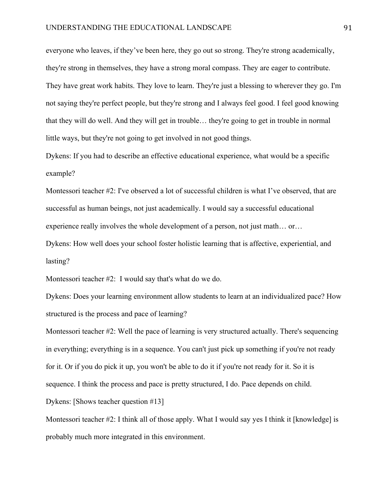everyone who leaves, if they've been here, they go out so strong. They're strong academically, they're strong in themselves, they have a strong moral compass. They are eager to contribute. They have great work habits. They love to learn. They're just a blessing to wherever they go. I'm not saying they're perfect people, but they're strong and I always feel good. I feel good knowing that they will do well. And they will get in trouble… they're going to get in trouble in normal little ways, but they're not going to get involved in not good things.

Dykens: If you had to describe an effective educational experience, what would be a specific example?

Montessori teacher #2: I've observed a lot of successful children is what I've observed, that are successful as human beings, not just academically. I would say a successful educational experience really involves the whole development of a person, not just math… or…

Dykens: How well does your school foster holistic learning that is affective, experiential, and lasting?

Montessori teacher #2: I would say that's what do we do.

Dykens: Does your learning environment allow students to learn at an individualized pace? How structured is the process and pace of learning?

Montessori teacher #2: Well the pace of learning is very structured actually. There's sequencing in everything; everything is in a sequence. You can't just pick up something if you're not ready for it. Or if you do pick it up, you won't be able to do it if you're not ready for it. So it is sequence. I think the process and pace is pretty structured, I do. Pace depends on child. Dykens: [Shows teacher question #13]

Montessori teacher #2: I think all of those apply. What I would say yes I think it [knowledge] is probably much more integrated in this environment.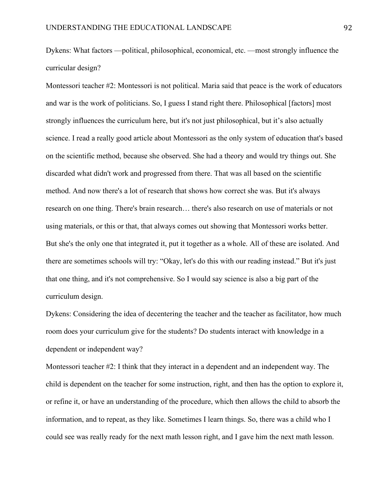Dykens: What factors —political, philosophical, economical, etc. —most strongly influence the curricular design?

Montessori teacher #2: Montessori is not political. Maria said that peace is the work of educators and war is the work of politicians. So, I guess I stand right there. Philosophical [factors] most strongly influences the curriculum here, but it's not just philosophical, but it's also actually science. I read a really good article about Montessori as the only system of education that's based on the scientific method, because she observed. She had a theory and would try things out. She discarded what didn't work and progressed from there. That was all based on the scientific method. And now there's a lot of research that shows how correct she was. But it's always research on one thing. There's brain research… there's also research on use of materials or not using materials, or this or that, that always comes out showing that Montessori works better. But she's the only one that integrated it, put it together as a whole. All of these are isolated. And there are sometimes schools will try: "Okay, let's do this with our reading instead." But it's just that one thing, and it's not comprehensive. So I would say science is also a big part of the curriculum design.

Dykens: Considering the idea of decentering the teacher and the teacher as facilitator, how much room does your curriculum give for the students? Do students interact with knowledge in a dependent or independent way?

Montessori teacher #2: I think that they interact in a dependent and an independent way. The child is dependent on the teacher for some instruction, right, and then has the option to explore it, or refine it, or have an understanding of the procedure, which then allows the child to absorb the information, and to repeat, as they like. Sometimes I learn things. So, there was a child who I could see was really ready for the next math lesson right, and I gave him the next math lesson.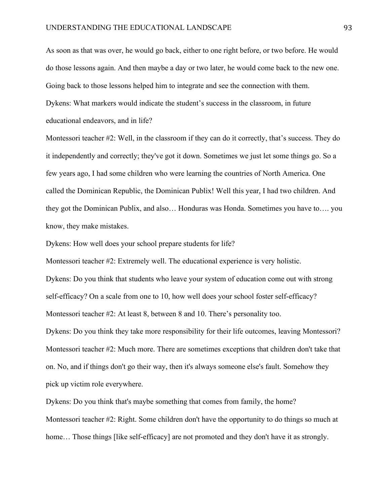As soon as that was over, he would go back, either to one right before, or two before. He would do those lessons again. And then maybe a day or two later, he would come back to the new one. Going back to those lessons helped him to integrate and see the connection with them. Dykens: What markers would indicate the student's success in the classroom, in future educational endeavors, and in life?

Montessori teacher #2: Well, in the classroom if they can do it correctly, that's success. They do it independently and correctly; they've got it down. Sometimes we just let some things go. So a few years ago, I had some children who were learning the countries of North America. One called the Dominican Republic, the Dominican Publix! Well this year, I had two children. And they got the Dominican Publix, and also… Honduras was Honda. Sometimes you have to…. you know, they make mistakes.

Dykens: How well does your school prepare students for life?

Montessori teacher #2: Extremely well. The educational experience is very holistic.

Dykens: Do you think that students who leave your system of education come out with strong self-efficacy? On a scale from one to 10, how well does your school foster self-efficacy? Montessori teacher #2: At least 8, between 8 and 10. There's personality too.

Dykens: Do you think they take more responsibility for their life outcomes, leaving Montessori? Montessori teacher #2: Much more. There are sometimes exceptions that children don't take that on. No, and if things don't go their way, then it's always someone else's fault. Somehow they pick up victim role everywhere.

Dykens: Do you think that's maybe something that comes from family, the home? Montessori teacher #2: Right. Some children don't have the opportunity to do things so much at home... Those things [like self-efficacy] are not promoted and they don't have it as strongly.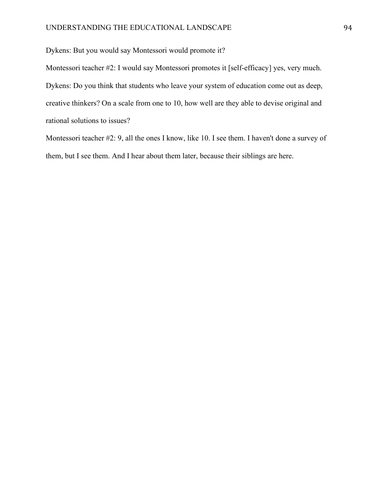Dykens: But you would say Montessori would promote it?

Montessori teacher #2: I would say Montessori promotes it [self-efficacy] yes, very much. Dykens: Do you think that students who leave your system of education come out as deep, creative thinkers? On a scale from one to 10, how well are they able to devise original and rational solutions to issues?

Montessori teacher #2: 9, all the ones I know, like 10. I see them. I haven't done a survey of them, but I see them. And I hear about them later, because their siblings are here.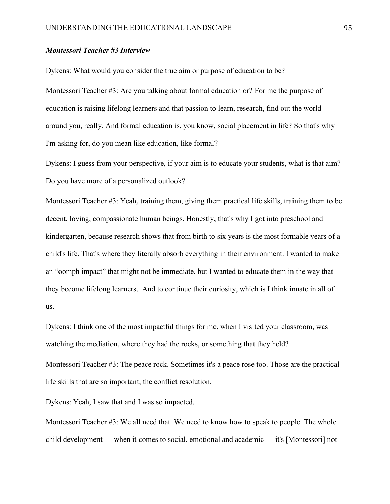## *Montessori Teacher #3 Interview*

Dykens: What would you consider the true aim or purpose of education to be?

Montessori Teacher #3: Are you talking about formal education or? For me the purpose of education is raising lifelong learners and that passion to learn, research, find out the world around you, really. And formal education is, you know, social placement in life? So that's why I'm asking for, do you mean like education, like formal?

Dykens: I guess from your perspective, if your aim is to educate your students, what is that aim? Do you have more of a personalized outlook?

Montessori Teacher #3: Yeah, training them, giving them practical life skills, training them to be decent, loving, compassionate human beings. Honestly, that's why I got into preschool and kindergarten, because research shows that from birth to six years is the most formable years of a child's life. That's where they literally absorb everything in their environment. I wanted to make an "oomph impact" that might not be immediate, but I wanted to educate them in the way that they become lifelong learners. And to continue their curiosity, which is I think innate in all of us.

Dykens: I think one of the most impactful things for me, when I visited your classroom, was watching the mediation, where they had the rocks, or something that they held? Montessori Teacher #3: The peace rock. Sometimes it's a peace rose too. Those are the practical life skills that are so important, the conflict resolution.

Dykens: Yeah, I saw that and I was so impacted.

Montessori Teacher #3: We all need that. We need to know how to speak to people. The whole child development — when it comes to social, emotional and academic — it's [Montessori] not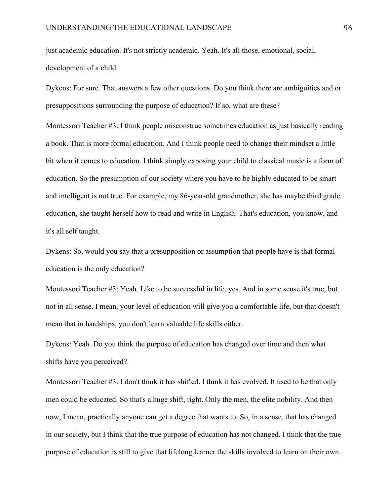just academic education. It's not strictly academic. Yeah. It's all those, emotional, social, development of a child.

Dykens: For sure. That answers a few other questions. Do you think there are ambiguities and or presuppositions surrounding the purpose of education? If so, what are these?

Montessori Teacher #3: I think people misconstrue sometimes education as just basically reading a book. That is more formal education. And I think people need to change their mindset a little bit when it comes to education. I think simply exposing your child to classical music is a form of education. So the presumption of our society where you have to be highly educated to be smart and intelligent is not true. For example, my 86-year-old grandmother, she has maybe third grade education, she taught herself how to read and write in English. That's education, you know, and it's all self taught.

Dykens: So, would you say that a presupposition or assumption that people have is that formal education is the only education?

Montessori Teacher #3: Yeah. Like to be successful in life, yes. And in some sense it's true, but not in all sense. I mean, your level of education will give you a comfortable life, but that doesn't mean that in hardships, you don't learn valuable life skills either.

Dykens: Yeah. Do you think the purpose of education has changed over time and then what shifts have you perceived?

Montessori Teacher #3: I don't think it has shifted. I think it has evolved. It used to be that only men could be educated. So that's a huge shift, right. Only the men, the elite nobility. And then now, I mean, practically anyone can get a degree that wants to. So, in a sense, that has changed in our society, but I think that the true purpose of education has not changed. I think that the true purpose of education is still to give that lifelong learner the skills involved to learn on their own.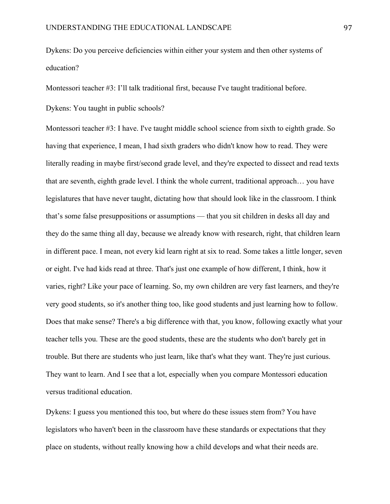Dykens: Do you perceive deficiencies within either your system and then other systems of education?

Montessori teacher #3: I'll talk traditional first, because I've taught traditional before.

Dykens: You taught in public schools?

Montessori teacher #3: I have. I've taught middle school science from sixth to eighth grade. So having that experience, I mean, I had sixth graders who didn't know how to read. They were literally reading in maybe first/second grade level, and they're expected to dissect and read texts that are seventh, eighth grade level. I think the whole current, traditional approach… you have legislatures that have never taught, dictating how that should look like in the classroom. I think that's some false presuppositions or assumptions — that you sit children in desks all day and they do the same thing all day, because we already know with research, right, that children learn in different pace. I mean, not every kid learn right at six to read. Some takes a little longer, seven or eight. I've had kids read at three. That's just one example of how different, I think, how it varies, right? Like your pace of learning. So, my own children are very fast learners, and they're very good students, so it's another thing too, like good students and just learning how to follow. Does that make sense? There's a big difference with that, you know, following exactly what your teacher tells you. These are the good students, these are the students who don't barely get in trouble. But there are students who just learn, like that's what they want. They're just curious. They want to learn. And I see that a lot, especially when you compare Montessori education versus traditional education.

Dykens: I guess you mentioned this too, but where do these issues stem from? You have legislators who haven't been in the classroom have these standards or expectations that they place on students, without really knowing how a child develops and what their needs are.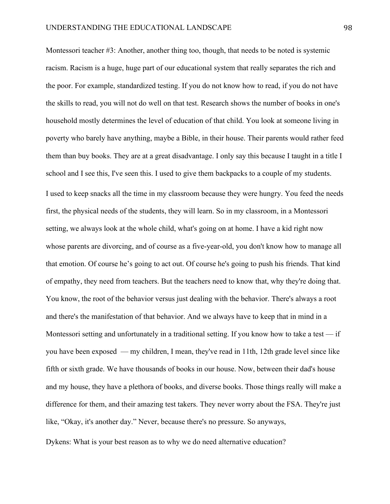Montessori teacher #3: Another, another thing too, though, that needs to be noted is systemic racism. Racism is a huge, huge part of our educational system that really separates the rich and the poor. For example, standardized testing. If you do not know how to read, if you do not have the skills to read, you will not do well on that test. Research shows the number of books in one's household mostly determines the level of education of that child. You look at someone living in poverty who barely have anything, maybe a Bible, in their house. Their parents would rather feed them than buy books. They are at a great disadvantage. I only say this because I taught in a title I school and I see this, I've seen this. I used to give them backpacks to a couple of my students. I used to keep snacks all the time in my classroom because they were hungry. You feed the needs first, the physical needs of the students, they will learn. So in my classroom, in a Montessori setting, we always look at the whole child, what's going on at home. I have a kid right now whose parents are divorcing, and of course as a five-year-old, you don't know how to manage all that emotion. Of course he's going to act out. Of course he's going to push his friends. That kind of empathy, they need from teachers. But the teachers need to know that, why they're doing that. You know, the root of the behavior versus just dealing with the behavior. There's always a root and there's the manifestation of that behavior. And we always have to keep that in mind in a Montessori setting and unfortunately in a traditional setting. If you know how to take a test — if you have been exposed — my children, I mean, they've read in 11th, 12th grade level since like fifth or sixth grade. We have thousands of books in our house. Now, between their dad's house and my house, they have a plethora of books, and diverse books. Those things really will make a difference for them, and their amazing test takers. They never worry about the FSA. They're just like, "Okay, it's another day." Never, because there's no pressure. So anyways,

Dykens: What is your best reason as to why we do need alternative education?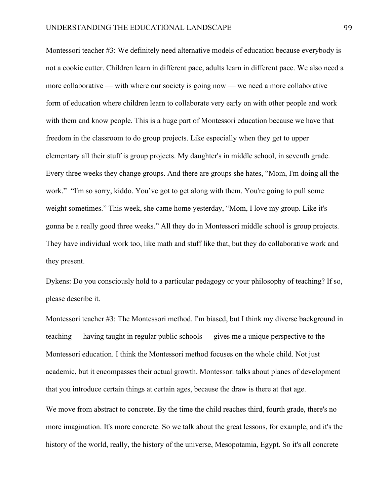Montessori teacher #3: We definitely need alternative models of education because everybody is not a cookie cutter. Children learn in different pace, adults learn in different pace. We also need a more collaborative — with where our society is going now — we need a more collaborative form of education where children learn to collaborate very early on with other people and work with them and know people. This is a huge part of Montessori education because we have that freedom in the classroom to do group projects. Like especially when they get to upper elementary all their stuff is group projects. My daughter's in middle school, in seventh grade. Every three weeks they change groups. And there are groups she hates, "Mom, I'm doing all the work." "I'm so sorry, kiddo. You've got to get along with them. You're going to pull some weight sometimes." This week, she came home yesterday, "Mom, I love my group. Like it's gonna be a really good three weeks." All they do in Montessori middle school is group projects. They have individual work too, like math and stuff like that, but they do collaborative work and they present.

Dykens: Do you consciously hold to a particular pedagogy or your philosophy of teaching? If so, please describe it.

Montessori teacher #3: The Montessori method. I'm biased, but I think my diverse background in teaching — having taught in regular public schools — gives me a unique perspective to the Montessori education. I think the Montessori method focuses on the whole child. Not just academic, but it encompasses their actual growth. Montessori talks about planes of development that you introduce certain things at certain ages, because the draw is there at that age.

We move from abstract to concrete. By the time the child reaches third, fourth grade, there's no more imagination. It's more concrete. So we talk about the great lessons, for example, and it's the history of the world, really, the history of the universe, Mesopotamia, Egypt. So it's all concrete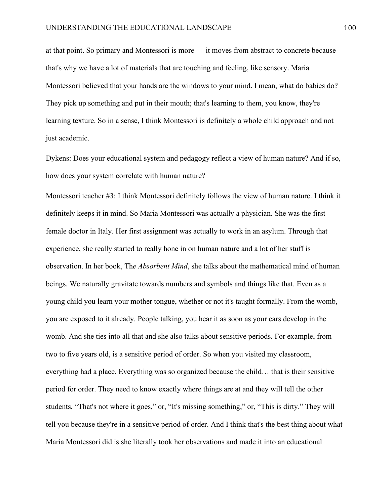at that point. So primary and Montessori is more — it moves from abstract to concrete because that's why we have a lot of materials that are touching and feeling, like sensory. Maria Montessori believed that your hands are the windows to your mind. I mean, what do babies do? They pick up something and put in their mouth; that's learning to them, you know, they're learning texture. So in a sense, I think Montessori is definitely a whole child approach and not just academic.

Dykens: Does your educational system and pedagogy reflect a view of human nature? And if so, how does your system correlate with human nature?

Montessori teacher #3: I think Montessori definitely follows the view of human nature. I think it definitely keeps it in mind. So Maria Montessori was actually a physician. She was the first female doctor in Italy. Her first assignment was actually to work in an asylum. Through that experience, she really started to really hone in on human nature and a lot of her stuff is observation. In her book, Th*e Absorbent Mind*, she talks about the mathematical mind of human beings. We naturally gravitate towards numbers and symbols and things like that. Even as a young child you learn your mother tongue, whether or not it's taught formally. From the womb, you are exposed to it already. People talking, you hear it as soon as your ears develop in the womb. And she ties into all that and she also talks about sensitive periods. For example, from two to five years old, is a sensitive period of order. So when you visited my classroom, everything had a place. Everything was so organized because the child… that is their sensitive period for order. They need to know exactly where things are at and they will tell the other students, "That's not where it goes," or, "It's missing something," or, "This is dirty." They will tell you because they're in a sensitive period of order. And I think that's the best thing about what Maria Montessori did is she literally took her observations and made it into an educational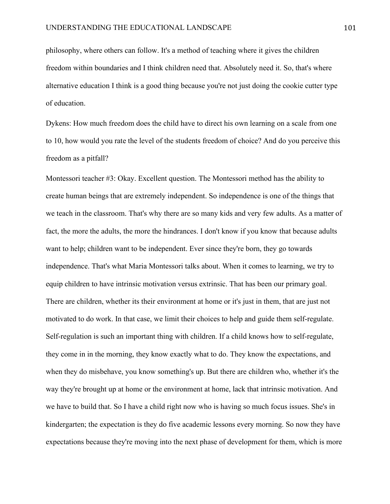philosophy, where others can follow. It's a method of teaching where it gives the children freedom within boundaries and I think children need that. Absolutely need it. So, that's where alternative education I think is a good thing because you're not just doing the cookie cutter type of education.

Dykens: How much freedom does the child have to direct his own learning on a scale from one to 10, how would you rate the level of the students freedom of choice? And do you perceive this freedom as a pitfall?

Montessori teacher #3: Okay. Excellent question. The Montessori method has the ability to create human beings that are extremely independent. So independence is one of the things that we teach in the classroom. That's why there are so many kids and very few adults. As a matter of fact, the more the adults, the more the hindrances. I don't know if you know that because adults want to help; children want to be independent. Ever since they're born, they go towards independence. That's what Maria Montessori talks about. When it comes to learning, we try to equip children to have intrinsic motivation versus extrinsic. That has been our primary goal. There are children, whether its their environment at home or it's just in them, that are just not motivated to do work. In that case, we limit their choices to help and guide them self-regulate. Self-regulation is such an important thing with children. If a child knows how to self-regulate, they come in in the morning, they know exactly what to do. They know the expectations, and when they do misbehave, you know something's up. But there are children who, whether it's the way they're brought up at home or the environment at home, lack that intrinsic motivation. And we have to build that. So I have a child right now who is having so much focus issues. She's in kindergarten; the expectation is they do five academic lessons every morning. So now they have expectations because they're moving into the next phase of development for them, which is more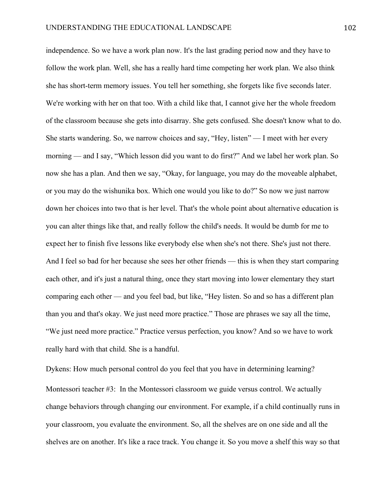independence. So we have a work plan now. It's the last grading period now and they have to follow the work plan. Well, she has a really hard time competing her work plan. We also think she has short-term memory issues. You tell her something, she forgets like five seconds later. We're working with her on that too. With a child like that, I cannot give her the whole freedom of the classroom because she gets into disarray. She gets confused. She doesn't know what to do. She starts wandering. So, we narrow choices and say, "Hey, listen" — I meet with her every morning — and I say, "Which lesson did you want to do first?" And we label her work plan. So now she has a plan. And then we say, "Okay, for language, you may do the moveable alphabet, or you may do the wishunika box. Which one would you like to do?" So now we just narrow down her choices into two that is her level. That's the whole point about alternative education is you can alter things like that, and really follow the child's needs. It would be dumb for me to expect her to finish five lessons like everybody else when she's not there. She's just not there. And I feel so bad for her because she sees her other friends — this is when they start comparing each other, and it's just a natural thing, once they start moving into lower elementary they start comparing each other — and you feel bad, but like, "Hey listen. So and so has a different plan than you and that's okay. We just need more practice." Those are phrases we say all the time, "We just need more practice." Practice versus perfection, you know? And so we have to work really hard with that child. She is a handful.

Dykens: How much personal control do you feel that you have in determining learning? Montessori teacher #3: In the Montessori classroom we guide versus control. We actually change behaviors through changing our environment. For example, if a child continually runs in your classroom, you evaluate the environment. So, all the shelves are on one side and all the shelves are on another. It's like a race track. You change it. So you move a shelf this way so that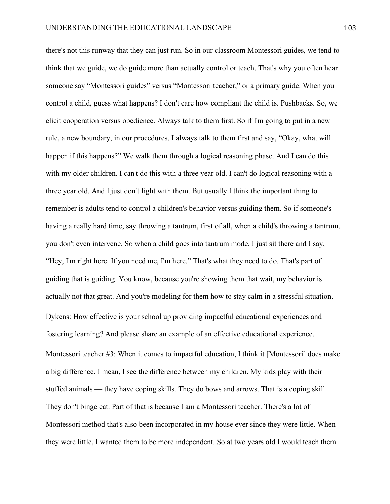there's not this runway that they can just run. So in our classroom Montessori guides, we tend to think that we guide, we do guide more than actually control or teach. That's why you often hear someone say "Montessori guides" versus "Montessori teacher," or a primary guide. When you control a child, guess what happens? I don't care how compliant the child is. Pushbacks. So, we elicit cooperation versus obedience. Always talk to them first. So if I'm going to put in a new rule, a new boundary, in our procedures, I always talk to them first and say, "Okay, what will happen if this happens?" We walk them through a logical reasoning phase. And I can do this with my older children. I can't do this with a three year old. I can't do logical reasoning with a three year old. And I just don't fight with them. But usually I think the important thing to remember is adults tend to control a children's behavior versus guiding them. So if someone's having a really hard time, say throwing a tantrum, first of all, when a child's throwing a tantrum, you don't even intervene. So when a child goes into tantrum mode, I just sit there and I say, "Hey, I'm right here. If you need me, I'm here." That's what they need to do. That's part of guiding that is guiding. You know, because you're showing them that wait, my behavior is actually not that great. And you're modeling for them how to stay calm in a stressful situation. Dykens: How effective is your school up providing impactful educational experiences and fostering learning? And please share an example of an effective educational experience. Montessori teacher #3: When it comes to impactful education, I think it [Montessori] does make a big difference. I mean, I see the difference between my children. My kids play with their stuffed animals — they have coping skills. They do bows and arrows. That is a coping skill. They don't binge eat. Part of that is because I am a Montessori teacher. There's a lot of Montessori method that's also been incorporated in my house ever since they were little. When they were little, I wanted them to be more independent. So at two years old I would teach them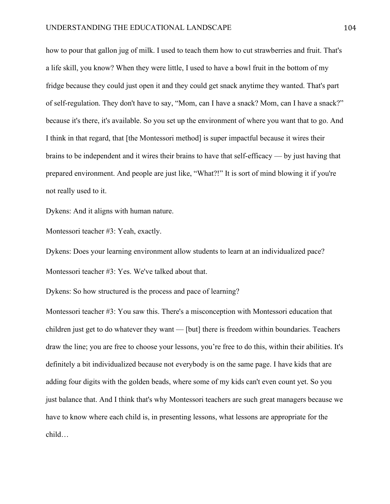how to pour that gallon jug of milk. I used to teach them how to cut strawberries and fruit. That's a life skill, you know? When they were little, I used to have a bowl fruit in the bottom of my fridge because they could just open it and they could get snack anytime they wanted. That's part of self-regulation. They don't have to say, "Mom, can I have a snack? Mom, can I have a snack?" because it's there, it's available. So you set up the environment of where you want that to go. And I think in that regard, that [the Montessori method] is super impactful because it wires their brains to be independent and it wires their brains to have that self-efficacy — by just having that prepared environment. And people are just like, "What?!" It is sort of mind blowing it if you're not really used to it.

Dykens: And it aligns with human nature.

Montessori teacher #3: Yeah, exactly.

Dykens: Does your learning environment allow students to learn at an individualized pace? Montessori teacher #3: Yes. We've talked about that.

Dykens: So how structured is the process and pace of learning?

Montessori teacher #3: You saw this. There's a misconception with Montessori education that children just get to do whatever they want — [but] there is freedom within boundaries. Teachers draw the line; you are free to choose your lessons, you're free to do this, within their abilities. It's definitely a bit individualized because not everybody is on the same page. I have kids that are adding four digits with the golden beads, where some of my kids can't even count yet. So you just balance that. And I think that's why Montessori teachers are such great managers because we have to know where each child is, in presenting lessons, what lessons are appropriate for the child…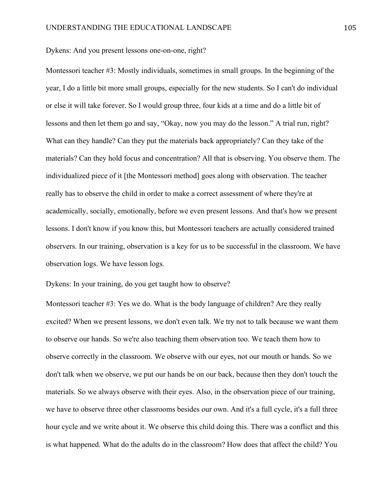Dykens: And you present lessons one-on-one, right?

Montessori teacher #3: Mostly individuals, sometimes in small groups. In the beginning of the year, I do a little bit more small groups, especially for the new students. So I can't do individual or else it will take forever. So I would group three, four kids at a time and do a little bit of lessons and then let them go and say, "Okay, now you may do the lesson." A trial run, right? What can they handle? Can they put the materials back appropriately? Can they take of the materials? Can they hold focus and concentration? All that is observing. You observe them. The individualized piece of it [the Montessori method] goes along with observation. The teacher really has to observe the child in order to make a correct assessment of where they're at academically, socially, emotionally, before we even present lessons. And that's how we present lessons. I don't know if you know this, but Montessori teachers are actually considered trained observers. In our training, observation is a key for us to be successful in the classroom. We have observation logs. We have lesson logs.

Dykens: In your training, do you get taught how to observe?

Montessori teacher #3: Yes we do. What is the body language of children? Are they really excited? When we present lessons, we don't even talk. We try not to talk because we want them to observe our hands. So we're also teaching them observation too. We teach them how to observe correctly in the classroom. We observe with our eyes, not our mouth or hands. So we don't talk when we observe, we put our hands be on our back, because then they don't touch the materials. So we always observe with their eyes. Also, in the observation piece of our training, we have to observe three other classrooms besides our own. And it's a full cycle, it's a full three hour cycle and we write about it. We observe this child doing this. There was a conflict and this is what happened. What do the adults do in the classroom? How does that affect the child? You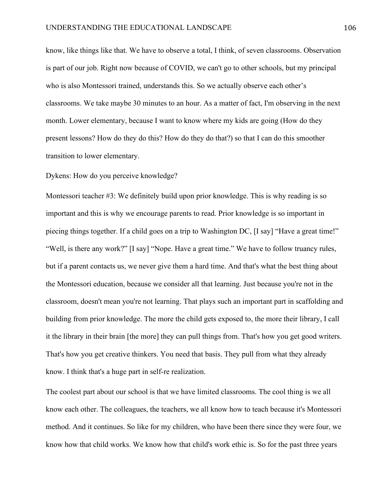know, like things like that. We have to observe a total, I think, of seven classrooms. Observation is part of our job. Right now because of COVID, we can't go to other schools, but my principal who is also Montessori trained, understands this. So we actually observe each other's classrooms. We take maybe 30 minutes to an hour. As a matter of fact, I'm observing in the next month. Lower elementary, because I want to know where my kids are going (How do they present lessons? How do they do this? How do they do that?) so that I can do this smoother transition to lower elementary.

#### Dykens: How do you perceive knowledge?

Montessori teacher #3: We definitely build upon prior knowledge. This is why reading is so important and this is why we encourage parents to read. Prior knowledge is so important in piecing things together. If a child goes on a trip to Washington DC, [I say] "Have a great time!" "Well, is there any work?" [I say] "Nope. Have a great time." We have to follow truancy rules, but if a parent contacts us, we never give them a hard time. And that's what the best thing about the Montessori education, because we consider all that learning. Just because you're not in the classroom, doesn't mean you're not learning. That plays such an important part in scaffolding and building from prior knowledge. The more the child gets exposed to, the more their library, I call it the library in their brain [the more] they can pull things from. That's how you get good writers. That's how you get creative thinkers. You need that basis. They pull from what they already know. I think that's a huge part in self-re realization.

The coolest part about our school is that we have limited classrooms. The cool thing is we all know each other. The colleagues, the teachers, we all know how to teach because it's Montessori method. And it continues. So like for my children, who have been there since they were four, we know how that child works. We know how that child's work ethic is. So for the past three years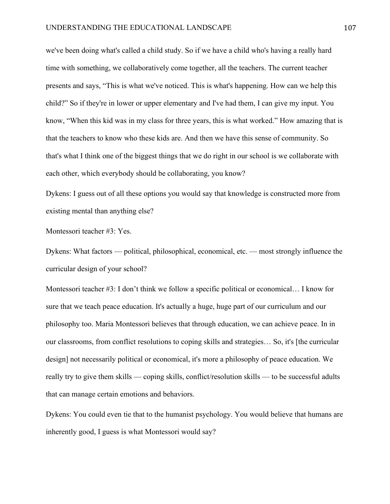we've been doing what's called a child study. So if we have a child who's having a really hard time with something, we collaboratively come together, all the teachers. The current teacher presents and says, "This is what we've noticed. This is what's happening. How can we help this child?" So if they're in lower or upper elementary and I've had them, I can give my input. You know, "When this kid was in my class for three years, this is what worked." How amazing that is that the teachers to know who these kids are. And then we have this sense of community. So that's what I think one of the biggest things that we do right in our school is we collaborate with each other, which everybody should be collaborating, you know?

Dykens: I guess out of all these options you would say that knowledge is constructed more from existing mental than anything else?

Montessori teacher #3: Yes.

Dykens: What factors — political, philosophical, economical, etc. — most strongly influence the curricular design of your school?

Montessori teacher #3: I don't think we follow a specific political or economical… I know for sure that we teach peace education. It's actually a huge, huge part of our curriculum and our philosophy too. Maria Montessori believes that through education, we can achieve peace. In in our classrooms, from conflict resolutions to coping skills and strategies… So, it's [the curricular design] not necessarily political or economical, it's more a philosophy of peace education. We really try to give them skills — coping skills, conflict/resolution skills — to be successful adults that can manage certain emotions and behaviors.

Dykens: You could even tie that to the humanist psychology. You would believe that humans are inherently good, I guess is what Montessori would say?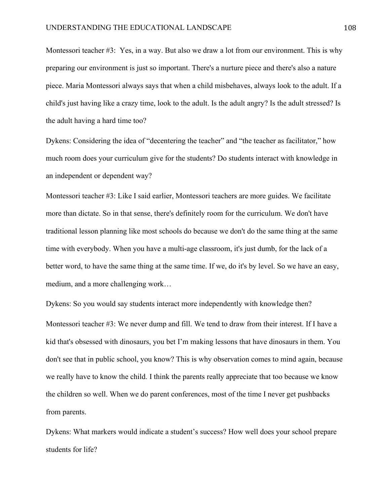Montessori teacher #3: Yes, in a way. But also we draw a lot from our environment. This is why preparing our environment is just so important. There's a nurture piece and there's also a nature piece. Maria Montessori always says that when a child misbehaves, always look to the adult. If a child's just having like a crazy time, look to the adult. Is the adult angry? Is the adult stressed? Is the adult having a hard time too?

Dykens: Considering the idea of "decentering the teacher" and "the teacher as facilitator," how much room does your curriculum give for the students? Do students interact with knowledge in an independent or dependent way?

Montessori teacher #3: Like I said earlier, Montessori teachers are more guides. We facilitate more than dictate. So in that sense, there's definitely room for the curriculum. We don't have traditional lesson planning like most schools do because we don't do the same thing at the same time with everybody. When you have a multi-age classroom, it's just dumb, for the lack of a better word, to have the same thing at the same time. If we, do it's by level. So we have an easy, medium, and a more challenging work…

Dykens: So you would say students interact more independently with knowledge then? Montessori teacher #3: We never dump and fill. We tend to draw from their interest. If I have a kid that's obsessed with dinosaurs, you bet I'm making lessons that have dinosaurs in them. You don't see that in public school, you know? This is why observation comes to mind again, because we really have to know the child. I think the parents really appreciate that too because we know the children so well. When we do parent conferences, most of the time I never get pushbacks from parents.

Dykens: What markers would indicate a student's success? How well does your school prepare students for life?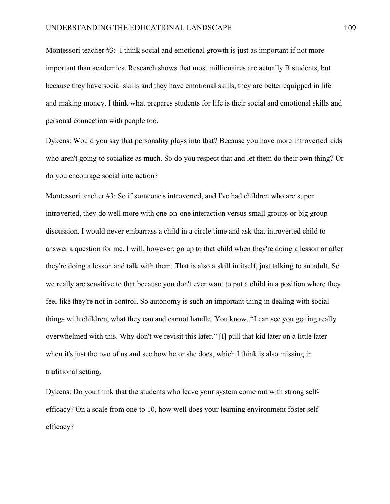Montessori teacher #3: I think social and emotional growth is just as important if not more important than academics. Research shows that most millionaires are actually B students, but because they have social skills and they have emotional skills, they are better equipped in life and making money. I think what prepares students for life is their social and emotional skills and personal connection with people too.

Dykens: Would you say that personality plays into that? Because you have more introverted kids who aren't going to socialize as much. So do you respect that and let them do their own thing? Or do you encourage social interaction?

Montessori teacher #3: So if someone's introverted, and I've had children who are super introverted, they do well more with one-on-one interaction versus small groups or big group discussion. I would never embarrass a child in a circle time and ask that introverted child to answer a question for me. I will, however, go up to that child when they're doing a lesson or after they're doing a lesson and talk with them. That is also a skill in itself, just talking to an adult. So we really are sensitive to that because you don't ever want to put a child in a position where they feel like they're not in control. So autonomy is such an important thing in dealing with social things with children, what they can and cannot handle. You know, "I can see you getting really overwhelmed with this. Why don't we revisit this later." [I] pull that kid later on a little later when it's just the two of us and see how he or she does, which I think is also missing in traditional setting.

Dykens: Do you think that the students who leave your system come out with strong selfefficacy? On a scale from one to 10, how well does your learning environment foster selfefficacy?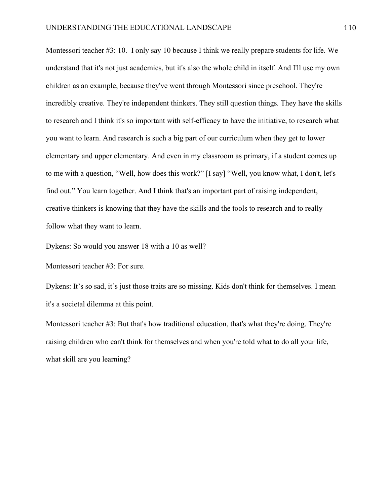Montessori teacher #3: 10. I only say 10 because I think we really prepare students for life. We understand that it's not just academics, but it's also the whole child in itself. And I'll use my own children as an example, because they've went through Montessori since preschool. They're incredibly creative. They're independent thinkers. They still question things. They have the skills to research and I think it's so important with self-efficacy to have the initiative, to research what you want to learn. And research is such a big part of our curriculum when they get to lower elementary and upper elementary. And even in my classroom as primary, if a student comes up to me with a question, "Well, how does this work?" [I say] "Well, you know what, I don't, let's find out." You learn together. And I think that's an important part of raising independent, creative thinkers is knowing that they have the skills and the tools to research and to really follow what they want to learn.

Dykens: So would you answer 18 with a 10 as well?

Montessori teacher #3: For sure.

Dykens: It's so sad, it's just those traits are so missing. Kids don't think for themselves. I mean it's a societal dilemma at this point.

Montessori teacher #3: But that's how traditional education, that's what they're doing. They're raising children who can't think for themselves and when you're told what to do all your life, what skill are you learning?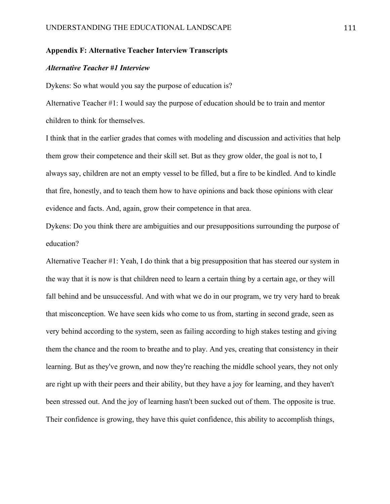# **Appendix F: Alternative Teacher Interview Transcripts**

#### *Alternative Teacher #1 Interview*

Dykens: So what would you say the purpose of education is?

Alternative Teacher #1: I would say the purpose of education should be to train and mentor children to think for themselves.

I think that in the earlier grades that comes with modeling and discussion and activities that help them grow their competence and their skill set. But as they grow older, the goal is not to, I always say, children are not an empty vessel to be filled, but a fire to be kindled. And to kindle that fire, honestly, and to teach them how to have opinions and back those opinions with clear evidence and facts. And, again, grow their competence in that area.

Dykens: Do you think there are ambiguities and our presuppositions surrounding the purpose of education?

Alternative Teacher #1: Yeah, I do think that a big presupposition that has steered our system in the way that it is now is that children need to learn a certain thing by a certain age, or they will fall behind and be unsuccessful. And with what we do in our program, we try very hard to break that misconception. We have seen kids who come to us from, starting in second grade, seen as very behind according to the system, seen as failing according to high stakes testing and giving them the chance and the room to breathe and to play. And yes, creating that consistency in their learning. But as they've grown, and now they're reaching the middle school years, they not only are right up with their peers and their ability, but they have a joy for learning, and they haven't been stressed out. And the joy of learning hasn't been sucked out of them. The opposite is true. Their confidence is growing, they have this quiet confidence, this ability to accomplish things,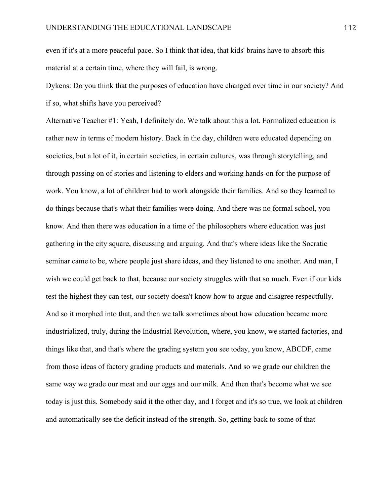even if it's at a more peaceful pace. So I think that idea, that kids' brains have to absorb this material at a certain time, where they will fail, is wrong.

Dykens: Do you think that the purposes of education have changed over time in our society? And if so, what shifts have you perceived?

Alternative Teacher #1: Yeah, I definitely do. We talk about this a lot. Formalized education is rather new in terms of modern history. Back in the day, children were educated depending on societies, but a lot of it, in certain societies, in certain cultures, was through storytelling, and through passing on of stories and listening to elders and working hands-on for the purpose of work. You know, a lot of children had to work alongside their families. And so they learned to do things because that's what their families were doing. And there was no formal school, you know. And then there was education in a time of the philosophers where education was just gathering in the city square, discussing and arguing. And that's where ideas like the Socratic seminar came to be, where people just share ideas, and they listened to one another. And man, I wish we could get back to that, because our society struggles with that so much. Even if our kids test the highest they can test, our society doesn't know how to argue and disagree respectfully. And so it morphed into that, and then we talk sometimes about how education became more industrialized, truly, during the Industrial Revolution, where, you know, we started factories, and things like that, and that's where the grading system you see today, you know, ABCDF, came from those ideas of factory grading products and materials. And so we grade our children the same way we grade our meat and our eggs and our milk. And then that's become what we see today is just this. Somebody said it the other day, and I forget and it's so true, we look at children and automatically see the deficit instead of the strength. So, getting back to some of that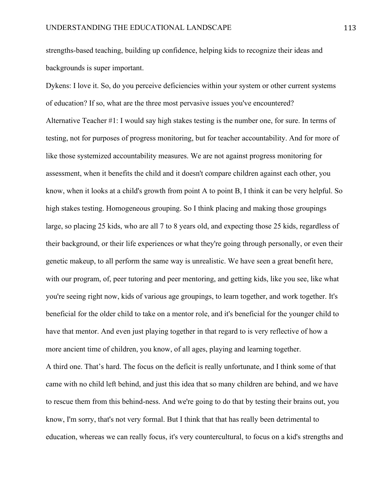strengths-based teaching, building up confidence, helping kids to recognize their ideas and backgrounds is super important.

Dykens: I love it. So, do you perceive deficiencies within your system or other current systems of education? If so, what are the three most pervasive issues you've encountered? Alternative Teacher #1: I would say high stakes testing is the number one, for sure. In terms of testing, not for purposes of progress monitoring, but for teacher accountability. And for more of like those systemized accountability measures. We are not against progress monitoring for assessment, when it benefits the child and it doesn't compare children against each other, you know, when it looks at a child's growth from point A to point B, I think it can be very helpful. So high stakes testing. Homogeneous grouping. So I think placing and making those groupings large, so placing 25 kids, who are all 7 to 8 years old, and expecting those 25 kids, regardless of their background, or their life experiences or what they're going through personally, or even their genetic makeup, to all perform the same way is unrealistic. We have seen a great benefit here, with our program, of, peer tutoring and peer mentoring, and getting kids, like you see, like what you're seeing right now, kids of various age groupings, to learn together, and work together. It's beneficial for the older child to take on a mentor role, and it's beneficial for the younger child to have that mentor. And even just playing together in that regard to is very reflective of how a more ancient time of children, you know, of all ages, playing and learning together.

A third one. That's hard. The focus on the deficit is really unfortunate, and I think some of that came with no child left behind, and just this idea that so many children are behind, and we have to rescue them from this behind-ness. And we're going to do that by testing their brains out, you know, I'm sorry, that's not very formal. But I think that that has really been detrimental to education, whereas we can really focus, it's very countercultural, to focus on a kid's strengths and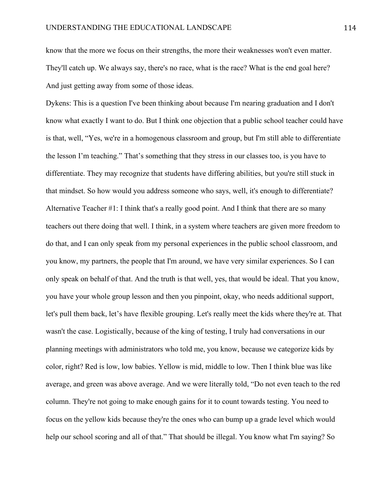know that the more we focus on their strengths, the more their weaknesses won't even matter. They'll catch up. We always say, there's no race, what is the race? What is the end goal here? And just getting away from some of those ideas.

Dykens: This is a question I've been thinking about because I'm nearing graduation and I don't know what exactly I want to do. But I think one objection that a public school teacher could have is that, well, "Yes, we're in a homogenous classroom and group, but I'm still able to differentiate the lesson I'm teaching." That's something that they stress in our classes too, is you have to differentiate. They may recognize that students have differing abilities, but you're still stuck in that mindset. So how would you address someone who says, well, it's enough to differentiate? Alternative Teacher #1: I think that's a really good point. And I think that there are so many teachers out there doing that well. I think, in a system where teachers are given more freedom to do that, and I can only speak from my personal experiences in the public school classroom, and you know, my partners, the people that I'm around, we have very similar experiences. So I can only speak on behalf of that. And the truth is that well, yes, that would be ideal. That you know, you have your whole group lesson and then you pinpoint, okay, who needs additional support, let's pull them back, let's have flexible grouping. Let's really meet the kids where they're at. That wasn't the case. Logistically, because of the king of testing, I truly had conversations in our planning meetings with administrators who told me, you know, because we categorize kids by color, right? Red is low, low babies. Yellow is mid, middle to low. Then I think blue was like average, and green was above average. And we were literally told, "Do not even teach to the red column. They're not going to make enough gains for it to count towards testing. You need to focus on the yellow kids because they're the ones who can bump up a grade level which would help our school scoring and all of that." That should be illegal. You know what I'm saying? So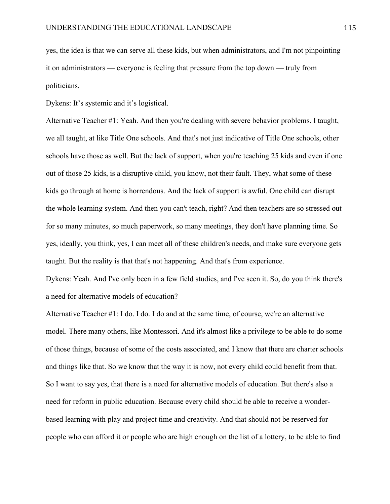yes, the idea is that we can serve all these kids, but when administrators, and I'm not pinpointing it on administrators — everyone is feeling that pressure from the top down — truly from politicians.

Dykens: It's systemic and it's logistical.

Alternative Teacher #1: Yeah. And then you're dealing with severe behavior problems. I taught, we all taught, at like Title One schools. And that's not just indicative of Title One schools, other schools have those as well. But the lack of support, when you're teaching 25 kids and even if one out of those 25 kids, is a disruptive child, you know, not their fault. They, what some of these kids go through at home is horrendous. And the lack of support is awful. One child can disrupt the whole learning system. And then you can't teach, right? And then teachers are so stressed out for so many minutes, so much paperwork, so many meetings, they don't have planning time. So yes, ideally, you think, yes, I can meet all of these children's needs, and make sure everyone gets taught. But the reality is that that's not happening. And that's from experience.

Dykens: Yeah. And I've only been in a few field studies, and I've seen it. So, do you think there's a need for alternative models of education?

Alternative Teacher #1: I do. I do. I do and at the same time, of course, we're an alternative model. There many others, like Montessori. And it's almost like a privilege to be able to do some of those things, because of some of the costs associated, and I know that there are charter schools and things like that. So we know that the way it is now, not every child could benefit from that. So I want to say yes, that there is a need for alternative models of education. But there's also a need for reform in public education. Because every child should be able to receive a wonderbased learning with play and project time and creativity. And that should not be reserved for people who can afford it or people who are high enough on the list of a lottery, to be able to find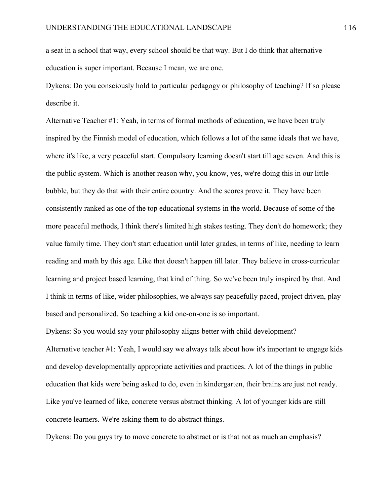a seat in a school that way, every school should be that way. But I do think that alternative education is super important. Because I mean, we are one.

Dykens: Do you consciously hold to particular pedagogy or philosophy of teaching? If so please describe it.

Alternative Teacher #1: Yeah, in terms of formal methods of education, we have been truly inspired by the Finnish model of education, which follows a lot of the same ideals that we have, where it's like, a very peaceful start. Compulsory learning doesn't start till age seven. And this is the public system. Which is another reason why, you know, yes, we're doing this in our little bubble, but they do that with their entire country. And the scores prove it. They have been consistently ranked as one of the top educational systems in the world. Because of some of the more peaceful methods, I think there's limited high stakes testing. They don't do homework; they value family time. They don't start education until later grades, in terms of like, needing to learn reading and math by this age. Like that doesn't happen till later. They believe in cross-curricular learning and project based learning, that kind of thing. So we've been truly inspired by that. And I think in terms of like, wider philosophies, we always say peacefully paced, project driven, play based and personalized. So teaching a kid one-on-one is so important.

Dykens: So you would say your philosophy aligns better with child development? Alternative teacher #1: Yeah, I would say we always talk about how it's important to engage kids and develop developmentally appropriate activities and practices. A lot of the things in public education that kids were being asked to do, even in kindergarten, their brains are just not ready. Like you've learned of like, concrete versus abstract thinking. A lot of younger kids are still concrete learners. We're asking them to do abstract things.

Dykens: Do you guys try to move concrete to abstract or is that not as much an emphasis?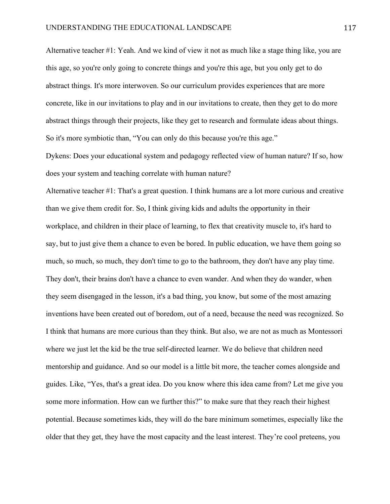Alternative teacher #1: Yeah. And we kind of view it not as much like a stage thing like, you are this age, so you're only going to concrete things and you're this age, but you only get to do abstract things. It's more interwoven. So our curriculum provides experiences that are more concrete, like in our invitations to play and in our invitations to create, then they get to do more abstract things through their projects, like they get to research and formulate ideas about things. So it's more symbiotic than, "You can only do this because you're this age."

Dykens: Does your educational system and pedagogy reflected view of human nature? If so, how does your system and teaching correlate with human nature?

Alternative teacher #1: That's a great question. I think humans are a lot more curious and creative than we give them credit for. So, I think giving kids and adults the opportunity in their workplace, and children in their place of learning, to flex that creativity muscle to, it's hard to say, but to just give them a chance to even be bored. In public education, we have them going so much, so much, so much, they don't time to go to the bathroom, they don't have any play time. They don't, their brains don't have a chance to even wander. And when they do wander, when they seem disengaged in the lesson, it's a bad thing, you know, but some of the most amazing inventions have been created out of boredom, out of a need, because the need was recognized. So I think that humans are more curious than they think. But also, we are not as much as Montessori where we just let the kid be the true self-directed learner. We do believe that children need mentorship and guidance. And so our model is a little bit more, the teacher comes alongside and guides. Like, "Yes, that's a great idea. Do you know where this idea came from? Let me give you some more information. How can we further this?" to make sure that they reach their highest potential. Because sometimes kids, they will do the bare minimum sometimes, especially like the older that they get, they have the most capacity and the least interest. They're cool preteens, you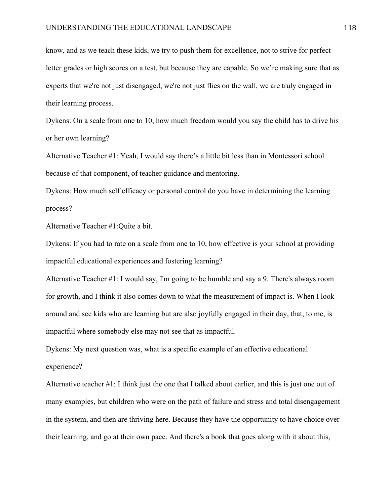know, and as we teach these kids, we try to push them for excellence, not to strive for perfect letter grades or high scores on a test, but because they are capable. So we're making sure that as experts that we're not just disengaged, we're not just flies on the wall, we are truly engaged in their learning process.

Dykens: On a scale from one to 10, how much freedom would you say the child has to drive his or her own learning?

Alternative Teacher #1: Yeah, I would say there's a little bit less than in Montessori school because of that component, of teacher guidance and mentoring.

Dykens: How much self efficacy or personal control do you have in determining the learning process?

Alternative Teacher #1:Quite a bit.

Dykens: If you had to rate on a scale from one to 10, how effective is your school at providing impactful educational experiences and fostering learning?

Alternative Teacher #1: I would say, I'm going to be humble and say a 9. There's always room for growth, and I think it also comes down to what the measurement of impact is. When I look around and see kids who are learning but are also joyfully engaged in their day, that, to me, is impactful where somebody else may not see that as impactful.

Dykens: My next question was, what is a specific example of an effective educational experience?

Alternative teacher #1: I think just the one that I talked about earlier, and this is just one out of many examples, but children who were on the path of failure and stress and total disengagement in the system, and then are thriving here. Because they have the opportunity to have choice over their learning, and go at their own pace. And there's a book that goes along with it about this,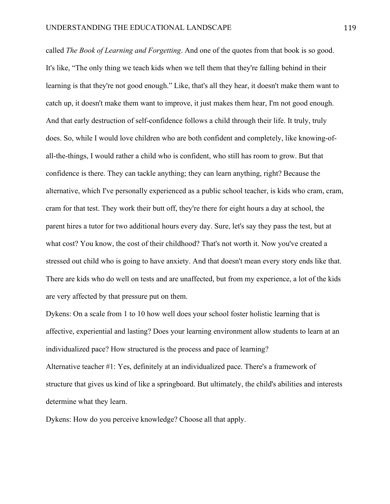called *The Book of Learning and Forgetting*. And one of the quotes from that book is so good. It's like, "The only thing we teach kids when we tell them that they're falling behind in their learning is that they're not good enough." Like, that's all they hear, it doesn't make them want to catch up, it doesn't make them want to improve, it just makes them hear, I'm not good enough. And that early destruction of self-confidence follows a child through their life. It truly, truly does. So, while I would love children who are both confident and completely, like knowing-ofall-the-things, I would rather a child who is confident, who still has room to grow. But that confidence is there. They can tackle anything; they can learn anything, right? Because the alternative, which I've personally experienced as a public school teacher, is kids who cram, cram, cram for that test. They work their butt off, they're there for eight hours a day at school, the parent hires a tutor for two additional hours every day. Sure, let's say they pass the test, but at what cost? You know, the cost of their childhood? That's not worth it. Now you've created a stressed out child who is going to have anxiety. And that doesn't mean every story ends like that. There are kids who do well on tests and are unaffected, but from my experience, a lot of the kids are very affected by that pressure put on them.

Dykens: On a scale from 1 to 10 how well does your school foster holistic learning that is affective, experiential and lasting? Does your learning environment allow students to learn at an individualized pace? How structured is the process and pace of learning? Alternative teacher #1: Yes, definitely at an individualized pace. There's a framework of

structure that gives us kind of like a springboard. But ultimately, the child's abilities and interests determine what they learn.

Dykens: How do you perceive knowledge? Choose all that apply.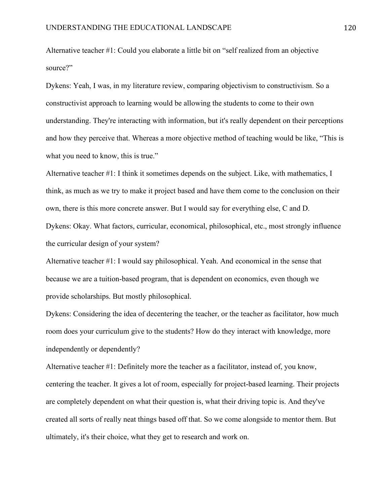Alternative teacher #1: Could you elaborate a little bit on "self realized from an objective source?"

Dykens: Yeah, I was, in my literature review, comparing objectivism to constructivism. So a constructivist approach to learning would be allowing the students to come to their own understanding. They're interacting with information, but it's really dependent on their perceptions and how they perceive that. Whereas a more objective method of teaching would be like, "This is what you need to know, this is true."

Alternative teacher #1: I think it sometimes depends on the subject. Like, with mathematics, I think, as much as we try to make it project based and have them come to the conclusion on their own, there is this more concrete answer. But I would say for everything else, C and D. Dykens: Okay. What factors, curricular, economical, philosophical, etc., most strongly influence the curricular design of your system?

Alternative teacher #1: I would say philosophical. Yeah. And economical in the sense that because we are a tuition-based program, that is dependent on economics, even though we provide scholarships. But mostly philosophical.

Dykens: Considering the idea of decentering the teacher, or the teacher as facilitator, how much room does your curriculum give to the students? How do they interact with knowledge, more independently or dependently?

Alternative teacher #1: Definitely more the teacher as a facilitator, instead of, you know, centering the teacher. It gives a lot of room, especially for project-based learning. Their projects are completely dependent on what their question is, what their driving topic is. And they've created all sorts of really neat things based off that. So we come alongside to mentor them. But ultimately, it's their choice, what they get to research and work on.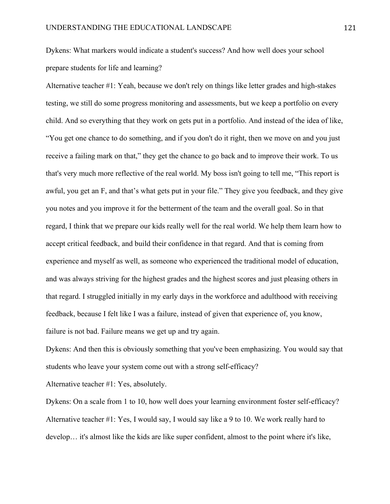Dykens: What markers would indicate a student's success? And how well does your school prepare students for life and learning?

Alternative teacher #1: Yeah, because we don't rely on things like letter grades and high-stakes testing, we still do some progress monitoring and assessments, but we keep a portfolio on every child. And so everything that they work on gets put in a portfolio. And instead of the idea of like, "You get one chance to do something, and if you don't do it right, then we move on and you just receive a failing mark on that," they get the chance to go back and to improve their work. To us that's very much more reflective of the real world. My boss isn't going to tell me, "This report is awful, you get an F, and that's what gets put in your file." They give you feedback, and they give you notes and you improve it for the betterment of the team and the overall goal. So in that regard, I think that we prepare our kids really well for the real world. We help them learn how to accept critical feedback, and build their confidence in that regard. And that is coming from experience and myself as well, as someone who experienced the traditional model of education, and was always striving for the highest grades and the highest scores and just pleasing others in that regard. I struggled initially in my early days in the workforce and adulthood with receiving feedback, because I felt like I was a failure, instead of given that experience of, you know, failure is not bad. Failure means we get up and try again.

Dykens: And then this is obviously something that you've been emphasizing. You would say that students who leave your system come out with a strong self-efficacy?

Alternative teacher #1: Yes, absolutely.

Dykens: On a scale from 1 to 10, how well does your learning environment foster self-efficacy? Alternative teacher #1: Yes, I would say, I would say like a 9 to 10. We work really hard to develop… it's almost like the kids are like super confident, almost to the point where it's like,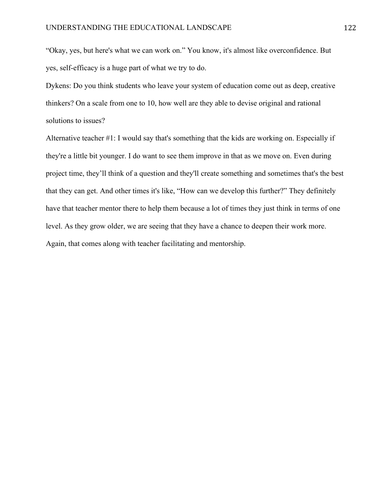"Okay, yes, but here's what we can work on." You know, it's almost like overconfidence. But yes, self-efficacy is a huge part of what we try to do.

Dykens: Do you think students who leave your system of education come out as deep, creative thinkers? On a scale from one to 10, how well are they able to devise original and rational solutions to issues?

Alternative teacher #1: I would say that's something that the kids are working on. Especially if they're a little bit younger. I do want to see them improve in that as we move on. Even during project time, they'll think of a question and they'll create something and sometimes that's the best that they can get. And other times it's like, "How can we develop this further?" They definitely have that teacher mentor there to help them because a lot of times they just think in terms of one level. As they grow older, we are seeing that they have a chance to deepen their work more. Again, that comes along with teacher facilitating and mentorship.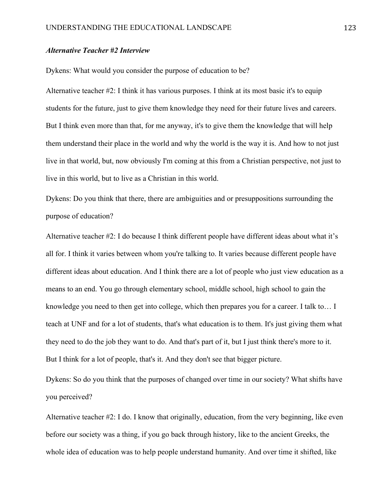### *Alternative Teacher #2 Interview*

Dykens: What would you consider the purpose of education to be?

Alternative teacher #2: I think it has various purposes. I think at its most basic it's to equip students for the future, just to give them knowledge they need for their future lives and careers. But I think even more than that, for me anyway, it's to give them the knowledge that will help them understand their place in the world and why the world is the way it is. And how to not just live in that world, but, now obviously I'm coming at this from a Christian perspective, not just to live in this world, but to live as a Christian in this world.

Dykens: Do you think that there, there are ambiguities and or presuppositions surrounding the purpose of education?

Alternative teacher #2: I do because I think different people have different ideas about what it's all for. I think it varies between whom you're talking to. It varies because different people have different ideas about education. And I think there are a lot of people who just view education as a means to an end. You go through elementary school, middle school, high school to gain the knowledge you need to then get into college, which then prepares you for a career. I talk to… I teach at UNF and for a lot of students, that's what education is to them. It's just giving them what they need to do the job they want to do. And that's part of it, but I just think there's more to it. But I think for a lot of people, that's it. And they don't see that bigger picture.

Dykens: So do you think that the purposes of changed over time in our society? What shifts have you perceived?

Alternative teacher #2: I do. I know that originally, education, from the very beginning, like even before our society was a thing, if you go back through history, like to the ancient Greeks, the whole idea of education was to help people understand humanity. And over time it shifted, like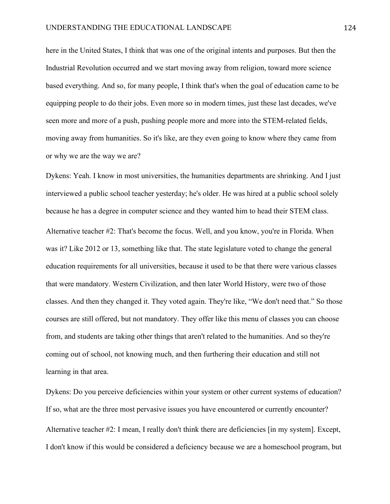here in the United States, I think that was one of the original intents and purposes. But then the Industrial Revolution occurred and we start moving away from religion, toward more science based everything. And so, for many people, I think that's when the goal of education came to be equipping people to do their jobs. Even more so in modern times, just these last decades, we've seen more and more of a push, pushing people more and more into the STEM-related fields, moving away from humanities. So it's like, are they even going to know where they came from or why we are the way we are?

Dykens: Yeah. I know in most universities, the humanities departments are shrinking. And I just interviewed a public school teacher yesterday; he's older. He was hired at a public school solely because he has a degree in computer science and they wanted him to head their STEM class. Alternative teacher #2: That's become the focus. Well, and you know, you're in Florida. When was it? Like 2012 or 13, something like that. The state legislature voted to change the general education requirements for all universities, because it used to be that there were various classes that were mandatory. Western Civilization, and then later World History, were two of those classes. And then they changed it. They voted again. They're like, "We don't need that." So those courses are still offered, but not mandatory. They offer like this menu of classes you can choose from, and students are taking other things that aren't related to the humanities. And so they're coming out of school, not knowing much, and then furthering their education and still not learning in that area.

Dykens: Do you perceive deficiencies within your system or other current systems of education? If so, what are the three most pervasive issues you have encountered or currently encounter? Alternative teacher #2: I mean, I really don't think there are deficiencies [in my system]. Except, I don't know if this would be considered a deficiency because we are a homeschool program, but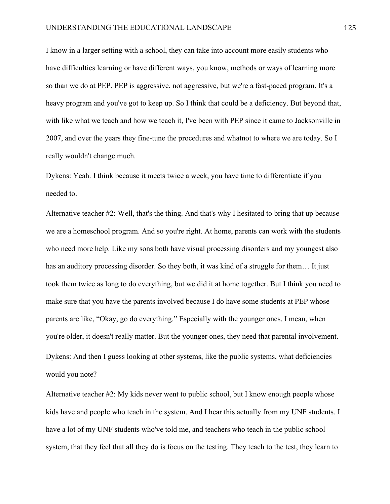I know in a larger setting with a school, they can take into account more easily students who have difficulties learning or have different ways, you know, methods or ways of learning more so than we do at PEP. PEP is aggressive, not aggressive, but we're a fast-paced program. It's a heavy program and you've got to keep up. So I think that could be a deficiency. But beyond that, with like what we teach and how we teach it, I've been with PEP since it came to Jacksonville in 2007, and over the years they fine-tune the procedures and whatnot to where we are today. So I really wouldn't change much.

Dykens: Yeah. I think because it meets twice a week, you have time to differentiate if you needed to.

Alternative teacher #2: Well, that's the thing. And that's why I hesitated to bring that up because we are a homeschool program. And so you're right. At home, parents can work with the students who need more help. Like my sons both have visual processing disorders and my youngest also has an auditory processing disorder. So they both, it was kind of a struggle for them... It just took them twice as long to do everything, but we did it at home together. But I think you need to make sure that you have the parents involved because I do have some students at PEP whose parents are like, "Okay, go do everything." Especially with the younger ones. I mean, when you're older, it doesn't really matter. But the younger ones, they need that parental involvement. Dykens: And then I guess looking at other systems, like the public systems, what deficiencies would you note?

Alternative teacher #2: My kids never went to public school, but I know enough people whose kids have and people who teach in the system. And I hear this actually from my UNF students. I have a lot of my UNF students who've told me, and teachers who teach in the public school system, that they feel that all they do is focus on the testing. They teach to the test, they learn to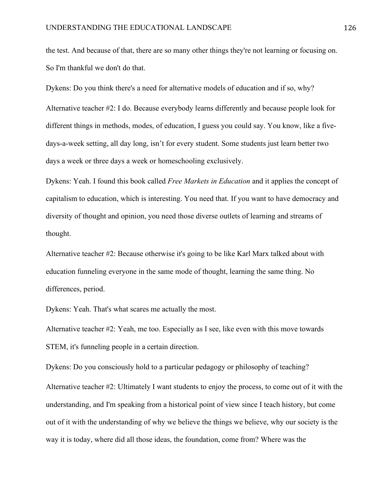the test. And because of that, there are so many other things they're not learning or focusing on. So I'm thankful we don't do that.

Dykens: Do you think there's a need for alternative models of education and if so, why? Alternative teacher #2: I do. Because everybody learns differently and because people look for different things in methods, modes, of education, I guess you could say. You know, like a fivedays-a-week setting, all day long, isn't for every student. Some students just learn better two days a week or three days a week or homeschooling exclusively.

Dykens: Yeah. I found this book called *Free Markets in Education* and it applies the concept of capitalism to education, which is interesting. You need that. If you want to have democracy and diversity of thought and opinion, you need those diverse outlets of learning and streams of thought.

Alternative teacher #2: Because otherwise it's going to be like Karl Marx talked about with education funneling everyone in the same mode of thought, learning the same thing. No differences, period.

Dykens: Yeah. That's what scares me actually the most.

Alternative teacher #2: Yeah, me too. Especially as I see, like even with this move towards STEM, it's funneling people in a certain direction.

Dykens: Do you consciously hold to a particular pedagogy or philosophy of teaching?

Alternative teacher #2: Ultimately I want students to enjoy the process, to come out of it with the understanding, and I'm speaking from a historical point of view since I teach history, but come out of it with the understanding of why we believe the things we believe, why our society is the way it is today, where did all those ideas, the foundation, come from? Where was the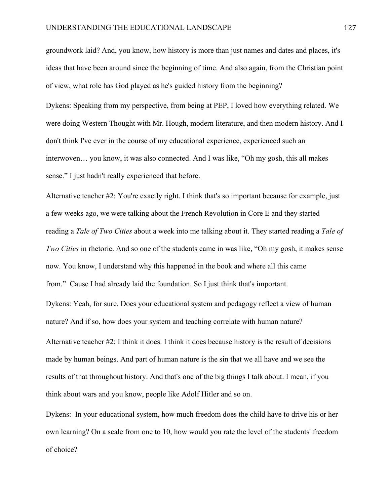groundwork laid? And, you know, how history is more than just names and dates and places, it's ideas that have been around since the beginning of time. And also again, from the Christian point of view, what role has God played as he's guided history from the beginning?

Dykens: Speaking from my perspective, from being at PEP, I loved how everything related. We were doing Western Thought with Mr. Hough, modern literature, and then modern history. And I don't think I've ever in the course of my educational experience, experienced such an interwoven… you know, it was also connected. And I was like, "Oh my gosh, this all makes sense." I just hadn't really experienced that before.

Alternative teacher #2: You're exactly right. I think that's so important because for example, just a few weeks ago, we were talking about the French Revolution in Core E and they started reading a *Tale of Two Cities* about a week into me talking about it. They started reading a *Tale of Two Cities* in rhetoric. And so one of the students came in was like, "Oh my gosh, it makes sense now. You know, I understand why this happened in the book and where all this came from." Cause I had already laid the foundation. So I just think that's important.

Dykens: Yeah, for sure. Does your educational system and pedagogy reflect a view of human nature? And if so, how does your system and teaching correlate with human nature? Alternative teacher #2: I think it does. I think it does because history is the result of decisions made by human beings. And part of human nature is the sin that we all have and we see the results of that throughout history. And that's one of the big things I talk about. I mean, if you think about wars and you know, people like Adolf Hitler and so on.

Dykens: In your educational system, how much freedom does the child have to drive his or her own learning? On a scale from one to 10, how would you rate the level of the students' freedom of choice?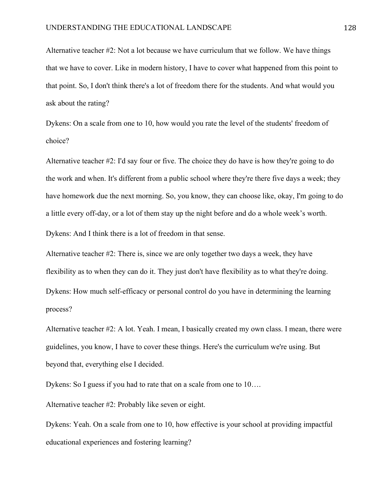Alternative teacher #2: Not a lot because we have curriculum that we follow. We have things that we have to cover. Like in modern history, I have to cover what happened from this point to that point. So, I don't think there's a lot of freedom there for the students. And what would you ask about the rating?

Dykens: On a scale from one to 10, how would you rate the level of the students' freedom of choice?

Alternative teacher #2: I'd say four or five. The choice they do have is how they're going to do the work and when. It's different from a public school where they're there five days a week; they have homework due the next morning. So, you know, they can choose like, okay, I'm going to do a little every off-day, or a lot of them stay up the night before and do a whole week's worth. Dykens: And I think there is a lot of freedom in that sense.

Alternative teacher #2: There is, since we are only together two days a week, they have flexibility as to when they can do it. They just don't have flexibility as to what they're doing. Dykens: How much self-efficacy or personal control do you have in determining the learning process?

Alternative teacher #2: A lot. Yeah. I mean, I basically created my own class. I mean, there were guidelines, you know, I have to cover these things. Here's the curriculum we're using. But beyond that, everything else I decided.

Dykens: So I guess if you had to rate that on a scale from one to 10….

Alternative teacher #2: Probably like seven or eight.

Dykens: Yeah. On a scale from one to 10, how effective is your school at providing impactful educational experiences and fostering learning?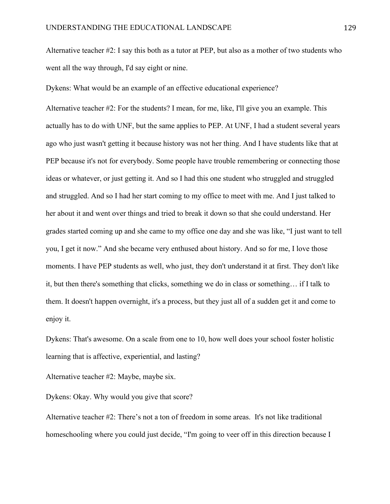Alternative teacher #2: I say this both as a tutor at PEP, but also as a mother of two students who went all the way through, I'd say eight or nine.

Dykens: What would be an example of an effective educational experience?

Alternative teacher #2: For the students? I mean, for me, like, I'll give you an example. This actually has to do with UNF, but the same applies to PEP. At UNF, I had a student several years ago who just wasn't getting it because history was not her thing. And I have students like that at PEP because it's not for everybody. Some people have trouble remembering or connecting those ideas or whatever, or just getting it. And so I had this one student who struggled and struggled and struggled. And so I had her start coming to my office to meet with me. And I just talked to her about it and went over things and tried to break it down so that she could understand. Her grades started coming up and she came to my office one day and she was like, "I just want to tell you, I get it now." And she became very enthused about history. And so for me, I love those moments. I have PEP students as well, who just, they don't understand it at first. They don't like it, but then there's something that clicks, something we do in class or something… if I talk to them. It doesn't happen overnight, it's a process, but they just all of a sudden get it and come to enjoy it.

Dykens: That's awesome. On a scale from one to 10, how well does your school foster holistic learning that is affective, experiential, and lasting?

Alternative teacher #2: Maybe, maybe six.

Dykens: Okay. Why would you give that score?

Alternative teacher #2: There's not a ton of freedom in some areas. It's not like traditional homeschooling where you could just decide, "I'm going to veer off in this direction because I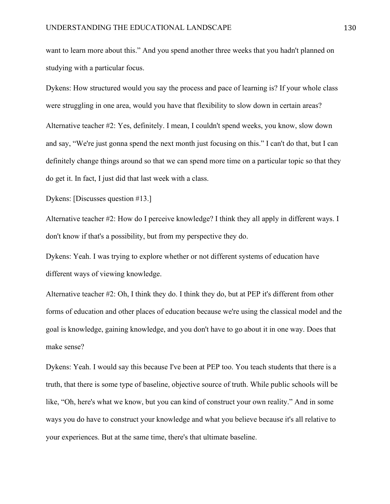want to learn more about this." And you spend another three weeks that you hadn't planned on studying with a particular focus.

Dykens: How structured would you say the process and pace of learning is? If your whole class were struggling in one area, would you have that flexibility to slow down in certain areas? Alternative teacher #2: Yes, definitely. I mean, I couldn't spend weeks, you know, slow down and say, "We're just gonna spend the next month just focusing on this." I can't do that, but I can definitely change things around so that we can spend more time on a particular topic so that they do get it. In fact, I just did that last week with a class.

Dykens: [Discusses question #13.]

Alternative teacher #2: How do I perceive knowledge? I think they all apply in different ways. I don't know if that's a possibility, but from my perspective they do.

Dykens: Yeah. I was trying to explore whether or not different systems of education have different ways of viewing knowledge.

Alternative teacher #2: Oh, I think they do. I think they do, but at PEP it's different from other forms of education and other places of education because we're using the classical model and the goal is knowledge, gaining knowledge, and you don't have to go about it in one way. Does that make sense?

Dykens: Yeah. I would say this because I've been at PEP too. You teach students that there is a truth, that there is some type of baseline, objective source of truth. While public schools will be like, "Oh, here's what we know, but you can kind of construct your own reality." And in some ways you do have to construct your knowledge and what you believe because it's all relative to your experiences. But at the same time, there's that ultimate baseline.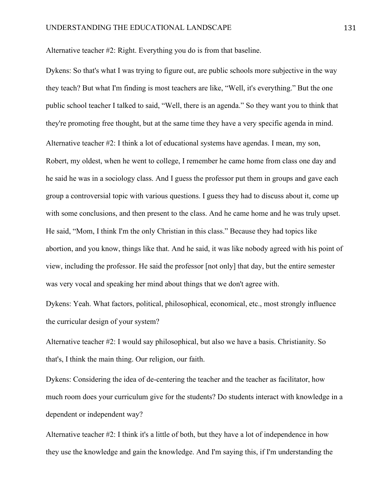Alternative teacher #2: Right. Everything you do is from that baseline.

Dykens: So that's what I was trying to figure out, are public schools more subjective in the way they teach? But what I'm finding is most teachers are like, "Well, it's everything." But the one public school teacher I talked to said, "Well, there is an agenda." So they want you to think that they're promoting free thought, but at the same time they have a very specific agenda in mind. Alternative teacher #2: I think a lot of educational systems have agendas. I mean, my son, Robert, my oldest, when he went to college, I remember he came home from class one day and he said he was in a sociology class. And I guess the professor put them in groups and gave each group a controversial topic with various questions. I guess they had to discuss about it, come up with some conclusions, and then present to the class. And he came home and he was truly upset. He said, "Mom, I think I'm the only Christian in this class." Because they had topics like abortion, and you know, things like that. And he said, it was like nobody agreed with his point of view, including the professor. He said the professor [not only] that day, but the entire semester was very vocal and speaking her mind about things that we don't agree with.

Dykens: Yeah. What factors, political, philosophical, economical, etc., most strongly influence the curricular design of your system?

Alternative teacher #2: I would say philosophical, but also we have a basis. Christianity. So that's, I think the main thing. Our religion, our faith.

Dykens: Considering the idea of de-centering the teacher and the teacher as facilitator, how much room does your curriculum give for the students? Do students interact with knowledge in a dependent or independent way?

Alternative teacher #2: I think it's a little of both, but they have a lot of independence in how they use the knowledge and gain the knowledge. And I'm saying this, if I'm understanding the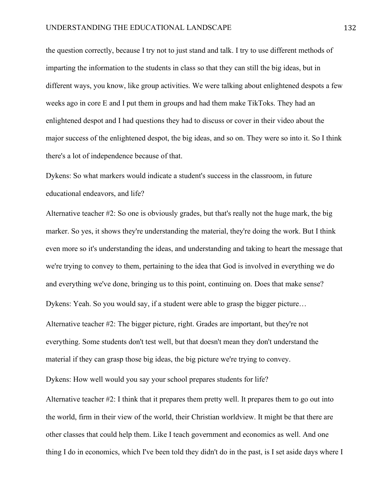the question correctly, because I try not to just stand and talk. I try to use different methods of imparting the information to the students in class so that they can still the big ideas, but in different ways, you know, like group activities. We were talking about enlightened despots a few weeks ago in core E and I put them in groups and had them make TikToks. They had an enlightened despot and I had questions they had to discuss or cover in their video about the major success of the enlightened despot, the big ideas, and so on. They were so into it. So I think there's a lot of independence because of that.

Dykens: So what markers would indicate a student's success in the classroom, in future educational endeavors, and life?

Alternative teacher #2: So one is obviously grades, but that's really not the huge mark, the big marker. So yes, it shows they're understanding the material, they're doing the work. But I think even more so it's understanding the ideas, and understanding and taking to heart the message that we're trying to convey to them, pertaining to the idea that God is involved in everything we do and everything we've done, bringing us to this point, continuing on. Does that make sense? Dykens: Yeah. So you would say, if a student were able to grasp the bigger picture… Alternative teacher #2: The bigger picture, right. Grades are important, but they're not everything. Some students don't test well, but that doesn't mean they don't understand the material if they can grasp those big ideas, the big picture we're trying to convey.

Dykens: How well would you say your school prepares students for life?

Alternative teacher #2: I think that it prepares them pretty well. It prepares them to go out into the world, firm in their view of the world, their Christian worldview. It might be that there are other classes that could help them. Like I teach government and economics as well. And one thing I do in economics, which I've been told they didn't do in the past, is I set aside days where I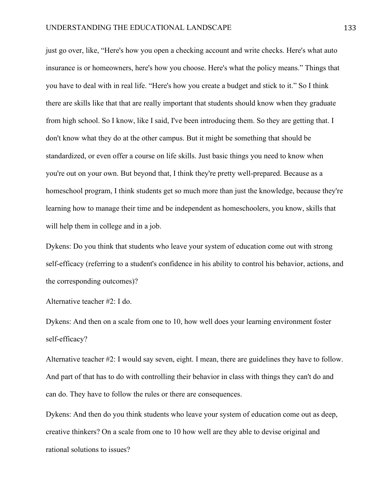just go over, like, "Here's how you open a checking account and write checks. Here's what auto insurance is or homeowners, here's how you choose. Here's what the policy means." Things that you have to deal with in real life. "Here's how you create a budget and stick to it." So I think there are skills like that that are really important that students should know when they graduate from high school. So I know, like I said, I've been introducing them. So they are getting that. I don't know what they do at the other campus. But it might be something that should be standardized, or even offer a course on life skills. Just basic things you need to know when you're out on your own. But beyond that, I think they're pretty well-prepared. Because as a homeschool program, I think students get so much more than just the knowledge, because they're learning how to manage their time and be independent as homeschoolers, you know, skills that will help them in college and in a job.

Dykens: Do you think that students who leave your system of education come out with strong self-efficacy (referring to a student's confidence in his ability to control his behavior, actions, and the corresponding outcomes)?

Alternative teacher #2: I do.

Dykens: And then on a scale from one to 10, how well does your learning environment foster self-efficacy?

Alternative teacher #2: I would say seven, eight. I mean, there are guidelines they have to follow. And part of that has to do with controlling their behavior in class with things they can't do and can do. They have to follow the rules or there are consequences.

Dykens: And then do you think students who leave your system of education come out as deep, creative thinkers? On a scale from one to 10 how well are they able to devise original and rational solutions to issues?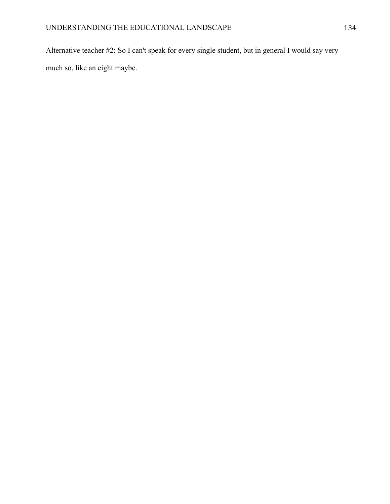Alternative teacher #2: So I can't speak for every single student, but in general I would say very much so, like an eight maybe.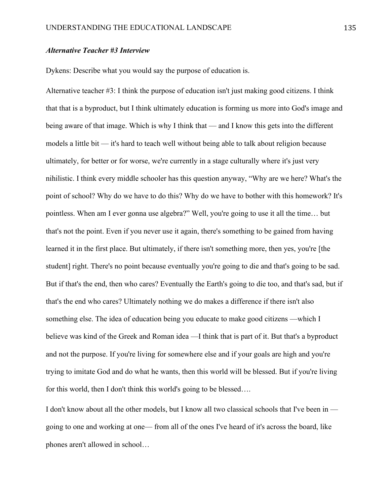## *Alternative Teacher #3 Interview*

Dykens: Describe what you would say the purpose of education is.

Alternative teacher #3: I think the purpose of education isn't just making good citizens. I think that that is a byproduct, but I think ultimately education is forming us more into God's image and being aware of that image. Which is why I think that — and I know this gets into the different models a little bit — it's hard to teach well without being able to talk about religion because ultimately, for better or for worse, we're currently in a stage culturally where it's just very nihilistic. I think every middle schooler has this question anyway, "Why are we here? What's the point of school? Why do we have to do this? Why do we have to bother with this homework? It's pointless. When am I ever gonna use algebra?" Well, you're going to use it all the time… but that's not the point. Even if you never use it again, there's something to be gained from having learned it in the first place. But ultimately, if there isn't something more, then yes, you're [the student] right. There's no point because eventually you're going to die and that's going to be sad. But if that's the end, then who cares? Eventually the Earth's going to die too, and that's sad, but if that's the end who cares? Ultimately nothing we do makes a difference if there isn't also something else. The idea of education being you educate to make good citizens —which I believe was kind of the Greek and Roman idea —I think that is part of it. But that's a byproduct and not the purpose. If you're living for somewhere else and if your goals are high and you're trying to imitate God and do what he wants, then this world will be blessed. But if you're living for this world, then I don't think this world's going to be blessed….

I don't know about all the other models, but I know all two classical schools that I've been in going to one and working at one— from all of the ones I've heard of it's across the board, like phones aren't allowed in school…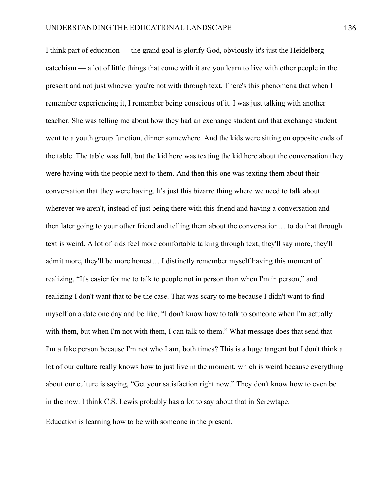I think part of education — the grand goal is glorify God, obviously it's just the Heidelberg catechism — a lot of little things that come with it are you learn to live with other people in the present and not just whoever you're not with through text. There's this phenomena that when I remember experiencing it, I remember being conscious of it. I was just talking with another teacher. She was telling me about how they had an exchange student and that exchange student went to a youth group function, dinner somewhere. And the kids were sitting on opposite ends of the table. The table was full, but the kid here was texting the kid here about the conversation they were having with the people next to them. And then this one was texting them about their conversation that they were having. It's just this bizarre thing where we need to talk about wherever we aren't, instead of just being there with this friend and having a conversation and then later going to your other friend and telling them about the conversation… to do that through text is weird. A lot of kids feel more comfortable talking through text; they'll say more, they'll admit more, they'll be more honest… I distinctly remember myself having this moment of realizing, "It's easier for me to talk to people not in person than when I'm in person," and realizing I don't want that to be the case. That was scary to me because I didn't want to find myself on a date one day and be like, "I don't know how to talk to someone when I'm actually with them, but when I'm not with them, I can talk to them." What message does that send that I'm a fake person because I'm not who I am, both times? This is a huge tangent but I don't think a lot of our culture really knows how to just live in the moment, which is weird because everything about our culture is saying, "Get your satisfaction right now." They don't know how to even be in the now. I think C.S. Lewis probably has a lot to say about that in Screwtape.

Education is learning how to be with someone in the present.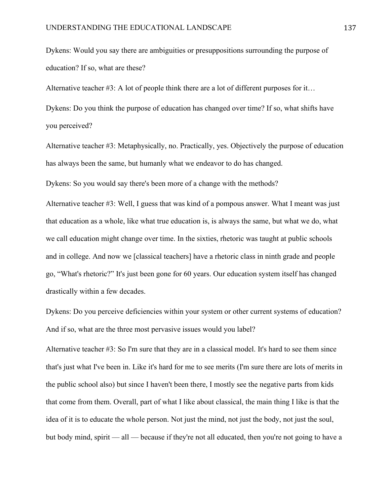Dykens: Would you say there are ambiguities or presuppositions surrounding the purpose of education? If so, what are these?

Alternative teacher #3: A lot of people think there are a lot of different purposes for it…

Dykens: Do you think the purpose of education has changed over time? If so, what shifts have you perceived?

Alternative teacher #3: Metaphysically, no. Practically, yes. Objectively the purpose of education has always been the same, but humanly what we endeavor to do has changed.

Dykens: So you would say there's been more of a change with the methods?

Alternative teacher #3: Well, I guess that was kind of a pompous answer. What I meant was just that education as a whole, like what true education is, is always the same, but what we do, what we call education might change over time. In the sixties, rhetoric was taught at public schools and in college. And now we [classical teachers] have a rhetoric class in ninth grade and people go, "What's rhetoric?" It's just been gone for 60 years. Our education system itself has changed drastically within a few decades.

Dykens: Do you perceive deficiencies within your system or other current systems of education? And if so, what are the three most pervasive issues would you label?

Alternative teacher #3: So I'm sure that they are in a classical model. It's hard to see them since that's just what I've been in. Like it's hard for me to see merits (I'm sure there are lots of merits in the public school also) but since I haven't been there, I mostly see the negative parts from kids that come from them. Overall, part of what I like about classical, the main thing I like is that the idea of it is to educate the whole person. Not just the mind, not just the body, not just the soul, but body mind, spirit — all — because if they're not all educated, then you're not going to have a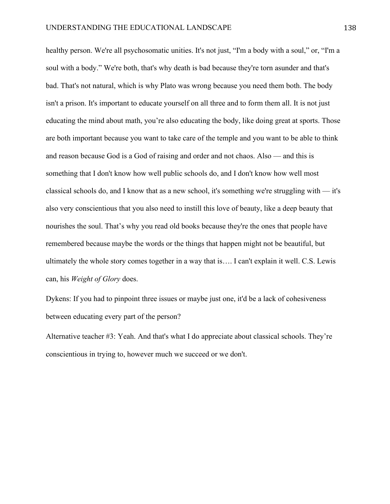healthy person. We're all psychosomatic unities. It's not just, "I'm a body with a soul," or, "I'm a soul with a body." We're both, that's why death is bad because they're torn asunder and that's bad. That's not natural, which is why Plato was wrong because you need them both. The body isn't a prison. It's important to educate yourself on all three and to form them all. It is not just educating the mind about math, you're also educating the body, like doing great at sports. Those are both important because you want to take care of the temple and you want to be able to think and reason because God is a God of raising and order and not chaos. Also — and this is something that I don't know how well public schools do, and I don't know how well most classical schools do, and I know that as a new school, it's something we're struggling with — it's also very conscientious that you also need to instill this love of beauty, like a deep beauty that nourishes the soul. That's why you read old books because they're the ones that people have remembered because maybe the words or the things that happen might not be beautiful, but ultimately the whole story comes together in a way that is…. I can't explain it well. C.S. Lewis can, his *Weight of Glory* does.

Dykens: If you had to pinpoint three issues or maybe just one, it'd be a lack of cohesiveness between educating every part of the person?

Alternative teacher #3: Yeah. And that's what I do appreciate about classical schools. They're conscientious in trying to, however much we succeed or we don't.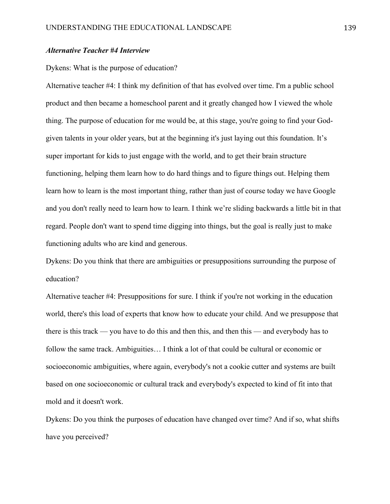## *Alternative Teacher #4 Interview*

## Dykens: What is the purpose of education?

Alternative teacher #4: I think my definition of that has evolved over time. I'm a public school product and then became a homeschool parent and it greatly changed how I viewed the whole thing. The purpose of education for me would be, at this stage, you're going to find your Godgiven talents in your older years, but at the beginning it's just laying out this foundation. It's super important for kids to just engage with the world, and to get their brain structure functioning, helping them learn how to do hard things and to figure things out. Helping them learn how to learn is the most important thing, rather than just of course today we have Google and you don't really need to learn how to learn. I think we're sliding backwards a little bit in that regard. People don't want to spend time digging into things, but the goal is really just to make functioning adults who are kind and generous.

Dykens: Do you think that there are ambiguities or presuppositions surrounding the purpose of education?

Alternative teacher #4: Presuppositions for sure. I think if you're not working in the education world, there's this load of experts that know how to educate your child. And we presuppose that there is this track — you have to do this and then this, and then this — and everybody has to follow the same track. Ambiguities… I think a lot of that could be cultural or economic or socioeconomic ambiguities, where again, everybody's not a cookie cutter and systems are built based on one socioeconomic or cultural track and everybody's expected to kind of fit into that mold and it doesn't work.

Dykens: Do you think the purposes of education have changed over time? And if so, what shifts have you perceived?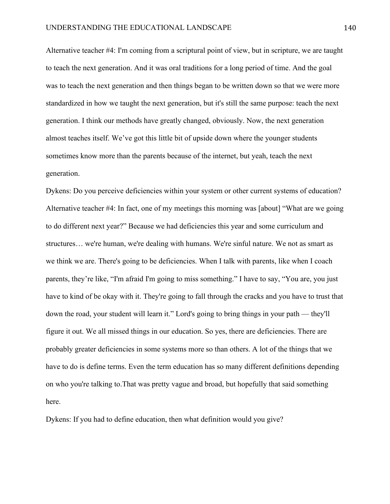Alternative teacher #4: I'm coming from a scriptural point of view, but in scripture, we are taught to teach the next generation. And it was oral traditions for a long period of time. And the goal was to teach the next generation and then things began to be written down so that we were more standardized in how we taught the next generation, but it's still the same purpose: teach the next generation. I think our methods have greatly changed, obviously. Now, the next generation almost teaches itself. We've got this little bit of upside down where the younger students sometimes know more than the parents because of the internet, but yeah, teach the next generation.

Dykens: Do you perceive deficiencies within your system or other current systems of education? Alternative teacher #4: In fact, one of my meetings this morning was [about] "What are we going to do different next year?" Because we had deficiencies this year and some curriculum and structures… we're human, we're dealing with humans. We're sinful nature. We not as smart as we think we are. There's going to be deficiencies. When I talk with parents, like when I coach parents, they're like, "I'm afraid I'm going to miss something." I have to say, "You are, you just have to kind of be okay with it. They're going to fall through the cracks and you have to trust that down the road, your student will learn it." Lord's going to bring things in your path — they'll figure it out. We all missed things in our education. So yes, there are deficiencies. There are probably greater deficiencies in some systems more so than others. A lot of the things that we have to do is define terms. Even the term education has so many different definitions depending on who you're talking to.That was pretty vague and broad, but hopefully that said something here.

Dykens: If you had to define education, then what definition would you give?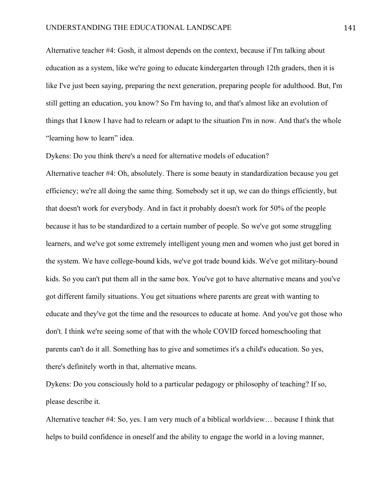Alternative teacher #4: Gosh, it almost depends on the context, because if I'm talking about education as a system, like we're going to educate kindergarten through 12th graders, then it is like I've just been saying, preparing the next generation, preparing people for adulthood. But, I'm still getting an education, you know? So I'm having to, and that's almost like an evolution of things that I know I have had to relearn or adapt to the situation I'm in now. And that's the whole "learning how to learn" idea.

Dykens: Do you think there's a need for alternative models of education?

Alternative teacher #4: Oh, absolutely. There is some beauty in standardization because you get efficiency; we're all doing the same thing. Somebody set it up, we can do things efficiently, but that doesn't work for everybody. And in fact it probably doesn't work for 50% of the people because it has to be standardized to a certain number of people. So we've got some struggling learners, and we've got some extremely intelligent young men and women who just get bored in the system. We have college-bound kids, we've got trade bound kids. We've got military-bound kids. So you can't put them all in the same box. You've got to have alternative means and you've got different family situations. You get situations where parents are great with wanting to educate and they've got the time and the resources to educate at home. And you've got those who don't. I think we're seeing some of that with the whole COVID forced homeschooling that parents can't do it all. Something has to give and sometimes it's a child's education. So yes, there's definitely worth in that, alternative means.

Dykens: Do you consciously hold to a particular pedagogy or philosophy of teaching? If so, please describe it.

Alternative teacher #4: So, yes. I am very much of a biblical worldview… because I think that helps to build confidence in oneself and the ability to engage the world in a loving manner,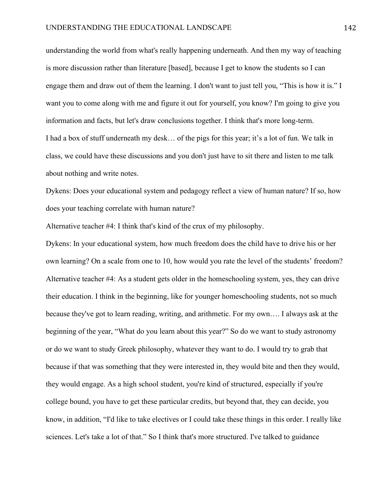understanding the world from what's really happening underneath. And then my way of teaching is more discussion rather than literature [based], because I get to know the students so I can engage them and draw out of them the learning. I don't want to just tell you, "This is how it is." I want you to come along with me and figure it out for yourself, you know? I'm going to give you information and facts, but let's draw conclusions together. I think that's more long-term. I had a box of stuff underneath my desk… of the pigs for this year; it's a lot of fun. We talk in class, we could have these discussions and you don't just have to sit there and listen to me talk about nothing and write notes.

Dykens: Does your educational system and pedagogy reflect a view of human nature? If so, how does your teaching correlate with human nature?

Alternative teacher #4: I think that's kind of the crux of my philosophy.

Dykens: In your educational system, how much freedom does the child have to drive his or her own learning? On a scale from one to 10, how would you rate the level of the students' freedom? Alternative teacher #4: As a student gets older in the homeschooling system, yes, they can drive their education. I think in the beginning, like for younger homeschooling students, not so much because they've got to learn reading, writing, and arithmetic. For my own…. I always ask at the beginning of the year, "What do you learn about this year?" So do we want to study astronomy or do we want to study Greek philosophy, whatever they want to do. I would try to grab that because if that was something that they were interested in, they would bite and then they would, they would engage. As a high school student, you're kind of structured, especially if you're college bound, you have to get these particular credits, but beyond that, they can decide, you know, in addition, "I'd like to take electives or I could take these things in this order. I really like sciences. Let's take a lot of that." So I think that's more structured. I've talked to guidance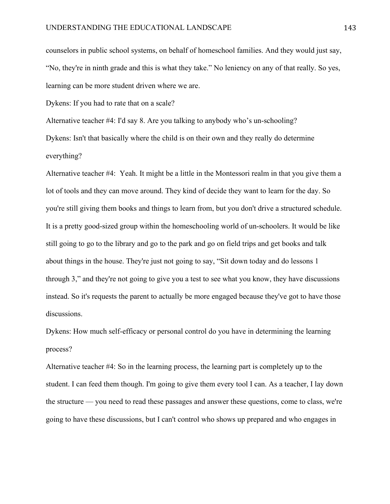counselors in public school systems, on behalf of homeschool families. And they would just say, "No, they're in ninth grade and this is what they take." No leniency on any of that really. So yes, learning can be more student driven where we are.

Dykens: If you had to rate that on a scale?

Alternative teacher #4: I'd say 8. Are you talking to anybody who's un-schooling?

Dykens: Isn't that basically where the child is on their own and they really do determine everything?

Alternative teacher #4: Yeah. It might be a little in the Montessori realm in that you give them a lot of tools and they can move around. They kind of decide they want to learn for the day. So you're still giving them books and things to learn from, but you don't drive a structured schedule. It is a pretty good-sized group within the homeschooling world of un-schoolers. It would be like still going to go to the library and go to the park and go on field trips and get books and talk about things in the house. They're just not going to say, "Sit down today and do lessons 1 through 3," and they're not going to give you a test to see what you know, they have discussions instead. So it's requests the parent to actually be more engaged because they've got to have those discussions.

Dykens: How much self-efficacy or personal control do you have in determining the learning process?

Alternative teacher #4: So in the learning process, the learning part is completely up to the student. I can feed them though. I'm going to give them every tool I can. As a teacher, I lay down the structure — you need to read these passages and answer these questions, come to class, we're going to have these discussions, but I can't control who shows up prepared and who engages in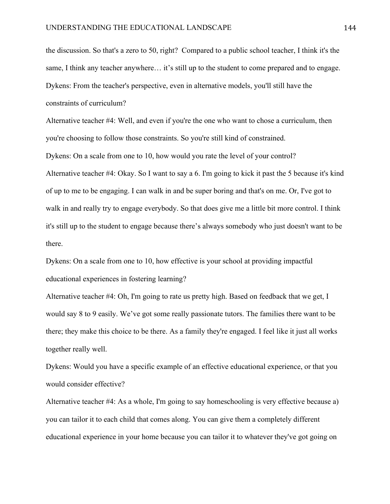the discussion. So that's a zero to 50, right? Compared to a public school teacher, I think it's the same, I think any teacher anywhere… it's still up to the student to come prepared and to engage. Dykens: From the teacher's perspective, even in alternative models, you'll still have the constraints of curriculum?

Alternative teacher #4: Well, and even if you're the one who want to chose a curriculum, then you're choosing to follow those constraints. So you're still kind of constrained.

Dykens: On a scale from one to 10, how would you rate the level of your control? Alternative teacher #4: Okay. So I want to say a 6. I'm going to kick it past the 5 because it's kind of up to me to be engaging. I can walk in and be super boring and that's on me. Or, I've got to walk in and really try to engage everybody. So that does give me a little bit more control. I think it's still up to the student to engage because there's always somebody who just doesn't want to be there.

Dykens: On a scale from one to 10, how effective is your school at providing impactful educational experiences in fostering learning?

Alternative teacher #4: Oh, I'm going to rate us pretty high. Based on feedback that we get, I would say 8 to 9 easily. We've got some really passionate tutors. The families there want to be there; they make this choice to be there. As a family they're engaged. I feel like it just all works together really well.

Dykens: Would you have a specific example of an effective educational experience, or that you would consider effective?

Alternative teacher #4: As a whole, I'm going to say homeschooling is very effective because a) you can tailor it to each child that comes along. You can give them a completely different educational experience in your home because you can tailor it to whatever they've got going on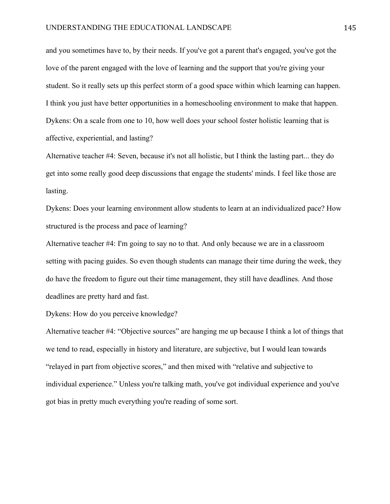and you sometimes have to, by their needs. If you've got a parent that's engaged, you've got the love of the parent engaged with the love of learning and the support that you're giving your student. So it really sets up this perfect storm of a good space within which learning can happen. I think you just have better opportunities in a homeschooling environment to make that happen. Dykens: On a scale from one to 10, how well does your school foster holistic learning that is affective, experiential, and lasting?

Alternative teacher #4: Seven, because it's not all holistic, but I think the lasting part... they do get into some really good deep discussions that engage the students' minds. I feel like those are lasting.

Dykens: Does your learning environment allow students to learn at an individualized pace? How structured is the process and pace of learning?

Alternative teacher #4: I'm going to say no to that. And only because we are in a classroom setting with pacing guides. So even though students can manage their time during the week, they do have the freedom to figure out their time management, they still have deadlines. And those deadlines are pretty hard and fast.

Dykens: How do you perceive knowledge?

Alternative teacher #4: "Objective sources" are hanging me up because I think a lot of things that we tend to read, especially in history and literature, are subjective, but I would lean towards "relayed in part from objective scores," and then mixed with "relative and subjective to individual experience." Unless you're talking math, you've got individual experience and you've got bias in pretty much everything you're reading of some sort.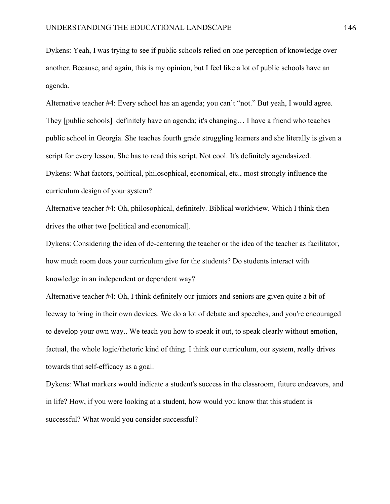Dykens: Yeah, I was trying to see if public schools relied on one perception of knowledge over another. Because, and again, this is my opinion, but I feel like a lot of public schools have an agenda.

Alternative teacher #4: Every school has an agenda; you can't "not." But yeah, I would agree. They [public schools] definitely have an agenda; it's changing… I have a friend who teaches public school in Georgia. She teaches fourth grade struggling learners and she literally is given a script for every lesson. She has to read this script. Not cool. It's definitely agendasized. Dykens: What factors, political, philosophical, economical, etc., most strongly influence the curriculum design of your system?

Alternative teacher #4: Oh, philosophical, definitely. Biblical worldview. Which I think then drives the other two [political and economical].

Dykens: Considering the idea of de-centering the teacher or the idea of the teacher as facilitator, how much room does your curriculum give for the students? Do students interact with knowledge in an independent or dependent way?

Alternative teacher #4: Oh, I think definitely our juniors and seniors are given quite a bit of leeway to bring in their own devices. We do a lot of debate and speeches, and you're encouraged to develop your own way.. We teach you how to speak it out, to speak clearly without emotion, factual, the whole logic/rhetoric kind of thing. I think our curriculum, our system, really drives towards that self-efficacy as a goal.

Dykens: What markers would indicate a student's success in the classroom, future endeavors, and in life? How, if you were looking at a student, how would you know that this student is successful? What would you consider successful?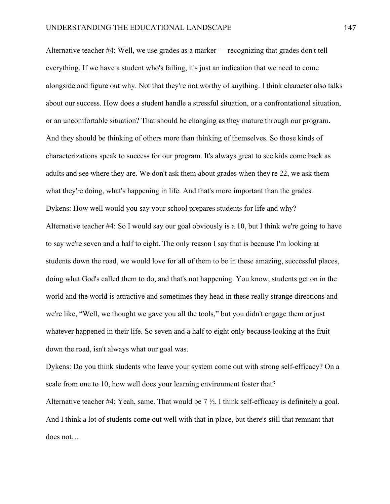Alternative teacher #4: Well, we use grades as a marker — recognizing that grades don't tell everything. If we have a student who's failing, it's just an indication that we need to come alongside and figure out why. Not that they're not worthy of anything. I think character also talks about our success. How does a student handle a stressful situation, or a confrontational situation, or an uncomfortable situation? That should be changing as they mature through our program. And they should be thinking of others more than thinking of themselves. So those kinds of characterizations speak to success for our program. It's always great to see kids come back as adults and see where they are. We don't ask them about grades when they're 22, we ask them what they're doing, what's happening in life. And that's more important than the grades. Dykens: How well would you say your school prepares students for life and why? Alternative teacher #4: So I would say our goal obviously is a 10, but I think we're going to have to say we're seven and a half to eight. The only reason I say that is because I'm looking at students down the road, we would love for all of them to be in these amazing, successful places, doing what God's called them to do, and that's not happening. You know, students get on in the world and the world is attractive and sometimes they head in these really strange directions and we're like, "Well, we thought we gave you all the tools," but you didn't engage them or just whatever happened in their life. So seven and a half to eight only because looking at the fruit down the road, isn't always what our goal was.

Dykens: Do you think students who leave your system come out with strong self-efficacy? On a scale from one to 10, how well does your learning environment foster that? Alternative teacher #4: Yeah, same. That would be 7 ½. I think self-efficacy is definitely a goal. And I think a lot of students come out well with that in place, but there's still that remnant that does not…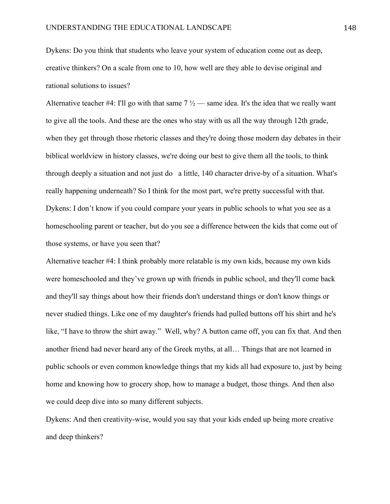Dykens: Do you think that students who leave your system of education come out as deep, creative thinkers? On a scale from one to 10, how well are they able to devise original and rational solutions to issues?

Alternative teacher #4: I'll go with that same  $7\frac{1}{2}$  — same idea. It's the idea that we really want to give all the tools. And these are the ones who stay with us all the way through 12th grade, when they get through those rhetoric classes and they're doing those modern day debates in their biblical worldview in history classes, we're doing our best to give them all the tools, to think through deeply a situation and not just do a little, 140 character drive-by of a situation. What's really happening underneath? So I think for the most part, we're pretty successful with that. Dykens: I don't know if you could compare your years in public schools to what you see as a homeschooling parent or teacher, but do you see a difference between the kids that come out of those systems, or have you seen that?

Alternative teacher #4: I think probably more relatable is my own kids, because my own kids were homeschooled and they've grown up with friends in public school, and they'll come back and they'll say things about how their friends don't understand things or don't know things or never studied things. Like one of my daughter's friends had pulled buttons off his shirt and he's like, "I have to throw the shirt away." Well, why? A button came off, you can fix that. And then another friend had never heard any of the Greek myths, at all… Things that are not learned in public schools or even common knowledge things that my kids all had exposure to, just by being home and knowing how to grocery shop, how to manage a budget, those things. And then also we could deep dive into so many different subjects.

Dykens: And then creativity-wise, would you say that your kids ended up being more creative and deep thinkers?